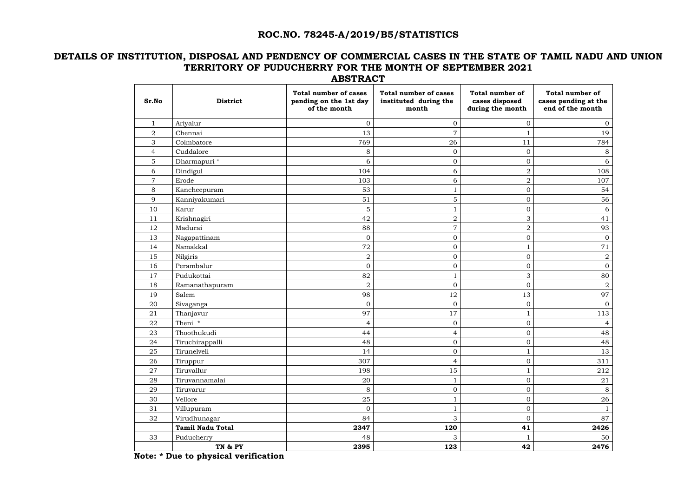#### **ROC.NO. 78245-A/2019/B5/STATISTICS**

#### **DETAILS OF INSTITUTION, DISPOSAL AND PENDENCY OF COMMERCIAL CASES IN THE STATE OF TAMIL NADU AND UNION TERRITORY OF PUDUCHERRY FOR THE MONTH OF SEPTEMBER 2021 ABSTRACT**

| Sr.No          | <b>District</b>         | <b>Total number of cases</b><br>pending on the 1st day<br>of the month | <b>Total number of cases</b><br>instituted during the<br>month | <b>Total number of</b><br>cases disposed<br>during the month | <b>Total number of</b><br>cases pending at the<br>end of the month |
|----------------|-------------------------|------------------------------------------------------------------------|----------------------------------------------------------------|--------------------------------------------------------------|--------------------------------------------------------------------|
| $\mathbf{1}$   | Ariyalur                | $\mathbf{0}$                                                           | $\mathbf{0}$                                                   | $\mathbf{0}$                                                 | $\overline{0}$                                                     |
| $\overline{2}$ | Chennai                 | 13                                                                     | $\overline{7}$                                                 |                                                              | 19                                                                 |
| 3              | Coimbatore              | 769                                                                    | 26                                                             | 11                                                           | 784                                                                |
| $\overline{4}$ | Cuddalore               | 8                                                                      | $\overline{0}$                                                 | $\overline{0}$                                               | 8                                                                  |
| 5              | Dharmapuri *            | 6                                                                      | $\mathbf 0$                                                    | $\overline{0}$                                               | 6                                                                  |
| 6              | Dindigul                | 104                                                                    | 6                                                              | $\overline{2}$                                               | 108                                                                |
| $\overline{7}$ | Erode                   | 103                                                                    | 6                                                              | $\overline{2}$                                               | 107                                                                |
| 8              | Kancheepuram            | 53                                                                     |                                                                | $\overline{0}$                                               | 54                                                                 |
| 9              | Kanniyakumari           | 51                                                                     | 5                                                              | $\overline{0}$                                               | 56                                                                 |
| 10             | Karur                   | 5                                                                      |                                                                | $\overline{0}$                                               | 6                                                                  |
| 11             | Krishnagiri             | 42                                                                     | $\overline{2}$                                                 | 3                                                            | 41                                                                 |
| 12             | Madurai                 | 88                                                                     | $\overline{7}$                                                 | $\overline{2}$                                               | 93                                                                 |
| 13             | Nagapattinam            | $\mathbf{0}$                                                           | $\overline{0}$                                                 | $\overline{0}$                                               | $\overline{0}$                                                     |
| 14             | Namakkal                | 72                                                                     | $\boldsymbol{0}$                                               | $\mathbf{1}$                                                 | 71                                                                 |
| 15             | Nilgiris                | $\overline{2}$                                                         | $\mathbf{0}$                                                   | $\overline{0}$                                               | $\overline{2}$                                                     |
| 16             | Perambalur              | $\mathbf{0}$                                                           | $\overline{0}$                                                 | $\overline{0}$                                               | $\overline{0}$                                                     |
| 17             | Pudukottai              | 82                                                                     | 1                                                              | 3                                                            | 80                                                                 |
| 18             | Ramanathapuram          | $\overline{2}$                                                         | $\overline{0}$                                                 | $\overline{0}$                                               | $\overline{2}$                                                     |
| 19             | Salem                   | 98                                                                     | 12                                                             | 13                                                           | 97                                                                 |
| 20             | Sivaganga               | $\overline{0}$                                                         | $\overline{0}$                                                 | $\mathbf{0}$                                                 | $\overline{0}$                                                     |
| 21             | Thanjavur               | 97                                                                     | 17                                                             |                                                              | 113                                                                |
| 22             | Theni *                 | $\overline{4}$                                                         | $\mathbf 0$                                                    | $\overline{0}$                                               | $\overline{4}$                                                     |
| 23             | Thoothukudi             | 44                                                                     | $\overline{4}$                                                 | $\mathbf 0$                                                  | 48                                                                 |
| 24             | Tiruchirappalli         | 48                                                                     | $\overline{O}$                                                 | $\overline{0}$                                               | 48                                                                 |
| 25             | Tirunelveli             | 14                                                                     | $\boldsymbol{0}$                                               | $\mathbf{1}$                                                 | 13                                                                 |
| 26             | Tiruppur                | 307                                                                    | $\overline{4}$                                                 | $\overline{0}$                                               | 311                                                                |
| $27\,$         | Tiruvallur              | 198                                                                    | 15                                                             | $\mathbf{1}$                                                 | 212                                                                |
| 28             | Tiruvannamalai          | 20                                                                     |                                                                | $\boldsymbol{0}$                                             | 21                                                                 |
| 29             | Tiruvarur               | 8                                                                      | $\boldsymbol{0}$                                               | $\boldsymbol{0}$                                             | 8                                                                  |
| 30             | Vellore                 | 25                                                                     | $\mathbf 1$                                                    | $\overline{0}$                                               | 26                                                                 |
| 31             | Villupuram              | $\mathbf{O}$                                                           | $\mathbf{1}$                                                   | $\boldsymbol{0}$                                             | $\mathbf{1}$                                                       |
| 32             | Virudhunagar            | 84                                                                     | 3                                                              | $\mathbf{0}$                                                 | 87                                                                 |
|                | <b>Tamil Nadu Total</b> | 2347                                                                   | 120                                                            | 41                                                           | 2426                                                               |
| 33             | Puducherry              | 48                                                                     | 3                                                              | $\mathbf{1}$                                                 | 50                                                                 |
|                | TN & PY                 | 2395                                                                   | 123                                                            | 42                                                           | 2476                                                               |

 **Note: \* Due to physical verification**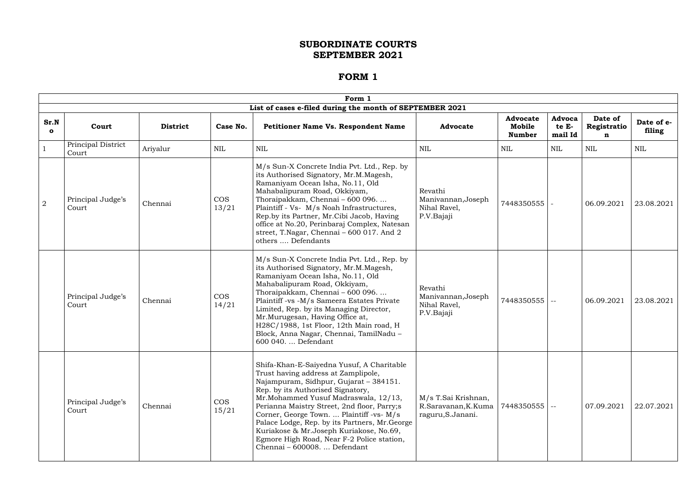|                      | Form 1                      |                 |                     |                                                                                                                                                                                                                                                                                                                                                                                                                                                                                                                                                                       |                 |                                            |                            |                             |                      |  |  |
|----------------------|-----------------------------|-----------------|---------------------|-----------------------------------------------------------------------------------------------------------------------------------------------------------------------------------------------------------------------------------------------------------------------------------------------------------------------------------------------------------------------------------------------------------------------------------------------------------------------------------------------------------------------------------------------------------------------|-----------------|--------------------------------------------|----------------------------|-----------------------------|----------------------|--|--|
|                      |                             |                 |                     | List of cases e-filed during the month of SEPTEMBER 2021                                                                                                                                                                                                                                                                                                                                                                                                                                                                                                              |                 |                                            |                            |                             |                      |  |  |
| Sr.N<br>$\mathbf{o}$ | Court                       | <b>District</b> | Case No.            | <b>Petitioner Name Vs. Respondent Name</b>                                                                                                                                                                                                                                                                                                                                                                                                                                                                                                                            | <b>Advocate</b> | <b>Advocate</b><br>Mobile<br><b>Number</b> | Advoca<br>te E-<br>mail Id | Date of<br>Registratio<br>n | Date of e-<br>filing |  |  |
|                      | Principal District<br>Court | Ariyalur        | <b>NIL</b>          | $\mbox{NIL}$                                                                                                                                                                                                                                                                                                                                                                                                                                                                                                                                                          | NIL             | NIL                                        | NIL                        | <b>NIL</b>                  | <b>NIL</b>           |  |  |
| $\overline{2}$       | Principal Judge's<br>Court  | Chennai         | <b>COS</b><br>13/21 | M/s Sun-X Concrete India Pvt. Ltd., Rep. by<br>its Authorised Signatory, Mr.M.Magesh,<br>Ramaniyam Ocean Isha, No.11, Old<br>Mahabalipuram Road, Okkiyam,<br>Revathi<br>Thoraipakkam, Chennai - 600 096.<br>Manivannan, Joseph<br>7448350555<br>Plaintiff - Vs- M/s Noah Infrastructures,<br>Nihal Ravel,<br>Rep.by its Partner, Mr.Cibi Jacob, Having<br>P.V.Bajaji<br>office at No.20, Perinbaraj Complex, Natesan<br>street, T.Nagar, Chennai - $600$ 017. And $2$<br>others  Defendants                                                                           |                 | 06.09.2021                                 | 23.08.2021                 |                             |                      |  |  |
|                      | Principal Judge's<br>Court  | Chennai         | <b>COS</b><br>14/21 | M/s Sun-X Concrete India Pvt. Ltd., Rep. by<br>its Authorised Signatory, Mr.M.Magesh,<br>Ramaniyam Ocean Isha, No.11, Old<br>Mahabalipuram Road, Okkiyam,<br>Revathi<br>Thoraipakkam, Chennai - 600 096.<br>Manivannan, Joseph<br>7448350555<br>Plaintiff -vs -M/s Sameera Estates Private<br>$\sim$ $-$<br>Nihal Ravel,<br>Limited, Rep. by its Managing Director,<br>P.V.Bajaji<br>Mr.Murugesan, Having Office at,<br>H28C/1988, 1st Floor, 12th Main road, H<br>Block, Anna Nagar, Chennai, TamilNadu -<br>600 040.  Defendant                                     |                 | 06.09.2021                                 | 23.08.2021                 |                             |                      |  |  |
|                      | Principal Judge's<br>Court  | Chennai         | <b>COS</b><br>15/21 | Shifa-Khan-E-Saiyedna Yusuf, A Charitable<br>Trust having address at Zamplipole,<br>Najampuram, Sidhpur, Gujarat - 384151.<br>Rep. by its Authorised Signatory,<br>Mr.Mohammed Yusuf Madraswala, 12/13,<br>M/s T.Sai Krishnan,<br>Perianna Maistry Street, 2nd floor, Parry;s<br>R.Saravanan, K.Kuma<br>$ 7448350555  -$<br>Corner, George Town.  Plaintiff -vs- M/s<br>raguru, S. Janani.<br>Palace Lodge, Rep. by its Partners, Mr. George<br>Kuriakose & Mr.Joseph Kuriakose, No.69,<br>Egmore High Road, Near F-2 Police station,<br>Chennai - 600008.  Defendant |                 | 07.09.2021                                 | 22.07.2021                 |                             |                      |  |  |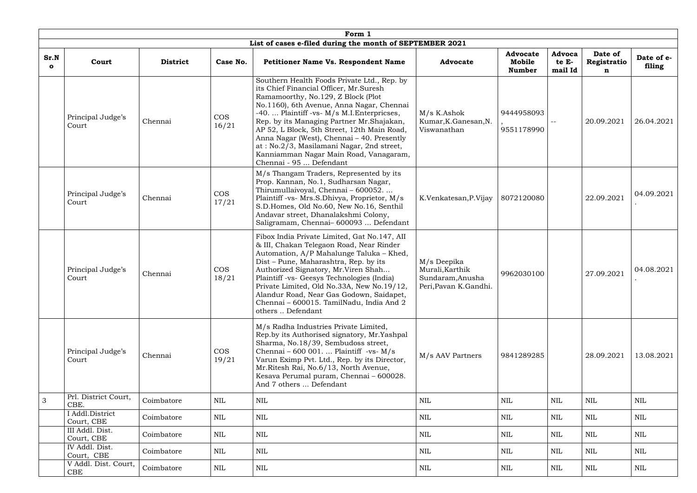|                  |                               |                 |                     | Form 1                                                                                                                                                                                                                                                                                                                                                                                                                                                                              |                                                                              |                                            |                            |                             |                      |  |  |  |  |  |  |  |  |  |  |  |
|------------------|-------------------------------|-----------------|---------------------|-------------------------------------------------------------------------------------------------------------------------------------------------------------------------------------------------------------------------------------------------------------------------------------------------------------------------------------------------------------------------------------------------------------------------------------------------------------------------------------|------------------------------------------------------------------------------|--------------------------------------------|----------------------------|-----------------------------|----------------------|--|--|--|--|--|--|--|--|--|--|--|
|                  |                               |                 |                     | List of cases e-filed during the month of SEPTEMBER 2021                                                                                                                                                                                                                                                                                                                                                                                                                            |                                                                              |                                            |                            |                             |                      |  |  |  |  |  |  |  |  |  |  |  |
| Sr.N<br>$\Omega$ | Court                         | <b>District</b> | Case No.            | <b>Petitioner Name Vs. Respondent Name</b>                                                                                                                                                                                                                                                                                                                                                                                                                                          | <b>Advocate</b>                                                              | <b>Advocate</b><br>Mobile<br><b>Number</b> | Advoca<br>te E-<br>mail Id | Date of<br>Registratio<br>n | Date of e-<br>filing |  |  |  |  |  |  |  |  |  |  |  |
|                  | Principal Judge's<br>Court    | Chennai         | <b>COS</b><br>16/21 | Southern Health Foods Private Ltd., Rep. by<br>its Chief Financial Officer, Mr.Suresh<br>Ramamoorthy, No.129, Z Block (Plot<br>No.1160), 6th Avenue, Anna Nagar, Chennai<br>-40.  Plaintiff -vs- M/s M.I. Enterpricses,<br>Rep. by its Managing Partner Mr.Shajakan,<br>AP 52, L Block, 5th Street, 12th Main Road,<br>Anna Nagar (West), Chennai - 40. Presently<br>at: No.2/3, Masilamani Nagar, 2nd street,<br>Kanniamman Nagar Main Road, Vanagaram,<br>Chennai - 95  Defendant | M/s K.Ashok<br>Kumar, K. Ganesan, N.<br>Viswanathan                          | 9444958093<br>9551178990                   |                            | 20.09.2021                  | 26.04.2021           |  |  |  |  |  |  |  |  |  |  |  |
|                  | Principal Judge's<br>Court    | Chennai         | <b>COS</b><br>17/21 | M/s Thangam Traders, Represented by its<br>Prop. Kannan, No.1, Sudharsan Nagar,<br>Thirumullaivoyal, Chennai - 600052.<br>Plaintiff -vs- Mrs.S.Dhivya, Proprietor, M/s<br>S.D.Homes, Old No.60, New No.16, Senthil<br>Andavar street, Dhanalakshmi Colony,<br>Saligramam, Chennai-600093  Defendant                                                                                                                                                                                 | K.Venkatesan, P.Vijay                                                        | 8072120080                                 |                            | 22.09.2021                  | 04.09.2021           |  |  |  |  |  |  |  |  |  |  |  |
|                  | Principal Judge's<br>Court    | Chennai         | <b>COS</b><br>18/21 | Fibox India Private Limited, Gat No.147, All<br>& III, Chakan Telegaon Road, Near Rinder<br>Automation, A/P Mahalunge Taluka - Khed,<br>Dist - Pune, Maharashtra, Rep. by its<br>Authorized Signatory, Mr.Viren Shah<br>Plaintiff -vs- Geesys Technologies (India)<br>Private Limited, Old No.33A, New No.19/12,<br>Alandur Road, Near Gas Godown, Saidapet,<br>Chennai - 600015. TamilNadu, India And 2<br>others  Defendant                                                       | M/s Deepika<br>Murali, Karthik<br>Sundaram, Anusha<br>Peri, Pavan K. Gandhi. | 9962030100                                 |                            | 27.09.2021                  | 04.08.2021           |  |  |  |  |  |  |  |  |  |  |  |
|                  | Principal Judge's<br>Court    | Chennai         | <b>COS</b><br>19/21 | M/s Radha Industries Private Limited,<br>Rep.by its Authorised signatory, Mr.Yashpal<br>Sharma, No.18/39, Sembudoss street,<br>Chennai – 600 001.  Plaintiff -vs- $M/s$<br>Varun Eximp Pvt. Ltd., Rep. by its Director,<br>Mr.Ritesh Rai, No.6/13, North Avenue,<br>Kesava Perumal puram, Chennai - 600028.<br>And 7 others  Defendant                                                                                                                                              | M/s AAV Partners                                                             | 9841289285                                 |                            | 28.09.2021                  | 13.08.2021           |  |  |  |  |  |  |  |  |  |  |  |
| $\mathfrak{Z}$   | Prl. District Court,<br>CBE.  | Coimbatore      | <b>NIL</b>          | $\mbox{NIL}$                                                                                                                                                                                                                                                                                                                                                                                                                                                                        | $\mbox{NIL}$                                                                 | NIL                                        | NIL                        | <b>NIL</b>                  | NIL                  |  |  |  |  |  |  |  |  |  |  |  |
|                  | I Addl.District<br>Court, CBE | Coimbatore      | <b>NIL</b>          | NIL                                                                                                                                                                                                                                                                                                                                                                                                                                                                                 | $\mbox{NIL}$                                                                 | <b>NIL</b>                                 | NIL                        | <b>NIL</b>                  | <b>NIL</b>           |  |  |  |  |  |  |  |  |  |  |  |
|                  | III Addl. Dist.<br>Court, CBE | Coimbatore      | <b>NIL</b>          | NIL                                                                                                                                                                                                                                                                                                                                                                                                                                                                                 | $\mbox{NIL}$                                                                 | NIL                                        | NIL                        | <b>NIL</b>                  | NIL                  |  |  |  |  |  |  |  |  |  |  |  |
|                  | IV Addl. Dist.<br>Court, CBE  | Coimbatore      | <b>NIL</b>          | $\mbox{NIL}$                                                                                                                                                                                                                                                                                                                                                                                                                                                                        | <b>NIL</b>                                                                   | <b>NIL</b>                                 | NIL                        | <b>NIL</b>                  | <b>NIL</b>           |  |  |  |  |  |  |  |  |  |  |  |
|                  | V Addl. Dist. Court,<br>CBE   | Coimbatore      | <b>NIL</b>          | NIL                                                                                                                                                                                                                                                                                                                                                                                                                                                                                 | NIL                                                                          | NIL                                        | NIL                        | NIL                         | NIL                  |  |  |  |  |  |  |  |  |  |  |  |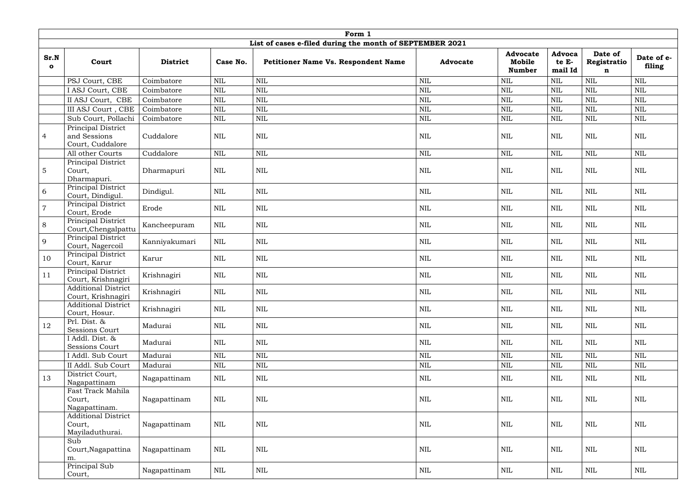|                      | Form 1                                                  |                 |              |                                                          |                 |                                            |                            |                                       |                      |  |  |
|----------------------|---------------------------------------------------------|-----------------|--------------|----------------------------------------------------------|-----------------|--------------------------------------------|----------------------------|---------------------------------------|----------------------|--|--|
|                      |                                                         |                 |              | List of cases e-filed during the month of SEPTEMBER 2021 |                 |                                            |                            |                                       |                      |  |  |
| Sr.N<br>$\mathbf{o}$ | Court                                                   | <b>District</b> | Case No.     | Petitioner Name Vs. Respondent Name                      | <b>Advocate</b> | <b>Advocate</b><br>Mobile<br><b>Number</b> | Advoca<br>te E-<br>mail Id | Date of<br>Registratio<br>$\mathbf n$ | Date of e-<br>filing |  |  |
|                      | PSJ Court, CBE                                          | Coimbatore      | <b>NIL</b>   | $\text{NIL}$                                             | <b>NIL</b>      | <b>NIL</b>                                 | <b>NIL</b>                 | <b>NIL</b>                            | <b>NIL</b>           |  |  |
|                      | I ASJ Court, CBE                                        | Coimbatore      | <b>NIL</b>   | $\mbox{NIL}$                                             | $\mbox{NIL}$    | $\mbox{NIL}$                               | <b>NIL</b>                 | $\mbox{NIL}$                          | <b>NIL</b>           |  |  |
|                      | II ASJ Court, CBE                                       | Coimbatore      | <b>NIL</b>   | $\mbox{NIL}$                                             | <b>NIL</b>      | <b>NIL</b>                                 | <b>NIL</b>                 | <b>NIL</b>                            | <b>NIL</b>           |  |  |
|                      | III ASJ Court, CBE                                      | Coimbatore      | <b>NIL</b>   | $\text{NIL}$                                             | <b>NIL</b>      | <b>NIL</b>                                 | <b>NIL</b>                 | <b>NIL</b>                            | <b>NIL</b>           |  |  |
|                      | Sub Court, Pollachi                                     | Coimbatore      | <b>NIL</b>   | $\mbox{NIL}$                                             | $\mbox{NIL}$    | <b>NIL</b>                                 | NIL                        | <b>NIL</b>                            | <b>NIL</b>           |  |  |
| $\overline{4}$       | Principal District<br>and Sessions<br>Court, Cuddalore  | Cuddalore       | NIL          | $\mbox{NIL}$                                             | $\mbox{NIL}$    | <b>NIL</b>                                 | <b>NIL</b>                 | <b>NIL</b>                            | <b>NIL</b>           |  |  |
|                      | All other Courts                                        | Cuddalore       | <b>NIL</b>   | $\mbox{NIL}$                                             | <b>NIL</b>      | $\mbox{NIL}$                               | <b>NIL</b>                 | $\mbox{NIL}$                          | <b>NIL</b>           |  |  |
| $5\phantom{.0}$      | Principal District<br>Court,<br>Dharmapuri.             | Dharmapuri      | NIL          | $\mbox{NIL}$                                             | <b>NIL</b>      | <b>NIL</b>                                 | <b>NIL</b>                 | <b>NIL</b>                            | <b>NIL</b>           |  |  |
| 6                    | Principal District<br>Court, Dindigul.                  | Dindigul.       | $\mbox{NIL}$ | $\mbox{NIL}$                                             | $\mbox{NIL}$    | <b>NIL</b>                                 | <b>NIL</b>                 | <b>NIL</b>                            | <b>NIL</b>           |  |  |
| $\overline{7}$       | Principal District<br>Court, Erode                      | Erode           | $\mbox{NIL}$ | $\mbox{NIL}$                                             | $\mbox{NIL}$    | NIL                                        | <b>NIL</b>                 | $\mbox{NIL}$                          | <b>NIL</b>           |  |  |
| 8                    | Principal District<br>Court, Chengalpattu               | Kancheepuram    | $\text{NIL}$ | $\mbox{NIL}$                                             | $\textsc{nil}$  | NIL                                        | <b>NIL</b>                 | <b>NIL</b>                            | <b>NIL</b>           |  |  |
| 9                    | Principal District<br>Court, Nagercoil                  | Kanniyakumari   | $\text{NIL}$ | $\mbox{NIL}$                                             | $\mbox{NIL}$    | NIL                                        | NIL                        | $\mbox{NIL}$                          | <b>NIL</b>           |  |  |
| 10                   | Principal District<br>Court, Karur                      | Karur           | NIL          | $\mbox{NIL}$                                             | $\mbox{NIL}$    | $\mbox{NIL}$                               | <b>NIL</b>                 | <b>NIL</b>                            | <b>NIL</b>           |  |  |
| 11                   | Principal District<br>Court, Krishnagiri                | Krishnagiri     | $\mbox{NIL}$ | $\mbox{NIL}$                                             | $\mbox{NIL}$    | $\mbox{NIL}$                               | <b>NIL</b>                 | $\mbox{NIL}$                          | <b>NIL</b>           |  |  |
|                      | <b>Additional District</b><br>Court, Krishnagiri        | Krishnagiri     | $\mbox{NIL}$ | $\mbox{NIL}$                                             | $\mbox{NIL}$    | $\mbox{NIL}$                               | <b>NIL</b>                 | $\mbox{NIL}$                          | $\mbox{NIL}$         |  |  |
|                      | <b>Additional District</b><br>Court, Hosur.             | Krishnagiri     | <b>NIL</b>   | <b>NIL</b>                                               | NIL             | NIL                                        | NIL                        | NIL                                   | <b>NIL</b>           |  |  |
| 12                   | Prl. Dist. &<br>Sessions Court                          | Madurai         | $\mbox{NIL}$ | $\mbox{NIL}$                                             | $\mbox{NIL}$    | NIL                                        | <b>NIL</b>                 | $\mbox{NIL}$                          | NIL                  |  |  |
|                      | I Addl. Dist. &<br>Sessions Court                       | Madurai         | $\mbox{NIL}$ | $\mbox{NIL}$                                             | $\mbox{NIL}$    | NIL                                        | NIL                        | <b>NIL</b>                            | <b>NIL</b>           |  |  |
|                      | I Addl. Sub Court                                       | Madurai         | <b>NIL</b>   | $\mbox{NIL}$                                             | $\mbox{NIL}$    | $\mbox{NIL}$                               | <b>NIL</b>                 | <b>NIL</b>                            | $\mbox{NIL}$         |  |  |
|                      | II Addl. Sub Court                                      | Madurai         | NIL          | $\mbox{NIL}$                                             | $\mbox{NIL}$    | <b>NIL</b>                                 | <b>NIL</b>                 | <b>NIL</b>                            | <b>NIL</b>           |  |  |
| 13                   | District Court,<br>Nagapattinam                         | Nagapattinam    | $\mbox{NIL}$ | $\mbox{NIL}$                                             | NIL             | NIL                                        | NIL                        | <b>NIL</b>                            | NIL                  |  |  |
|                      | Fast Track Mahila<br>Court,<br>Nagapattinam.            | Nagapattinam    | NIL          | $\mbox{NIL}$                                             | NIL             | <b>NIL</b>                                 | <b>NIL</b>                 | <b>NIL</b>                            | <b>NIL</b>           |  |  |
|                      | <b>Additional District</b><br>Court,<br>Mayiladuthurai. | Nagapattinam    | $\mbox{NIL}$ | $\mbox{NIL}$                                             | NIL             | NIL                                        | <b>NIL</b>                 | $\mbox{NIL}$                          | <b>NIL</b>           |  |  |
|                      | Sub<br>Court, Nagapattina<br>m.                         | Nagapattinam    | <b>NIL</b>   | $\mbox{NIL}$                                             | <b>NIL</b>      | NIL                                        | <b>NIL</b>                 | $\mbox{NIL}$                          | NIL                  |  |  |
|                      | Principal Sub<br>Court,                                 | Nagapattinam    | NIL          | NIL                                                      | $\mbox{NIL}$    | NIL                                        | NIL                        | NIL                                   | NIL                  |  |  |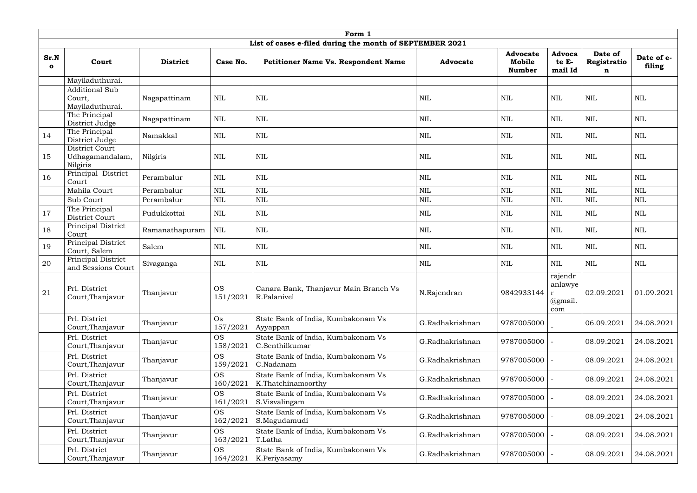|                      | Form 1                                             |                 |                       |                                                                                      |                 |                                            |                                              |                             |                      |  |
|----------------------|----------------------------------------------------|-----------------|-----------------------|--------------------------------------------------------------------------------------|-----------------|--------------------------------------------|----------------------------------------------|-----------------------------|----------------------|--|
|                      |                                                    |                 |                       | List of cases e-filed during the month of SEPTEMBER 2021                             |                 |                                            |                                              |                             |                      |  |
| Sr.N<br>$\mathbf{o}$ | Court                                              | <b>District</b> | Case No.              | <b>Petitioner Name Vs. Respondent Name</b>                                           | <b>Advocate</b> | <b>Advocate</b><br>Mobile<br><b>Number</b> | <b>Advoca</b><br>te E-<br>mail Id            | Date of<br>Registratio<br>n | Date of e-<br>filing |  |
|                      | Mayiladuthurai.                                    |                 |                       |                                                                                      |                 |                                            |                                              |                             |                      |  |
|                      | <b>Additional Sub</b><br>Court,<br>Mayiladuthurai. | Nagapattinam    | <b>NIL</b>            | <b>NIL</b>                                                                           | <b>NIL</b>      | <b>NIL</b>                                 | <b>NIL</b>                                   | NIL                         | $\mbox{NIL}$         |  |
|                      | The Principal<br>District Judge                    | Nagapattinam    | <b>NIL</b>            | <b>NIL</b>                                                                           | $\mbox{NIL}$    | <b>NIL</b>                                 | <b>NIL</b>                                   | $\mbox{NIL}$                | <b>NIL</b>           |  |
| 14                   | The Principal<br>District Judge                    | Namakkal        | <b>NIL</b>            | $\mbox{NIL}$<br>$\mbox{NIL}$                                                         |                 | <b>NIL</b>                                 | <b>NIL</b>                                   | $\mbox{NIL}$                | <b>NIL</b>           |  |
| 15                   | District Court<br>Udhagamandalam,<br>Nilgiris      | Nilgiris        | <b>NIL</b>            | <b>NIL</b>                                                                           | $\mbox{NIL}$    | <b>NIL</b>                                 | <b>NIL</b>                                   | $\mbox{NIL}$                | <b>NIL</b>           |  |
| 16                   | Principal District<br>Court                        | Perambalur      | <b>NIL</b>            | $\mbox{NIL}$                                                                         | $\mbox{NIL}$    | <b>NIL</b>                                 | <b>NIL</b>                                   | $\mbox{NIL}$                | <b>NIL</b>           |  |
|                      | Mahila Court                                       | Perambalur      | NIL                   | <b>NIL</b>                                                                           | <b>NIL</b>      | $\mbox{NIL}$                               | <b>NIL</b>                                   | <b>NIL</b>                  | $\text{NIL}$         |  |
|                      | Sub Court                                          | Perambalur      | <b>NIL</b>            | $\mbox{NIL}$                                                                         | $\mbox{NIL}$    | $\mbox{NIL}$                               | NIL                                          | $\mbox{NIL}$                | <b>NIL</b>           |  |
| 17                   | The Principal<br>District Court                    | Pudukkottai     | <b>NIL</b>            | $\mbox{NIL}$                                                                         | <b>NIL</b>      | <b>NIL</b>                                 | <b>NIL</b>                                   | $\mbox{NIL}$                | <b>NIL</b>           |  |
| 18                   | Principal District<br>Court                        | Ramanathapuram  | <b>NIL</b>            | $\mbox{NIL}$<br><b>NIL</b><br>$\mbox{NIL}$<br>NIL<br><b>NIL</b>                      |                 |                                            | $\mbox{NIL}$                                 |                             |                      |  |
| 19                   | Principal District<br>Court, Salem                 | Salem           | <b>NIL</b>            | $\mbox{NIL}$                                                                         | $\mbox{NIL}$    | <b>NIL</b>                                 | <b>NIL</b>                                   | $\mbox{NIL}$                | <b>NIL</b>           |  |
| 20                   | Principal District<br>and Sessions Court           | Sivaganga       | NIL                   | NIL                                                                                  | <b>NIL</b>      | NIL                                        | <b>NIL</b>                                   | <b>NIL</b>                  | NIL                  |  |
| 21                   | Prl. District<br>Court, Thanjavur                  | Thanjavur       | <b>OS</b><br>151/2021 | Canara Bank, Thanjavur Main Branch Vs<br>R.Palanivel                                 | N.Rajendran     | 9842933144   r                             | rajendr<br>anlawye<br>$\omega$ gmail.<br>com | 02.09.2021                  | 01.09.2021           |  |
|                      | Prl. District<br>Court, Thanjavur                  | Thanjavur       | $\rm Os$<br>157/2021  | State Bank of India, Kumbakonam Vs<br>Ayyappan                                       | G.Radhakrishnan | 9787005000                                 |                                              | 06.09.2021                  | 24.08.2021           |  |
|                      | Prl. District<br>Court, Thanjavur                  | Thanjavur       | <b>OS</b><br>158/2021 | State Bank of India, Kumbakonam Vs<br>C.Senthilkumar                                 | G.Radhakrishnan | 9787005000                                 |                                              | 08.09.2021                  | 24.08.2021           |  |
|                      | Prl. District<br>Court, Thanjavur                  | Thanjavur       | <b>OS</b><br>159/2021 | State Bank of India, Kumbakonam Vs<br>C.Nadanam                                      | G.Radhakrishnan | 9787005000                                 |                                              | 08.09.2021                  | 24.08.2021           |  |
|                      | Prl. District<br>Court, Thanjavur                  | Thanjavur       | <b>OS</b><br>160/2021 | State Bank of India, Kumbakonam Vs<br>K.Thatchinamoorthy                             | G.Radhakrishnan | 9787005000                                 |                                              | 08.09.2021                  | 24.08.2021           |  |
|                      | Prl. District<br>Court, Thanjavur                  | Thanjavur       | <b>OS</b><br>161/2021 | State Bank of India, Kumbakonam Vs<br>G.Radhakrishnan<br>9787005000<br>S.Visvalingam |                 | 08.09.2021                                 | 24.08.2021                                   |                             |                      |  |
|                      | Prl. District<br>Court, Thanjavur                  | Thanjavur       | <b>OS</b><br>162/2021 | State Bank of India, Kumbakonam Vs<br>S.Magudamudi                                   | G.Radhakrishnan | 9787005000                                 |                                              | 08.09.2021                  | 24.08.2021           |  |
|                      | Prl. District<br>Court, Thanjavur                  | Thanjavur       | <b>OS</b><br>163/2021 | State Bank of India, Kumbakonam Vs<br>G.Radhakrishnan<br>9787005000<br>T.Latha       |                 |                                            | 08.09.2021                                   | 24.08.2021                  |                      |  |
|                      | Prl. District<br>Court, Thanjavur                  | Thanjavur       | <b>OS</b><br>164/2021 | State Bank of India, Kumbakonam Vs<br>K.Periyasamy                                   | G.Radhakrishnan | 9787005000                                 |                                              | 08.09.2021                  | 24.08.2021           |  |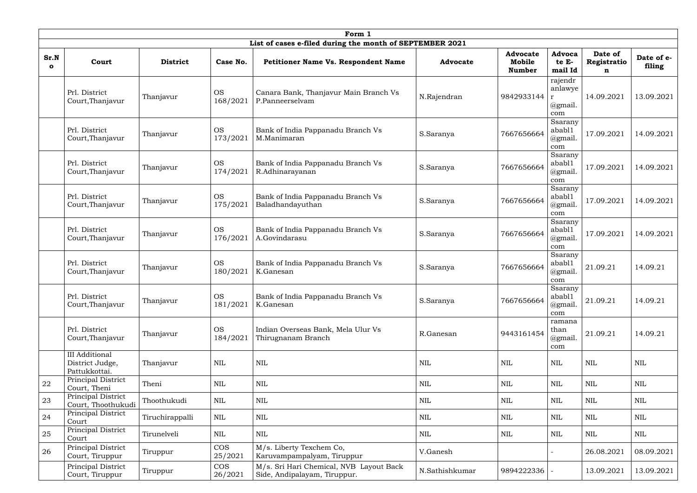|                     |                                                           |                 |                       | Form 1                                                                  |                                            |                                            |                                                      |                             |                      |
|---------------------|-----------------------------------------------------------|-----------------|-----------------------|-------------------------------------------------------------------------|--------------------------------------------|--------------------------------------------|------------------------------------------------------|-----------------------------|----------------------|
|                     |                                                           |                 |                       | List of cases e-filed during the month of SEPTEMBER 2021                |                                            |                                            |                                                      |                             |                      |
| Sr.N<br>$\mathbf o$ | Court                                                     | <b>District</b> | Case No.              | <b>Petitioner Name Vs. Respondent Name</b>                              | <b>Advocate</b>                            | <b>Advocate</b><br>Mobile<br><b>Number</b> | <b>Advoca</b><br>te E-<br>mail Id                    | Date of<br>Registratio<br>n | Date of e-<br>filing |
|                     | Prl. District<br>Court, Thanjavur                         | Thanjavur       | <b>OS</b><br>168/2021 | Canara Bank, Thanjavur Main Branch Vs<br>P.Panneerselvam                | N.Rajendran                                | 9842933144                                 | rajendr<br>anlawye<br>$\mathbf{r}$<br>@gmail.<br>com | 14.09.2021                  | 13.09.2021           |
|                     | Prl. District<br>Court, Thanjavur                         | Thanjavur       | <b>OS</b><br>173/2021 | Bank of India Pappanadu Branch Vs<br>M.Manimaran                        | S.Saranya                                  | 7667656664                                 | Ssarany<br>abab11<br>@gmail.<br>com                  | 17.09.2021                  | 14.09.2021           |
|                     | Prl. District<br>Court, Thanjavur                         | Thanjavur       | <b>OS</b><br>174/2021 | Bank of India Pappanadu Branch Vs<br>R.Adhinarayanan                    | S.Saranya                                  | 7667656664                                 | Ssarany<br>abab11<br>@gmail.<br>com                  | 17.09.2021                  | 14.09.2021           |
|                     | Prl. District<br>Court, Thanjavur                         | Thanjavur       | <b>OS</b><br>175/2021 | Bank of India Pappanadu Branch Vs<br>Baladhandayuthan                   | S.Saranya                                  | 7667656664                                 | Ssarany<br>abab11<br>@gmail.<br>com                  | 17.09.2021                  | 14.09.2021           |
|                     | Prl. District<br>Court, Thanjavur                         | Thanjavur       | <b>OS</b><br>176/2021 | Bank of India Pappanadu Branch Vs<br>A.Govindarasu                      | S.Saranya                                  | 7667656664                                 | Ssarany<br>abab11<br>@gmail.<br>com                  | 17.09.2021                  | 14.09.2021           |
|                     | Prl. District<br>Court, Thanjavur                         | Thanjavur       | <b>OS</b><br>180/2021 | Bank of India Pappanadu Branch Vs<br>K.Ganesan                          | S.Saranya                                  | 7667656664                                 | Ssarany<br>abab11<br>@gmail.<br>com                  | 21.09.21                    | 14.09.21             |
|                     | Prl. District<br>Court, Thanjavur                         | Thanjavur       | <b>OS</b><br>181/2021 | Bank of India Pappanadu Branch Vs<br>K.Ganesan                          | S.Saranya                                  | 7667656664                                 | Ssarany<br>abab11<br>@gmail.<br>com                  | 21.09.21                    | 14.09.21             |
|                     | Prl. District<br>Court, Thanjavur                         | Thanjavur       | <b>OS</b><br>184/2021 | Indian Overseas Bank, Mela Ulur Vs<br>Thirugnanam Branch                | R.Ganesan                                  | 9443161454                                 | ramana<br>than<br>@gmail.<br>com                     | 21.09.21                    | 14.09.21             |
|                     | <b>III</b> Additional<br>District Judge,<br>Pattukkottai. | Thanjavur       | $\mbox{NIL}$          | <b>NIL</b>                                                              | <b>NIL</b>                                 | $\text{NIL}$                               | <b>NIL</b>                                           | <b>NIL</b>                  | <b>NIL</b>           |
| 22                  | Principal District<br>Court, Theni                        | Theni           | $\mbox{NIL}$          | $\mbox{NIL}$                                                            | $\mbox{NIL}$                               | $\mbox{NIL}$                               | <b>NIL</b>                                           | <b>NIL</b>                  | $\mbox{NIL}$         |
| 23                  | Principal District<br>Court, Thoothukudi                  | Thoothukudi     | <b>NIL</b>            | NIL                                                                     | <b>NIL</b>                                 | <b>NIL</b>                                 | NIL                                                  | NIL                         | NIL                  |
| 24                  | Principal District<br>Court                               | Tiruchirappalli | NIL                   | $\mbox{NIL}$                                                            | $\mbox{NIL}$<br>$\mbox{NIL}$<br><b>NIL</b> |                                            | $\mbox{NIL}$                                         | <b>NIL</b>                  |                      |
| 25                  | Principal District<br>Court                               | Tirunelveli     | <b>NIL</b>            | $\mbox{NIL}$<br>$\mbox{NIL}$<br>$\mbox{NIL}$<br><b>NIL</b>              |                                            | NIL                                        | <b>NIL</b>                                           |                             |                      |
| 26                  | Principal District<br>Court, Tiruppur                     | Tiruppur        | <b>COS</b><br>25/2021 | M/s. Liberty Texchem Co,<br>V.Ganesh<br>Karuvampampalyam, Tiruppur      |                                            |                                            | 26.08.2021                                           | 08.09.2021                  |                      |
|                     | Principal District<br>Court, Tiruppur                     | Tiruppur        | <b>COS</b><br>26/2021 | M/s. Sri Hari Chemical, NVB Layout Back<br>Side, Andipalayam, Tiruppur. | N.Sathishkumar                             | 9894222336                                 |                                                      | 13.09.2021                  | 13.09.2021           |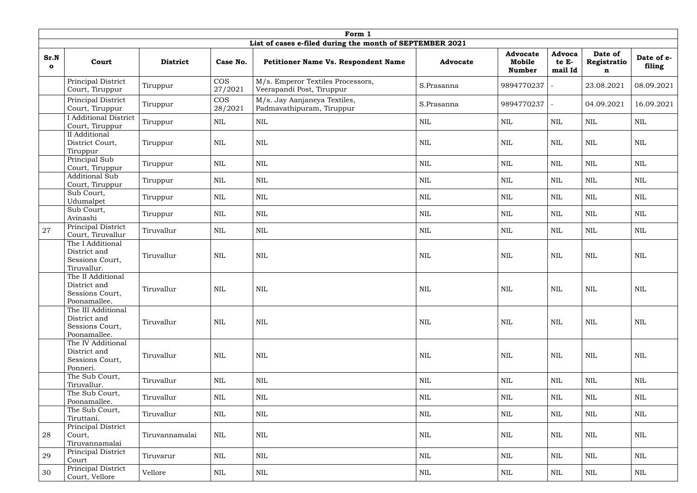|                      |                                                                       |                 |                       | Form 1                                                         |                            |                                            |                            |                             |                      |
|----------------------|-----------------------------------------------------------------------|-----------------|-----------------------|----------------------------------------------------------------|----------------------------|--------------------------------------------|----------------------------|-----------------------------|----------------------|
|                      |                                                                       |                 |                       | List of cases e-filed during the month of SEPTEMBER 2021       |                            |                                            |                            |                             |                      |
| Sr.N<br>$\mathbf{o}$ | Court                                                                 | <b>District</b> | Case No.              | Petitioner Name Vs. Respondent Name                            | <b>Advocate</b>            | <b>Advocate</b><br>Mobile<br><b>Number</b> | Advoca<br>te E-<br>mail Id | Date of<br>Registratio<br>n | Date of e-<br>filing |
|                      | Principal District<br>Court, Tiruppur                                 | Tiruppur        | <b>COS</b><br>27/2021 | M/s. Emperor Textiles Processors,<br>Veerapandi Post, Tiruppur | S.Prasanna                 | 9894770237                                 |                            | 23.08.2021                  | 08.09.2021           |
|                      | Principal District<br>Court, Tiruppur                                 | Tiruppur        | $\cos$<br>28/2021     | M/s. Jay Aanjaneya Textiles,<br>Padmavathipuram, Tiruppur      | S.Prasanna                 | 9894770237                                 |                            | 04.09.2021                  | 16.09.2021           |
|                      | <b>I</b> Additional District<br>Court, Tiruppur                       | Tiruppur        | NIL                   | $\mbox{NIL}$                                                   | $\mbox{NIL}$               | $\mbox{NIL}$                               | <b>NIL</b>                 | <b>NIL</b>                  | <b>NIL</b>           |
|                      | II Additional<br>District Court,<br>Tiruppur                          | Tiruppur        | <b>NIL</b>            | $\text{NIL}$                                                   | <b>NIL</b>                 | $\mbox{NIL}$                               | <b>NIL</b>                 | $\mbox{NIL}$                | <b>NIL</b>           |
|                      | Principal Sub<br>Court, Tiruppur                                      | Tiruppur        | $\mbox{NIL}$          | $\text{NIL}$                                                   | $\mbox{NIL}$               | $\mbox{NIL}$                               | <b>NIL</b>                 | $\mbox{NIL}$                | <b>NIL</b>           |
|                      | <b>Additional Sub</b><br>Court, Tiruppur                              | Tiruppur        | <b>NIL</b>            | $\mbox{NIL}$                                                   | $\mbox{NIL}$<br><b>NIL</b> |                                            | <b>NIL</b>                 | <b>NIL</b>                  | $\mbox{NIL}$         |
|                      | Sub Court,<br>Udumalpet                                               | Tiruppur        | $\mbox{NIL}$          | $\mbox{NIL}$                                                   | $\mbox{NIL}$               | <b>NIL</b>                                 | <b>NIL</b>                 | $\mbox{NIL}$                | <b>NIL</b>           |
|                      | Sub Court,<br>Avinashi                                                | Tiruppur        | $\mbox{NIL}$          | $\mbox{NIL}$                                                   | $\mbox{NIL}$               | $\mbox{NIL}$                               | <b>NIL</b>                 | $\mbox{NIL}$                | <b>NIL</b>           |
| 27                   | Principal District<br>Court, Tiruvallur                               | Tiruvallur      | $\mbox{NIL}$          | $\mbox{NIL}$                                                   | $\mbox{NIL}$               | $\mbox{NIL}$                               | <b>NIL</b>                 | <b>NIL</b>                  | <b>NIL</b>           |
|                      | The I Additional<br>District and<br>Sessions Court,<br>Tiruvallur.    | Tiruvallur      | $\mbox{NIL}$          | <b>NIL</b>                                                     | <b>NIL</b>                 | <b>NIL</b>                                 | <b>NIL</b>                 | <b>NIL</b>                  | <b>NIL</b>           |
|                      | The II Additional<br>District and<br>Sessions Court,<br>Poonamallee.  | Tiruvallur      | $\mbox{NIL}$          | $\mbox{NIL}$                                                   | $\mbox{NIL}$               | $\mbox{NIL}$                               | <b>NIL</b>                 | $\mbox{NIL}$                | <b>NIL</b>           |
|                      | The III Additional<br>District and<br>Sessions Court,<br>Poonamallee. | Tiruvallur      | $\mbox{NIL}$          | $\mbox{NIL}$                                                   | $\mbox{NIL}$               | $\mbox{NIL}$                               | <b>NIL</b>                 | $\mbox{NIL}$                | <b>NIL</b>           |
|                      | The IV Additional<br>District and<br>Sessions Court,<br>Ponneri.      | Tiruvallur      | $\mbox{NIL}$          | $\mbox{NIL}$                                                   | <b>NIL</b>                 | $\mbox{NIL}$                               | <b>NIL</b>                 | NIL                         | $\mbox{NIL}$         |
|                      | The Sub Court,<br>Tiruvallur.                                         | Tiruvallur      | <b>NIL</b>            | <b>NIL</b>                                                     | <b>NIL</b>                 | $\mbox{NIL}$                               | <b>NIL</b>                 | <b>NIL</b>                  | <b>NIL</b>           |
|                      | The Sub Court,<br>Poonamallee.                                        | Tiruvallur      | <b>NIL</b>            | $\mbox{NIL}$                                                   | <b>NIL</b>                 | <b>NIL</b>                                 | NIL                        | NIL                         | NIL                  |
|                      | The Sub Court,<br>Tiruttani.                                          | Tiruvallur      | <b>NIL</b>            | $\mbox{NIL}$<br><b>NIL</b>                                     |                            | $\mbox{NIL}$                               | <b>NIL</b>                 | NIL                         | <b>NIL</b>           |
| 28                   | Principal District<br>Court,<br>Tiruvannamalai                        | Tiruvannamalai  | <b>NIL</b>            | $\text{NIL}$                                                   | $\mbox{NIL}$               | $\mbox{NIL}$                               | <b>NIL</b>                 | <b>NIL</b>                  | <b>NIL</b>           |
| 29                   | Principal District<br>Court                                           | Tiruvarur       | NIL                   | $\mbox{NIL}$                                                   | $\mbox{NIL}$               | $\mbox{NIL}$                               | <b>NIL</b>                 | NIL                         | NIL                  |
| 30                   | Principal District<br>Court, Vellore                                  | Vellore         | NIL                   | NIL                                                            | $\mbox{NIL}$               | <b>NIL</b>                                 | NIL                        | NIL                         | NIL                  |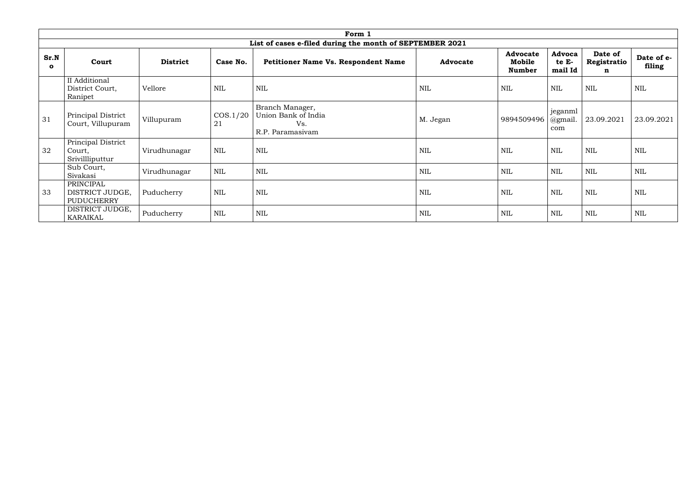|                      |                                                   |                 |                   | Form 1                                                            |                 |                                            |                                   |                             |                      |
|----------------------|---------------------------------------------------|-----------------|-------------------|-------------------------------------------------------------------|-----------------|--------------------------------------------|-----------------------------------|-----------------------------|----------------------|
|                      |                                                   |                 |                   | List of cases e-filed during the month of SEPTEMBER 2021          |                 |                                            |                                   |                             |                      |
| Sr.N<br>$\mathbf{o}$ | Court                                             | <b>District</b> | Case No.          | <b>Petitioner Name Vs. Respondent Name</b>                        | <b>Advocate</b> | <b>Advocate</b><br>Mobile<br><b>Number</b> | <b>Advoca</b><br>te E-<br>mail Id | Date of<br>Registratio<br>n | Date of e-<br>filing |
|                      | II Additional<br>District Court,<br>Ranipet       | Vellore         | NIL               | <b>NIL</b>                                                        | <b>NIL</b>      | <b>NIL</b>                                 | <b>NIL</b>                        | <b>NIL</b>                  | <b>NIL</b>           |
| 31                   | Principal District<br>Court, Villupuram           | Villupuram      | $\cos 1/20$<br>21 | Branch Manager,<br>Union Bank of India<br>Vs.<br>R.P. Paramasivam | M. Jegan        | 9894509496                                 | jeganml<br>@gmail.<br>com         | 23.09.2021                  | 23.09.2021           |
| 32                   | Principal District<br>Court,<br>Srivillliputtur   | Virudhunagar    | <b>NIL</b>        | <b>NIL</b>                                                        | <b>NIL</b>      | <b>NIL</b>                                 | <b>NIL</b>                        | <b>NIL</b>                  | <b>NIL</b>           |
|                      | Sub Court,<br>Sivakasi                            | Virudhunagar    | <b>NIL</b>        | <b>NIL</b>                                                        | $\mbox{NIL}$    | <b>NIL</b>                                 | <b>NIL</b>                        | <b>NIL</b>                  | <b>NIL</b>           |
| 33                   | PRINCIPAL<br>DISTRICT JUDGE,<br><b>PUDUCHERRY</b> | Puducherry      | <b>NIL</b>        | <b>NIL</b>                                                        | <b>NIL</b>      | $\mbox{NIL}$                               | <b>NIL</b>                        | <b>NIL</b>                  | <b>NIL</b>           |
|                      | DISTRICT JUDGE,<br><b>KARAIKAL</b>                | Puducherry      | $\text{NIL}$      | <b>NIL</b>                                                        | <b>NIL</b>      | <b>NIL</b>                                 | <b>NIL</b>                        | <b>NIL</b>                  | $\mbox{NIL}$         |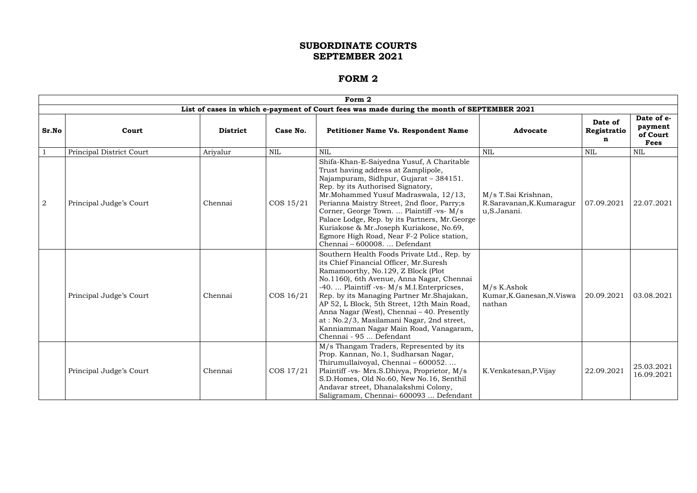|                | Form 2                   |                 |              |                                                                                                                                                                                                                                                                                                                                                                                                                                                                                     |                                                                |                             |                                                  |  |  |  |  |
|----------------|--------------------------|-----------------|--------------|-------------------------------------------------------------------------------------------------------------------------------------------------------------------------------------------------------------------------------------------------------------------------------------------------------------------------------------------------------------------------------------------------------------------------------------------------------------------------------------|----------------------------------------------------------------|-----------------------------|--------------------------------------------------|--|--|--|--|
|                |                          |                 |              | List of cases in which e-payment of Court fees was made during the month of SEPTEMBER 2021                                                                                                                                                                                                                                                                                                                                                                                          |                                                                |                             |                                                  |  |  |  |  |
| Sr.No          | Court                    | <b>District</b> | Case No.     | <b>Petitioner Name Vs. Respondent Name</b>                                                                                                                                                                                                                                                                                                                                                                                                                                          | <b>Advocate</b>                                                | Date of<br>Registratio<br>n | Date of e-<br>payment<br>of Court<br><b>Fees</b> |  |  |  |  |
|                | Principal District Court | Ariyalur        | <b>NIL</b>   | <b>NIL</b>                                                                                                                                                                                                                                                                                                                                                                                                                                                                          | <b>NIL</b>                                                     | <b>NIL</b>                  | $\mbox{NIL}$                                     |  |  |  |  |
| $\overline{2}$ | Principal Judge's Court  | Chennai         | COS 15/21    | Shifa-Khan-E-Saiyedna Yusuf, A Charitable<br>Trust having address at Zamplipole,<br>Najampuram, Sidhpur, Gujarat - 384151.<br>Rep. by its Authorised Signatory,<br>Mr. Mohammed Yusuf Madraswala, 12/13,<br>Perianna Maistry Street, 2nd floor, Parry;s<br>Corner, George Town.  Plaintiff -vs- M/s<br>Palace Lodge, Rep. by its Partners, Mr. George<br>Kuriakose & Mr.Joseph Kuriakose, No.69,<br>Egmore High Road, Near F-2 Police station,<br>Chennai - 600008.  Defendant      | M/s T.Sai Krishnan,<br>R.Saravanan, K.Kumaragur<br>u,S.Janani. | 07.09.2021                  | 22.07.2021                                       |  |  |  |  |
|                | Principal Judge's Court  | Chennai         | $\cos 16/21$ | Southern Health Foods Private Ltd., Rep. by<br>its Chief Financial Officer, Mr.Suresh<br>Ramamoorthy, No.129, Z Block (Plot<br>No.1160), 6th Avenue, Anna Nagar, Chennai<br>-40.  Plaintiff -vs- M/s M.I. Enterpricses,<br>Rep. by its Managing Partner Mr.Shajakan,<br>AP 52, L Block, 5th Street, 12th Main Road,<br>Anna Nagar (West), Chennai – 40. Presently<br>at: No.2/3, Masilamani Nagar, 2nd street,<br>Kanniamman Nagar Main Road, Vanagaram,<br>Chennai - 95  Defendant | M/s K.Ashok<br>Kumar, K. Ganesan, N. Viswa<br>nathan           | 20.09.2021                  | 03.08.2021                                       |  |  |  |  |
|                | Principal Judge's Court  | Chennai         | COS 17/21    | M/s Thangam Traders, Represented by its<br>Prop. Kannan, No.1, Sudharsan Nagar,<br>Thirumullaivoyal, Chennai - 600052<br>Plaintiff -vs- Mrs.S.Dhivya, Proprietor, M/s<br>S.D.Homes, Old No.60, New No.16, Senthil<br>Andavar street, Dhanalakshmi Colony,<br>Saligramam, Chennai-600093  Defendant                                                                                                                                                                                  | K.Venkatesan, P.Vijay                                          | 22.09.2021                  | 25.03.2021<br>16.09.2021                         |  |  |  |  |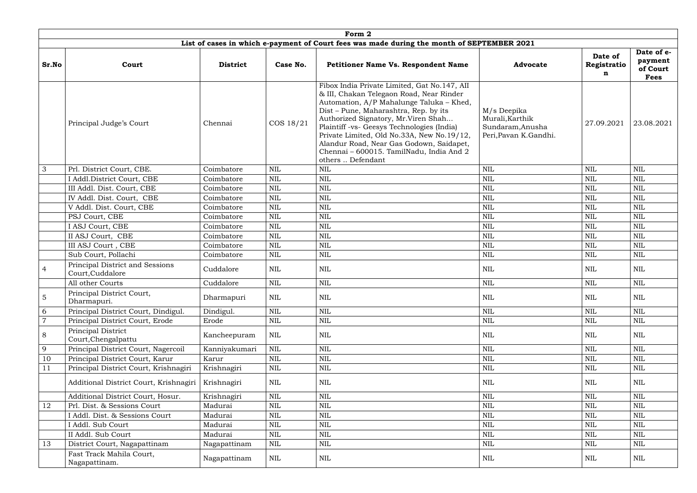|                | Form 2                                              |                 |              |                                                                                                                                                                                                                                                                                                                                                                                                                               |                                                                              |                             |                                                  |  |  |  |  |
|----------------|-----------------------------------------------------|-----------------|--------------|-------------------------------------------------------------------------------------------------------------------------------------------------------------------------------------------------------------------------------------------------------------------------------------------------------------------------------------------------------------------------------------------------------------------------------|------------------------------------------------------------------------------|-----------------------------|--------------------------------------------------|--|--|--|--|
|                |                                                     |                 |              | List of cases in which e-payment of Court fees was made during the month of SEPTEMBER 2021                                                                                                                                                                                                                                                                                                                                    |                                                                              |                             |                                                  |  |  |  |  |
| Sr.No          | Court                                               | <b>District</b> | Case No.     | <b>Petitioner Name Vs. Respondent Name</b>                                                                                                                                                                                                                                                                                                                                                                                    | <b>Advocate</b>                                                              | Date of<br>Registratio<br>n | Date of e-<br>payment<br>of Court<br><b>Fees</b> |  |  |  |  |
|                | Principal Judge's Court                             | Chennai         | COS 18/21    | Fibox India Private Limited, Gat No.147, AII<br>& III, Chakan Telegaon Road, Near Rinder<br>Automation, A/P Mahalunge Taluka - Khed,<br>Dist – Pune, Maharashtra, Rep. by its<br>Authorized Signatory, Mr.Viren Shah<br>Plaintiff -vs- Geesys Technologies (India)<br>Private Limited, Old No.33A, New No.19/12,<br>Alandur Road, Near Gas Godown, Saidapet,<br>Chennai - 600015. TamilNadu, India And 2<br>others  Defendant | M/s Deepika<br>Murali, Karthik<br>Sundaram, Anusha<br>Peri, Pavan K. Gandhi. | 27.09.2021                  | 23.08.2021                                       |  |  |  |  |
| 3              | Prl. District Court, CBE.                           | Coimbatore      | <b>NIL</b>   | <b>NIL</b>                                                                                                                                                                                                                                                                                                                                                                                                                    | <b>NIL</b>                                                                   | $\mbox{NIL}$                | <b>NIL</b>                                       |  |  |  |  |
|                | I Addl.District Court, CBE                          | Coimbatore      | <b>NIL</b>   | $\mbox{NIL}$                                                                                                                                                                                                                                                                                                                                                                                                                  | $\mbox{NIL}$                                                                 | $\mbox{NIL}$                | <b>NIL</b>                                       |  |  |  |  |
|                | III Addl. Dist. Court, CBE                          | Coimbatore      | <b>NIL</b>   | $\mbox{NIL}$                                                                                                                                                                                                                                                                                                                                                                                                                  | $\mbox{NIL}$                                                                 | $\mbox{NIL}$                | <b>NIL</b>                                       |  |  |  |  |
|                | IV Addl. Dist. Court, CBE                           | Coimbatore      | <b>NIL</b>   | $\mbox{NIL}$                                                                                                                                                                                                                                                                                                                                                                                                                  | $\mbox{NIL}$                                                                 | <b>NIL</b>                  | <b>NIL</b>                                       |  |  |  |  |
|                | V Addl. Dist. Court, CBE                            | Coimbatore      | <b>NIL</b>   | $\mbox{NIL}$                                                                                                                                                                                                                                                                                                                                                                                                                  | $\mbox{NIL}$                                                                 | $\mbox{NIL}$                | <b>NIL</b>                                       |  |  |  |  |
|                | PSJ Court, CBE                                      | Coimbatore      | <b>NIL</b>   | <b>NIL</b>                                                                                                                                                                                                                                                                                                                                                                                                                    | NIL                                                                          | <b>NIL</b>                  | <b>NIL</b>                                       |  |  |  |  |
|                | I ASJ Court, CBE                                    | Coimbatore      | <b>NIL</b>   | $\mbox{NIL}$                                                                                                                                                                                                                                                                                                                                                                                                                  | $\mbox{NIL}$                                                                 | <b>NIL</b>                  | <b>NIL</b>                                       |  |  |  |  |
|                | II ASJ Court, CBE                                   | Coimbatore      | <b>NIL</b>   | <b>NIL</b>                                                                                                                                                                                                                                                                                                                                                                                                                    | $\mbox{NIL}$                                                                 | <b>NIL</b>                  | <b>NIL</b>                                       |  |  |  |  |
|                | III ASJ Court , CBE                                 | Coimbatore      | <b>NIL</b>   | $\mbox{NIL}$                                                                                                                                                                                                                                                                                                                                                                                                                  | $\mbox{NIL}$                                                                 | $\mbox{NIL}$                | $\mbox{NIL}$                                     |  |  |  |  |
|                | Sub Court, Pollachi                                 | Coimbatore      | <b>NIL</b>   | <b>NIL</b>                                                                                                                                                                                                                                                                                                                                                                                                                    | $\mbox{NIL}$                                                                 | <b>NIL</b>                  | <b>NIL</b>                                       |  |  |  |  |
| $\overline{4}$ | Principal District and Sessions<br>Court, Cuddalore | Cuddalore       | <b>NIL</b>   | NIL                                                                                                                                                                                                                                                                                                                                                                                                                           | $\mbox{NIL}$                                                                 | NIL                         | <b>NIL</b>                                       |  |  |  |  |
|                | All other Courts                                    | Cuddalore       | <b>NIL</b>   | $\mbox{NIL}$                                                                                                                                                                                                                                                                                                                                                                                                                  | $\mbox{NIL}$                                                                 | <b>NIL</b>                  | <b>NIL</b>                                       |  |  |  |  |
| 5              | Principal District Court,<br>Dharmapuri.            | Dharmapuri      | $\text{NIL}$ | $\mbox{NIL}$                                                                                                                                                                                                                                                                                                                                                                                                                  | $\mbox{NIL}$                                                                 | $\mbox{NIL}$                | $\mbox{NIL}$                                     |  |  |  |  |
| 6              | Principal District Court, Dindigul.                 | Dindigul.       | $\text{NIL}$ | $\mbox{NIL}$                                                                                                                                                                                                                                                                                                                                                                                                                  | $\mbox{NIL}$                                                                 | $\mbox{NIL}$                | <b>NIL</b>                                       |  |  |  |  |
| $\overline{7}$ | Principal District Court, Erode                     | Erode           | <b>NIL</b>   | $\mbox{NIL}$                                                                                                                                                                                                                                                                                                                                                                                                                  | $\mbox{NIL}$                                                                 | <b>NIL</b>                  | $\mbox{NIL}$                                     |  |  |  |  |
| 8              | Principal District<br>Court, Chengalpattu           | Kancheepuram    | <b>NIL</b>   | NIL                                                                                                                                                                                                                                                                                                                                                                                                                           | <b>NIL</b>                                                                   | NIL                         | NIL                                              |  |  |  |  |
| 9              | Principal District Court, Nagercoil                 | Kanniyakumari   | <b>NIL</b>   | <b>NIL</b>                                                                                                                                                                                                                                                                                                                                                                                                                    | $\mbox{NIL}$                                                                 | $\mbox{NIL}$                | $\text{NIL}$                                     |  |  |  |  |
| 10             | Principal District Court, Karur                     | Karur           | NIL          | $\mbox{NIL}$                                                                                                                                                                                                                                                                                                                                                                                                                  | $\mbox{NIL}$                                                                 | NIL                         | <b>NIL</b>                                       |  |  |  |  |
| 11             | Principal District Court, Krishnagiri               | Krishnagiri     | <b>NIL</b>   | $\mbox{NIL}$                                                                                                                                                                                                                                                                                                                                                                                                                  | $\mbox{NIL}$                                                                 | <b>NIL</b>                  | $\mbox{NIL}$                                     |  |  |  |  |
|                | Additional District Court, Krishnagiri              | Krishnagiri     | <b>NIL</b>   | $\mbox{NIL}$                                                                                                                                                                                                                                                                                                                                                                                                                  | $\mbox{NIL}$                                                                 | <b>NIL</b>                  | <b>NIL</b>                                       |  |  |  |  |
|                | Additional District Court, Hosur.                   | Krishnagiri     | <b>NIL</b>   | $\mbox{NIL}$                                                                                                                                                                                                                                                                                                                                                                                                                  | $\mbox{NIL}$                                                                 | $\mbox{NIL}$                | <b>NIL</b>                                       |  |  |  |  |
| 12             | Prl. Dist. & Sessions Court                         | Madurai         | <b>NIL</b>   | $\mbox{NIL}$                                                                                                                                                                                                                                                                                                                                                                                                                  | $\mbox{NIL}$                                                                 | $\mbox{NIL}$                | $\text{NIL}$                                     |  |  |  |  |
|                | I Addl. Dist. & Sessions Court                      | Madurai         | NIL          | $\mbox{NIL}$                                                                                                                                                                                                                                                                                                                                                                                                                  | $\mbox{NIL}$                                                                 | <b>NIL</b>                  | $\mbox{NIL}$                                     |  |  |  |  |
|                | I Addl. Sub Court                                   | Madurai         | <b>NIL</b>   | $\mbox{NIL}$                                                                                                                                                                                                                                                                                                                                                                                                                  | $\mbox{NIL}$                                                                 | $\mbox{NIL}$                | $\text{NIL}$                                     |  |  |  |  |
|                | II Addl. Sub Court                                  | Madurai         | <b>NIL</b>   | $\mbox{NIL}$                                                                                                                                                                                                                                                                                                                                                                                                                  | $\mbox{NIL}$                                                                 | $\mbox{NIL}$                | $\text{NIL}$                                     |  |  |  |  |
| 13             | District Court, Nagapattinam                        | Nagapattinam    | <b>NIL</b>   | $\mbox{NIL}$                                                                                                                                                                                                                                                                                                                                                                                                                  | $\mbox{NIL}$                                                                 | <b>NIL</b>                  | <b>NIL</b>                                       |  |  |  |  |
|                | Fast Track Mahila Court,<br>Nagapattinam.           | Nagapattinam    | NIL          | <b>NIL</b>                                                                                                                                                                                                                                                                                                                                                                                                                    | $\mbox{NIL}$                                                                 | NIL                         | NIL                                              |  |  |  |  |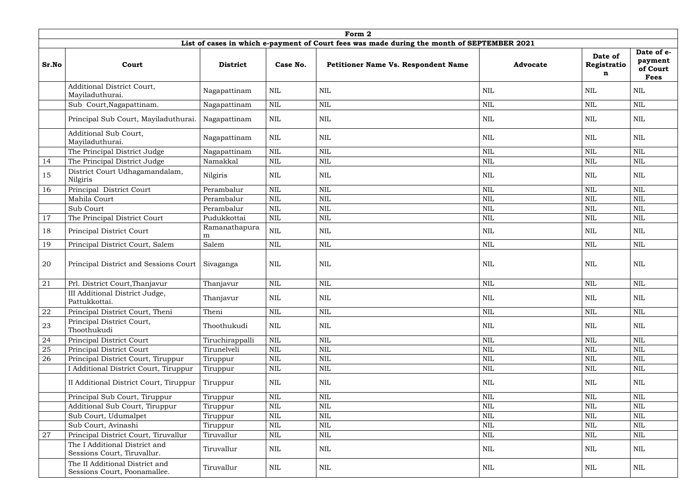|       | Form 2                                                         |                    |              |                                                                                            |                 |                             |                                                  |  |  |  |  |
|-------|----------------------------------------------------------------|--------------------|--------------|--------------------------------------------------------------------------------------------|-----------------|-----------------------------|--------------------------------------------------|--|--|--|--|
|       |                                                                |                    |              | List of cases in which e-payment of Court fees was made during the month of SEPTEMBER 2021 |                 |                             |                                                  |  |  |  |  |
| Sr.No | Court                                                          | <b>District</b>    | Case No.     | <b>Petitioner Name Vs. Respondent Name</b>                                                 | <b>Advocate</b> | Date of<br>Registratio<br>n | Date of e-<br>payment<br>of Court<br><b>Fees</b> |  |  |  |  |
|       | <b>Additional District Court,</b><br>Mayiladuthurai.           | Nagapattinam       | $\mbox{NIL}$ | <b>NIL</b>                                                                                 | <b>NIL</b>      | <b>NIL</b>                  | <b>NIL</b>                                       |  |  |  |  |
|       | Sub Court, Nagapattinam.                                       | Nagapattinam       | $\text{NIL}$ | $\mbox{NIL}$                                                                               | <b>NIL</b>      | <b>NIL</b>                  | NIL                                              |  |  |  |  |
|       | Principal Sub Court, Mayiladuthurai.                           | Nagapattinam       | <b>NIL</b>   | <b>NIL</b>                                                                                 | <b>NIL</b>      | <b>NIL</b>                  | <b>NIL</b>                                       |  |  |  |  |
|       | <b>Additional Sub Court,</b><br>Mayiladuthurai.                | Nagapattinam       | <b>NIL</b>   | <b>NIL</b>                                                                                 | <b>NIL</b>      | <b>NIL</b>                  | <b>NIL</b>                                       |  |  |  |  |
|       | The Principal District Judge                                   | Nagapattinam       | <b>NIL</b>   | $\mbox{NIL}$                                                                               | <b>NIL</b>      | <b>NIL</b>                  | <b>NIL</b>                                       |  |  |  |  |
| 14    | The Principal District Judge                                   | Namakkal           | <b>NIL</b>   | $\mbox{NIL}$                                                                               | <b>NIL</b>      | <b>NIL</b>                  | $\mbox{NIL}$                                     |  |  |  |  |
| 15    | District Court Udhagamandalam,<br>Nilgiris                     | Nilgiris           | <b>NIL</b>   | <b>NIL</b>                                                                                 | <b>NIL</b>      | <b>NIL</b>                  | NIL                                              |  |  |  |  |
| 16    | Principal District Court                                       | Perambalur         | <b>NIL</b>   | $\mbox{NIL}$                                                                               | <b>NIL</b>      | <b>NIL</b>                  | <b>NIL</b>                                       |  |  |  |  |
|       | Mahila Court                                                   | Perambalur         | <b>NIL</b>   | <b>NIL</b>                                                                                 | <b>NIL</b>      | <b>NIL</b>                  | <b>NIL</b>                                       |  |  |  |  |
|       | Sub Court                                                      | Perambalur         | <b>NIL</b>   | <b>NIL</b>                                                                                 | <b>NIL</b>      | <b>NIL</b>                  | <b>NIL</b>                                       |  |  |  |  |
| 17    | The Principal District Court                                   | Pudukkottai        | <b>NIL</b>   | $\mbox{NIL}$                                                                               | <b>NIL</b>      | <b>NIL</b>                  | <b>NIL</b>                                       |  |  |  |  |
| 18    | Principal District Court                                       | Ramanathapura<br>m | $\mbox{NIL}$ | $\mbox{NIL}$                                                                               | <b>NIL</b>      | <b>NIL</b>                  | <b>NIL</b>                                       |  |  |  |  |
| 19    | Principal District Court, Salem                                | Salem              | <b>NIL</b>   | <b>NIL</b>                                                                                 | <b>NIL</b>      | <b>NIL</b>                  | <b>NIL</b>                                       |  |  |  |  |
| 20    | Principal District and Sessions Court                          | Sivaganga          | $\text{NIL}$ | $\mbox{NIL}$                                                                               | <b>NIL</b>      | <b>NIL</b>                  | NIL                                              |  |  |  |  |
| 21    | Prl. District Court, Thanjavur                                 | Thanjavur          | $\text{NIL}$ | $\mbox{NIL}$                                                                               | <b>NIL</b>      | <b>NIL</b>                  | <b>NIL</b>                                       |  |  |  |  |
|       | III Additional District Judge,<br>Pattukkottai.                | Thanjavur          | <b>NIL</b>   | <b>NIL</b>                                                                                 | <b>NIL</b>      | $\mbox{NIL}$                | <b>NIL</b>                                       |  |  |  |  |
| 22    | Principal District Court, Theni                                | Theni              | <b>NIL</b>   | $\mbox{NIL}$                                                                               | <b>NIL</b>      | <b>NIL</b>                  | <b>NIL</b>                                       |  |  |  |  |
| 23    | Principal District Court,<br>Thoothukudi                       | Thoothukudi        | <b>NIL</b>   | <b>NIL</b>                                                                                 | <b>NIL</b>      | <b>NIL</b>                  | NIL                                              |  |  |  |  |
| 24    | Principal District Court                                       | Tiruchirappalli    | <b>NIL</b>   | $\mbox{NIL}$                                                                               | <b>NIL</b>      | <b>NIL</b>                  | <b>NIL</b>                                       |  |  |  |  |
| 25    | Principal District Court                                       | Tirunelveli        | <b>NIL</b>   | $\mbox{NIL}$                                                                               | <b>NIL</b>      | <b>NIL</b>                  | <b>NIL</b>                                       |  |  |  |  |
| 26    | Principal District Court, Tiruppur                             | Tiruppur           | NIL          | $\mbox{NIL}$                                                                               | <b>NIL</b>      | <b>NIL</b>                  | <b>NIL</b>                                       |  |  |  |  |
|       | Additional District Court, Tiruppur                            | Tiruppur           | $\mbox{NIL}$ | $\mbox{NIL}$                                                                               | <b>NIL</b>      | NIL                         | <b>NIL</b>                                       |  |  |  |  |
|       | II Additional District Court, Tiruppur                         | Tiruppur           | <b>NIL</b>   | NIL                                                                                        | <b>NIL</b>      | <b>NIL</b>                  | NIL                                              |  |  |  |  |
|       | Principal Sub Court, Tiruppur                                  | Tiruppur           | $\mbox{NIL}$ | $\mbox{NIL}$                                                                               | <b>NIL</b>      | <b>NIL</b>                  | <b>NIL</b>                                       |  |  |  |  |
|       | Additional Sub Court, Tiruppur                                 | Tiruppur           | <b>NIL</b>   | $\mbox{NIL}$                                                                               | <b>NIL</b>      | <b>NIL</b>                  | <b>NIL</b>                                       |  |  |  |  |
|       | Sub Court, Udumalpet                                           | Tiruppur           | NIL          | NIL                                                                                        | <b>NIL</b>      | <b>NIL</b>                  | <b>NIL</b>                                       |  |  |  |  |
|       | Sub Court, Avinashi                                            | Tiruppur           | NIL          | $\mbox{NIL}$                                                                               | NIL             | NIL                         | <b>NIL</b>                                       |  |  |  |  |
| 27    | Principal District Court, Tiruvallur                           | Tiruvallur         | $\mbox{NIL}$ | $\mbox{NIL}$                                                                               | <b>NIL</b>      | <b>NIL</b>                  | <b>NIL</b>                                       |  |  |  |  |
|       | The I Additional District and<br>Sessions Court, Tiruvallur.   | Tiruvallur         | NIL          | $\mbox{NIL}$                                                                               | <b>NIL</b>      | <b>NIL</b>                  | NIL                                              |  |  |  |  |
|       | The II Additional District and<br>Sessions Court, Poonamallee. | Tiruvallur         | $\rm NIL$    | NIL                                                                                        | <b>NIL</b>      | <b>NIL</b>                  | NIL                                              |  |  |  |  |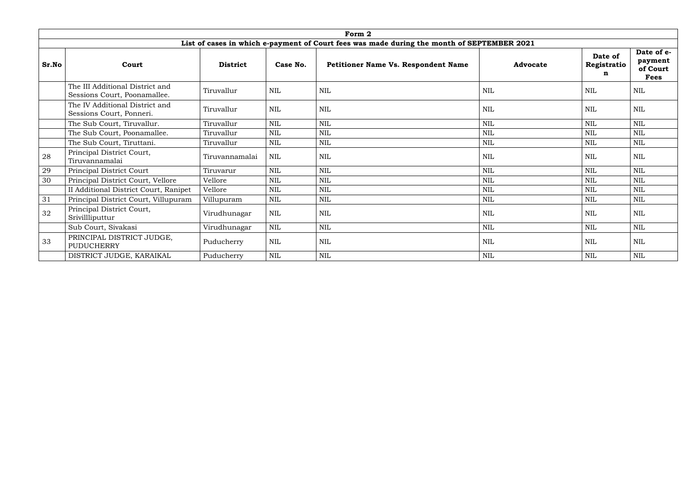|       |                                                                 |                 |            | Form 2                                                                                     |                 |                             |                                                  |
|-------|-----------------------------------------------------------------|-----------------|------------|--------------------------------------------------------------------------------------------|-----------------|-----------------------------|--------------------------------------------------|
|       |                                                                 |                 |            | List of cases in which e-payment of Court fees was made during the month of SEPTEMBER 2021 |                 |                             |                                                  |
| Sr.No | Court                                                           | <b>District</b> | Case No.   | Petitioner Name Vs. Respondent Name                                                        | <b>Advocate</b> | Date of<br>Registratio<br>n | Date of e-<br>payment<br>of Court<br><b>Fees</b> |
|       | The III Additional District and<br>Sessions Court, Poonamallee. | Tiruvallur      | <b>NIL</b> | $\mbox{NIL}$                                                                               | <b>NIL</b>      | <b>NIL</b>                  | <b>NIL</b>                                       |
|       | The IV Additional District and<br>Sessions Court, Ponneri.      | Tiruvallur      | <b>NIL</b> | $\mbox{NIL}$                                                                               | <b>NIL</b>      | <b>NIL</b>                  | <b>NIL</b>                                       |
|       | The Sub Court, Tiruvallur.                                      | Tiruvallur      | <b>NIL</b> | <b>NIL</b>                                                                                 | NIL             | <b>NIL</b>                  | <b>NIL</b>                                       |
|       | The Sub Court, Poonamallee.                                     | Tiruvallur      | <b>NIL</b> | <b>NIL</b>                                                                                 | <b>NIL</b>      | <b>NIL</b>                  | <b>NIL</b>                                       |
|       | The Sub Court, Tiruttani.                                       | Tiruvallur      | <b>NIL</b> | $\mbox{NIL}$                                                                               | NIL             | <b>NIL</b>                  | <b>NIL</b>                                       |
| 28    | Principal District Court,<br>Tiruvannamalai                     | Tiruvannamalai  | <b>NIL</b> | <b>NIL</b>                                                                                 | <b>NIL</b>      | <b>NIL</b>                  | NIL                                              |
| 29    | Principal District Court                                        | Tiruvarur       | <b>NIL</b> | <b>NIL</b>                                                                                 | <b>NIL</b>      | <b>NIL</b>                  | <b>NIL</b>                                       |
| 30    | Principal District Court, Vellore                               | Vellore         | <b>NIL</b> | <b>NIL</b>                                                                                 | NIL             | <b>NIL</b>                  | <b>NIL</b>                                       |
|       | II Additional District Court, Ranipet                           | Vellore         | <b>NIL</b> | <b>NIL</b>                                                                                 | <b>NIL</b>      | <b>NIL</b>                  | <b>NIL</b>                                       |
| 31    | Principal District Court, Villupuram                            | Villupuram      | <b>NIL</b> | <b>NIL</b>                                                                                 | <b>NIL</b>      | <b>NIL</b>                  | <b>NIL</b>                                       |
| 32    | Principal District Court,<br>Srivillliputtur                    | Virudhunagar    | NIL        | <b>NIL</b>                                                                                 | <b>NIL</b>      | <b>NIL</b>                  | <b>NIL</b>                                       |
|       | Sub Court, Sivakasi                                             | Virudhunagar    | <b>NIL</b> | $\mbox{NIL}$                                                                               | NIL             | <b>NIL</b>                  | <b>NIL</b>                                       |
| 33    | PRINCIPAL DISTRICT JUDGE,<br>PUDUCHERRY                         | Puducherry      | <b>NIL</b> | <b>NIL</b>                                                                                 | <b>NIL</b>      | <b>NIL</b>                  | <b>NIL</b>                                       |
|       | DISTRICT JUDGE, KARAIKAL                                        | Puducherry      | <b>NIL</b> | $\mbox{NIL}$                                                                               | <b>NIL</b>      | <b>NIL</b>                  | <b>NIL</b>                                       |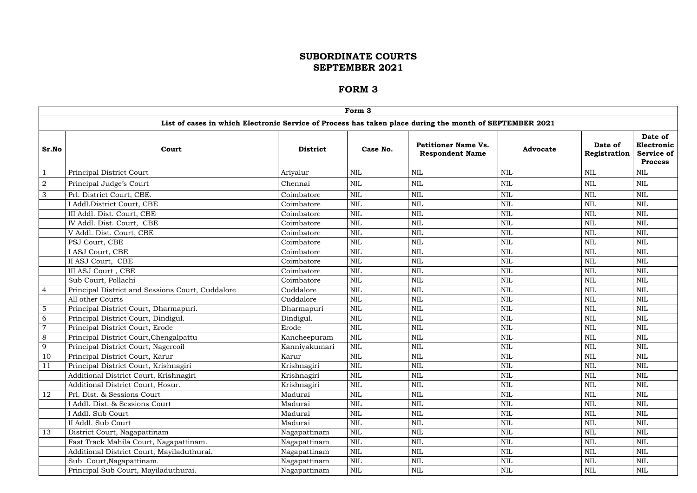|                |                                                                                                         |                 | Form 3       |                                                      |                 |                         |                                                         |
|----------------|---------------------------------------------------------------------------------------------------------|-----------------|--------------|------------------------------------------------------|-----------------|-------------------------|---------------------------------------------------------|
|                | List of cases in which Electronic Service of Process has taken place during the month of SEPTEMBER 2021 |                 |              |                                                      |                 |                         |                                                         |
| Sr.No          | Court                                                                                                   | <b>District</b> | Case No.     | <b>Petitioner Name Vs.</b><br><b>Respondent Name</b> | <b>Advocate</b> | Date of<br>Registration | Date of<br>Electronic  <br>Service of<br><b>Process</b> |
|                | Principal District Court                                                                                | Ariyalur        | $\mbox{NIL}$ | <b>NIL</b>                                           | <b>NIL</b>      | $\mbox{NIL}$            | <b>NIL</b>                                              |
| $\overline{2}$ | Principal Judge's Court                                                                                 | Chennai         | <b>NIL</b>   | $\mbox{NIL}$                                         | <b>NIL</b>      | <b>NIL</b>              | <b>NIL</b>                                              |
| 3              | Prl. District Court, CBE.                                                                               | Coimbatore      | $\mbox{NIL}$ | <b>NIL</b>                                           | <b>NIL</b>      | <b>NIL</b>              | <b>NIL</b>                                              |
|                | I Addl.District Court, CBE                                                                              | Coimbatore      | <b>NIL</b>   | <b>NIL</b>                                           | <b>NIL</b>      | <b>NIL</b>              | <b>NIL</b>                                              |
|                | III Addl. Dist. Court, CBE                                                                              | Coimbatore      | $\mbox{NIL}$ | <b>NIL</b>                                           | <b>NIL</b>      | <b>NIL</b>              | <b>NIL</b>                                              |
|                | IV Addl. Dist. Court, CBE                                                                               | Coimbatore      | $\mbox{NIL}$ | <b>NIL</b>                                           | <b>NIL</b>      | $\mbox{NIL}$            | <b>NIL</b>                                              |
|                | V Addl. Dist. Court, CBE                                                                                | Coimbatore      | $\mbox{NIL}$ | <b>NIL</b>                                           | <b>NIL</b>      | $\mbox{NIL}$            | <b>NIL</b>                                              |
|                | PSJ Court, CBE                                                                                          | Coimbatore      | <b>NIL</b>   | <b>NIL</b>                                           | <b>NIL</b>      | <b>NIL</b>              | <b>NIL</b>                                              |
|                | I ASJ Court, CBE                                                                                        | Coimbatore      | $\mbox{NIL}$ | <b>NIL</b>                                           | <b>NIL</b>      | $\mbox{NIL}$            | <b>NIL</b>                                              |
|                | II ASJ Court, CBE                                                                                       | Coimbatore      | <b>NIL</b>   | <b>NIL</b>                                           | <b>NIL</b>      | <b>NIL</b>              | <b>NIL</b>                                              |
|                | III ASJ Court, CBE                                                                                      | Coimbatore      | $\mbox{NIL}$ | <b>NIL</b>                                           | <b>NIL</b>      | <b>NIL</b>              | <b>NIL</b>                                              |
|                | Sub Court, Pollachi                                                                                     | Coimbatore      | $\mbox{NIL}$ | <b>NIL</b>                                           | <b>NIL</b>      | <b>NIL</b>              | <b>NIL</b>                                              |
| $\overline{4}$ | Principal District and Sessions Court, Cuddalore                                                        | Cuddalore       | $\mbox{NIL}$ | <b>NIL</b>                                           | <b>NIL</b>      | $\mbox{NIL}$            | <b>NIL</b>                                              |
|                | All other Courts                                                                                        | Cuddalore       | <b>NIL</b>   | <b>NIL</b>                                           | <b>NIL</b>      | <b>NIL</b>              | <b>NIL</b>                                              |
| 5              | Principal District Court, Dharmapuri.                                                                   | Dharmapuri      | $\mbox{NIL}$ | <b>NIL</b>                                           | <b>NIL</b>      | $\mbox{NIL}$            | <b>NIL</b>                                              |
| 6              | Principal District Court, Dindigul.                                                                     | Dindigul.       | $\mbox{NIL}$ | <b>NIL</b>                                           | <b>NIL</b>      | <b>NIL</b>              | <b>NIL</b>                                              |
| $\overline{7}$ | Principal District Court, Erode                                                                         | Erode           | <b>NIL</b>   | <b>NIL</b>                                           | <b>NIL</b>      | <b>NIL</b>              | <b>NIL</b>                                              |
| 8              | Principal District Court, Chengalpattu                                                                  | Kancheepuram    | $\mbox{NIL}$ | <b>NIL</b>                                           | <b>NIL</b>      | <b>NIL</b>              | <b>NIL</b>                                              |
| 9              | Principal District Court, Nagercoil                                                                     | Kanniyakumari   | $\mbox{NIL}$ | <b>NIL</b>                                           | <b>NIL</b>      | <b>NIL</b>              | <b>NIL</b>                                              |
| 10             | Principal District Court, Karur                                                                         | Karur           | <b>NIL</b>   | <b>NIL</b>                                           | <b>NIL</b>      | <b>NIL</b>              | <b>NIL</b>                                              |
| 11             | Principal District Court, Krishnagiri                                                                   | Krishnagiri     | NIL          | $\mbox{NIL}$                                         | $\mbox{NIL}$    | $\mbox{NIL}$            | $\mbox{NIL}$                                            |
|                | Additional District Court, Krishnagiri                                                                  | Krishnagiri     | NIL          | <b>NIL</b>                                           | <b>NIL</b>      | <b>NIL</b>              | <b>NIL</b>                                              |
|                | Additional District Court, Hosur.                                                                       | Krishnagiri     | $\mbox{NIL}$ | $\mbox{NIL}$                                         | <b>NIL</b>      | $\mbox{NIL}$            | <b>NIL</b>                                              |
| 12             | Prl. Dist. & Sessions Court                                                                             | Madurai         | $\mbox{NIL}$ | <b>NIL</b>                                           | NIL             | NIL                     | NIL                                                     |
|                | I Addl. Dist. & Sessions Court                                                                          | Madurai         | $\mbox{NIL}$ | $\mbox{NIL}$                                         | <b>NIL</b>      | $\mbox{NIL}$            | <b>NIL</b>                                              |
|                | I Addl. Sub Court                                                                                       | Madurai         | $\mbox{NIL}$ | $\mbox{NIL}$                                         | <b>NIL</b>      | $\mbox{NIL}$            | <b>NIL</b>                                              |
|                | II Addl. Sub Court                                                                                      | Madurai         | <b>NIL</b>   | $\mbox{NIL}$                                         | <b>NIL</b>      | $\mbox{NIL}$            | <b>NIL</b>                                              |
| 13             | District Court, Nagapattinam                                                                            | Nagapattinam    | <b>NIL</b>   | <b>NIL</b>                                           | NIL             | <b>NIL</b>              | NIL                                                     |
|                | Fast Track Mahila Court, Nagapattinam.                                                                  | Nagapattinam    | NIL          | $\mbox{NIL}$                                         | <b>NIL</b>      | <b>NIL</b>              | NIL                                                     |
|                | Additional District Court, Mayiladuthurai.                                                              | Nagapattinam    | <b>NIL</b>   | $\mbox{NIL}$                                         | <b>NIL</b>      | <b>NIL</b>              | <b>NIL</b>                                              |
|                | Sub Court, Nagapattinam.                                                                                | Nagapattinam    | $\mbox{NIL}$ | $\mbox{NIL}$                                         | $\mbox{NIL}$    | <b>NIL</b>              | <b>NIL</b>                                              |
|                | Principal Sub Court, Mayiladuthurai.                                                                    | Nagapattinam    | $\mbox{NIL}$ | $\mbox{NIL}$                                         | $\mbox{NIL}$    | NIL                     | NIL                                                     |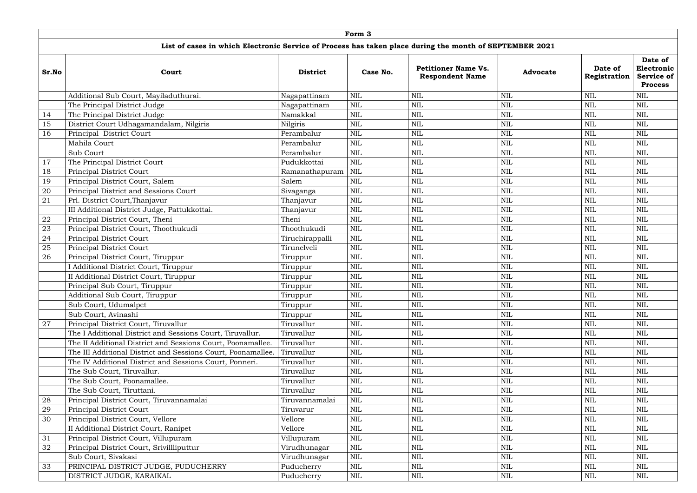|       |                                                                                                         |                 | Form 3     |                                                      |                 |                         |                                                              |
|-------|---------------------------------------------------------------------------------------------------------|-----------------|------------|------------------------------------------------------|-----------------|-------------------------|--------------------------------------------------------------|
|       | List of cases in which Electronic Service of Process has taken place during the month of SEPTEMBER 2021 |                 |            |                                                      |                 |                         |                                                              |
| Sr.No | Court                                                                                                   | <b>District</b> | Case No.   | <b>Petitioner Name Vs.</b><br><b>Respondent Name</b> | <b>Advocate</b> | Date of<br>Registration | Date of<br>Electronic<br><b>Service of</b><br><b>Process</b> |
|       | Additional Sub Court, Mayiladuthurai.                                                                   | Nagapattinam    | <b>NIL</b> | $\mbox{NIL}$                                         | <b>NIL</b>      | <b>NIL</b>              | $\mbox{NIL}$                                                 |
|       | The Principal District Judge                                                                            | Nagapattinam    | <b>NIL</b> | $\mbox{NIL}$                                         | <b>NIL</b>      | NIL                     | <b>NIL</b>                                                   |
| 14    | The Principal District Judge                                                                            | Namakkal        | <b>NIL</b> | $\mbox{NIL}$                                         | <b>NIL</b>      | NIL                     | <b>NIL</b>                                                   |
| 15    | District Court Udhagamandalam, Nilgiris                                                                 | Nilgiris        | <b>NIL</b> | <b>NIL</b>                                           | <b>NIL</b>      | <b>NIL</b>              | <b>NIL</b>                                                   |
| 16    | Principal District Court                                                                                | Perambalur      | <b>NIL</b> | $\mbox{NIL}$                                         | $\mbox{NIL}$    | NIL                     | <b>NIL</b>                                                   |
|       | Mahila Court                                                                                            | Perambalur      | <b>NIL</b> | $\mbox{NIL}$                                         | <b>NIL</b>      | NIL                     | <b>NIL</b>                                                   |
|       | Sub Court                                                                                               | Perambalur      | <b>NIL</b> | <b>NIL</b>                                           | $\mbox{NIL}$    | NIL                     | <b>NIL</b>                                                   |
| 17    | The Principal District Court                                                                            | Pudukkottai     | <b>NIL</b> | $\mbox{NIL}$                                         | $\mbox{NIL}$    | NIL                     | <b>NIL</b>                                                   |
| 18    | Principal District Court                                                                                | Ramanathapuram  | <b>NIL</b> | $\mbox{NIL}$                                         | $\text{NIL}$    | NIL                     | <b>NIL</b>                                                   |
| 19    | Principal District Court, Salem                                                                         | Salem           | <b>NIL</b> | $\mbox{NIL}$                                         | <b>NIL</b>      | NIL                     | <b>NIL</b>                                                   |
| 20    | Principal District and Sessions Court                                                                   | Sivaganga       | <b>NIL</b> | $\mbox{NIL}$                                         | $\mbox{NIL}$    | <b>NIL</b>              | <b>NIL</b>                                                   |
| 21    | Prl. District Court, Thanjavur                                                                          | Thanjavur       | <b>NIL</b> | <b>NIL</b>                                           | $\mbox{NIL}$    | NIL                     | <b>NIL</b>                                                   |
|       | III Additional District Judge, Pattukkottai.                                                            | Thanjavur       | <b>NIL</b> | $\mbox{NIL}$                                         | <b>NIL</b>      | NIL                     | <b>NIL</b>                                                   |
| 22    | Principal District Court, Theni                                                                         | Theni           | <b>NIL</b> | <b>NIL</b>                                           | $\mbox{NIL}$    | NIL                     | <b>NIL</b>                                                   |
| 23    | Principal District Court, Thoothukudi                                                                   | Thoothukudi     | <b>NIL</b> | $\mbox{NIL}$                                         | $\mbox{NIL}$    | NIL                     | <b>NIL</b>                                                   |
| 24    | Principal District Court                                                                                | Tiruchirappalli | <b>NIL</b> | $\mbox{NIL}$                                         | <b>NIL</b>      | NIL                     | <b>NIL</b>                                                   |
| 25    | Principal District Court                                                                                | Tirunelveli     | <b>NIL</b> | $\mbox{NIL}$                                         | <b>NIL</b>      | NIL                     | <b>NIL</b>                                                   |
| 26    | Principal District Court, Tiruppur                                                                      | Tiruppur        | <b>NIL</b> | <b>NIL</b>                                           | $\mbox{NIL}$    | <b>NIL</b>              | <b>NIL</b>                                                   |
|       | I Additional District Court, Tiruppur                                                                   | Tiruppur        | <b>NIL</b> | $\mbox{NIL}$                                         | $\mbox{NIL}$    | NIL                     | <b>NIL</b>                                                   |
|       | II Additional District Court, Tiruppur                                                                  | Tiruppur        | <b>NIL</b> | $\mbox{NIL}$                                         | <b>NIL</b>      | NIL                     | <b>NIL</b>                                                   |
|       | Principal Sub Court, Tiruppur                                                                           | Tiruppur        | <b>NIL</b> | <b>NIL</b>                                           | $\mbox{NIL}$    | NIL                     | <b>NIL</b>                                                   |
|       | Additional Sub Court, Tiruppur                                                                          | Tiruppur        | <b>NIL</b> | $\mbox{NIL}$                                         | <b>NIL</b>      | <b>NIL</b>              | <b>NIL</b>                                                   |
|       | Sub Court, Udumalpet                                                                                    | Tiruppur        | <b>NIL</b> | <b>NIL</b>                                           | <b>NIL</b>      | <b>NIL</b>              | <b>NIL</b>                                                   |
|       | Sub Court, Avinashi                                                                                     | Tiruppur        | <b>NIL</b> | <b>NIL</b>                                           | $\mbox{NIL}$    | NIL                     | <b>NIL</b>                                                   |
| 27    | Principal District Court, Tiruvallur                                                                    | Tiruvallur      | <b>NIL</b> | $\mbox{NIL}$                                         | $\mbox{NIL}$    | <b>NIL</b>              | <b>NIL</b>                                                   |
|       | The I Additional District and Sessions Court, Tiruvallur.                                               | Tiruvallur      | <b>NIL</b> | $\mbox{NIL}$                                         | $\mbox{NIL}$    | NIL                     | <b>NIL</b>                                                   |
|       | The II Additional District and Sessions Court, Poonamallee.                                             | Tiruvallur      | <b>NIL</b> | $\mbox{NIL}$                                         | $\mbox{NIL}$    | NIL                     | <b>NIL</b>                                                   |
|       | The III Additional District and Sessions Court, Poonamallee.                                            | Tiruvallur      | <b>NIL</b> | $\mbox{NIL}$                                         | <b>NIL</b>      | <b>NIL</b>              | <b>NIL</b>                                                   |
|       | The IV Additional District and Sessions Court, Ponneri.                                                 | Tiruvallur      | <b>NIL</b> | $\mbox{NIL}$                                         | $\mbox{NIL}$    | NIL                     | <b>NIL</b>                                                   |
|       | The Sub Court, Tiruvallur.                                                                              | Tiruvallur      | <b>NIL</b> | $\mbox{NIL}$                                         | $\mbox{NIL}$    | NIL                     | <b>NIL</b>                                                   |
|       | The Sub Court, Poonamallee.                                                                             | Tiruvallur      | <b>NIL</b> | <b>NIL</b>                                           | $\mbox{NIL}$    | NIL                     | <b>NIL</b>                                                   |
|       | The Sub Court, Tiruttani.                                                                               | Tiruvallur      | NIL        | <b>NIL</b>                                           | $\mbox{NIL}$    | NIL                     | <b>NIL</b>                                                   |
| 28    | Principal District Court, Tiruvannamalai                                                                | Tiruvannamalai  | <b>NIL</b> | $\mbox{NIL}$                                         | $\text{NIL}$    | NIL                     | <b>NIL</b>                                                   |
| 29    | Principal District Court                                                                                | Tiruvarur       | <b>NIL</b> | $\mbox{NIL}$                                         | $\mbox{NIL}$    | NIL                     | <b>NIL</b>                                                   |
| 30    | Principal District Court, Vellore                                                                       | Vellore         | <b>NIL</b> | $\mbox{NIL}$                                         | $\mbox{NIL}$    | <b>NIL</b>              | $\mbox{NIL}$                                                 |
|       | II Additional District Court, Ranipet                                                                   | Vellore         | NIL        | $\mbox{NIL}$                                         | $\mbox{NIL}$    | NIL                     | <b>NIL</b>                                                   |
| 31    | Principal District Court, Villupuram                                                                    | Villupuram      | <b>NIL</b> | $\mbox{NIL}$                                         | $\mbox{NIL}$    | NIL                     | <b>NIL</b>                                                   |
| 32    | Principal District Court, Srivillliputtur                                                               | Virudhunagar    | NIL        | <b>NIL</b>                                           | <b>NIL</b>      | NIL                     | NIL                                                          |
|       | Sub Court, Sivakasi                                                                                     | Virudhunagar    | <b>NIL</b> | $\mbox{NIL}$                                         | $\mbox{NIL}$    | NIL                     | <b>NIL</b>                                                   |
| 33    | PRINCIPAL DISTRICT JUDGE, PUDUCHERRY                                                                    | Puducherry      | <b>NIL</b> | $\mbox{NIL}$                                         | $\mbox{NIL}$    | NIL                     | $\mbox{NIL}$                                                 |
|       | DISTRICT JUDGE, KARAIKAL                                                                                | Puducherry      | <b>NIL</b> | $\mbox{NIL}$                                         | $\mbox{NIL}$    | <b>NIL</b>              | NIL                                                          |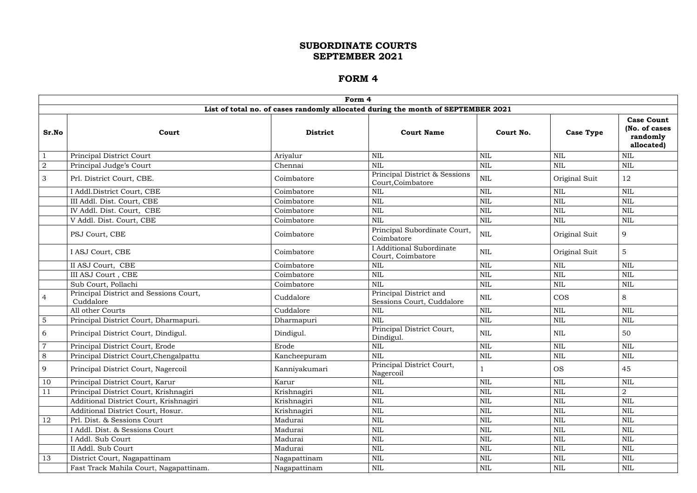|                |                                                     | Form 4          |                                                                                  |              |                  |                                                              |
|----------------|-----------------------------------------------------|-----------------|----------------------------------------------------------------------------------|--------------|------------------|--------------------------------------------------------------|
|                |                                                     |                 | List of total no. of cases randomly allocated during the month of SEPTEMBER 2021 |              |                  |                                                              |
| Sr.No          | Court                                               | <b>District</b> | <b>Court Name</b>                                                                | Court No.    | <b>Case Type</b> | <b>Case Count</b><br>(No. of cases<br>randomly<br>allocated) |
|                | Principal District Court                            | Ariyalur        | <b>NIL</b>                                                                       | <b>NIL</b>   | <b>NIL</b>       | $\text{NIL}$                                                 |
| $\overline{a}$ | Principal Judge's Court                             | Chennai         | <b>NIL</b>                                                                       | <b>NIL</b>   | <b>NIL</b>       | <b>NIL</b>                                                   |
| 3              | Prl. District Court, CBE.                           | Coimbatore      | Principal District & Sessions<br>Court, Coimbatore                               | <b>NIL</b>   | Original Suit    | 12                                                           |
|                | I Addl.District Court, CBE                          | Coimbatore      | <b>NIL</b>                                                                       | <b>NIL</b>   | <b>NIL</b>       | <b>NIL</b>                                                   |
|                | III Addl. Dist. Court, CBE                          | Coimbatore      | <b>NIL</b>                                                                       | <b>NIL</b>   | <b>NIL</b>       | <b>NIL</b>                                                   |
|                | IV Addl. Dist. Court, CBE                           | Coimbatore      | <b>NIL</b>                                                                       | <b>NIL</b>   | <b>NIL</b>       | <b>NIL</b>                                                   |
|                | V Addl. Dist. Court, CBE                            | Coimbatore      | <b>NIL</b>                                                                       | <b>NIL</b>   | <b>NIL</b>       | <b>NIL</b>                                                   |
|                | PSJ Court, CBE                                      | Coimbatore      | Principal Subordinate Court,<br>Coimbatore                                       | <b>NIL</b>   | Original Suit    | 9                                                            |
|                | I ASJ Court, CBE                                    | Coimbatore      | I Additional Subordinate<br>Court, Coimbatore                                    | <b>NIL</b>   | Original Suit    | 5                                                            |
|                | II ASJ Court, CBE                                   | Coimbatore      | <b>NIL</b>                                                                       | <b>NIL</b>   | <b>NIL</b>       | <b>NIL</b>                                                   |
|                | III ASJ Court , CBE                                 | Coimbatore      | <b>NIL</b>                                                                       | <b>NIL</b>   | <b>NIL</b>       | <b>NIL</b>                                                   |
|                | Sub Court, Pollachi                                 | Coimbatore      | <b>NIL</b>                                                                       | <b>NIL</b>   | <b>NIL</b>       | <b>NIL</b>                                                   |
| $\overline{4}$ | Principal District and Sessions Court,<br>Cuddalore | Cuddalore       | Principal District and<br>Sessions Court, Cuddalore                              | <b>NIL</b>   | <b>COS</b>       | 8                                                            |
|                | All other Courts                                    | Cuddalore       | <b>NIL</b>                                                                       | <b>NIL</b>   | <b>NIL</b>       | <b>NIL</b>                                                   |
| $5\phantom{.}$ | Principal District Court, Dharmapuri.               | Dharmapuri      | <b>NIL</b>                                                                       | <b>NIL</b>   | <b>NIL</b>       | $\mbox{NIL}$                                                 |
| 6              | Principal District Court, Dindigul.                 | Dindigul.       | Principal District Court,<br>Dindigul.                                           | <b>NIL</b>   | <b>NIL</b>       | 50                                                           |
| $\overline{7}$ | Principal District Court, Erode                     | Erode           | <b>NIL</b>                                                                       | <b>NIL</b>   | <b>NIL</b>       | <b>NIL</b>                                                   |
| $8\phantom{1}$ | Principal District Court, Chengalpattu              | Kancheepuram    | <b>NIL</b>                                                                       | $\mbox{NIL}$ | $\mbox{NIL}$     | $\mbox{NIL}$                                                 |
| 9              | Principal District Court, Nagercoil                 | Kanniyakumari   | Principal District Court,<br>Nagercoil                                           |              | <b>OS</b>        | 45                                                           |
| 10             | Principal District Court, Karur                     | Karur           | <b>NIL</b>                                                                       | <b>NIL</b>   | <b>NIL</b>       | NIL                                                          |
| 11             | Principal District Court, Krishnagiri               | Krishnagiri     | <b>NIL</b>                                                                       | <b>NIL</b>   | NIL              | $\overline{2}$                                               |
|                | Additional District Court, Krishnagiri              | Krishnagiri     | <b>NIL</b>                                                                       | <b>NIL</b>   | <b>NIL</b>       | NIL                                                          |
|                | Additional District Court, Hosur.                   | Krishnagiri     | <b>NIL</b>                                                                       | $\mbox{NIL}$ | <b>NIL</b>       | $\mbox{NIL}$                                                 |
| 12             | Prl. Dist. & Sessions Court                         | Madurai         | <b>NIL</b>                                                                       | <b>NIL</b>   | <b>NIL</b>       | $\mbox{NIL}$                                                 |
|                | I Addl. Dist. & Sessions Court                      | Madurai         | <b>NIL</b>                                                                       | <b>NIL</b>   | <b>NIL</b>       | NIL                                                          |
|                | I Addl. Sub Court                                   | Madurai         | <b>NIL</b>                                                                       | <b>NIL</b>   | NIL              | <b>NIL</b>                                                   |
|                | II Addl. Sub Court                                  | Madurai         | <b>NIL</b>                                                                       | <b>NIL</b>   | <b>NIL</b>       | NIL                                                          |
| 13             | District Court, Nagapattinam                        | Nagapattinam    | <b>NIL</b>                                                                       | <b>NIL</b>   | <b>NIL</b>       | NIL                                                          |
|                | Fast Track Mahila Court, Nagapattinam.              | Nagapattinam    | <b>NIL</b>                                                                       | <b>NIL</b>   | <b>NIL</b>       | NIL                                                          |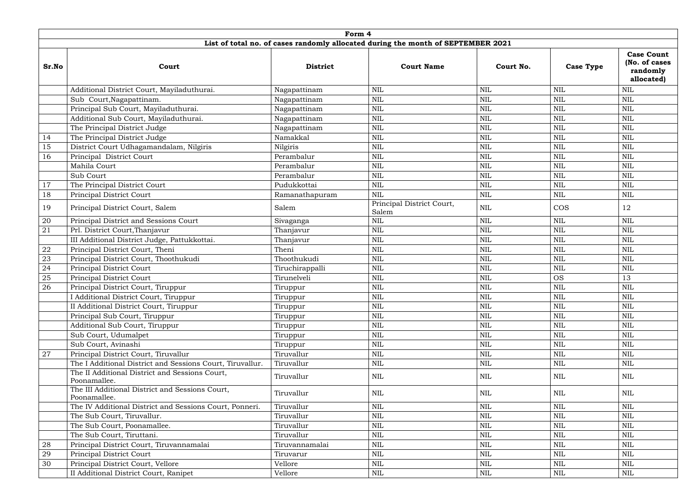|            | Form 4                                                          |                 |                                                                                  |              |                  |                                                              |  |  |  |  |  |  |  |
|------------|-----------------------------------------------------------------|-----------------|----------------------------------------------------------------------------------|--------------|------------------|--------------------------------------------------------------|--|--|--|--|--|--|--|
|            |                                                                 |                 | List of total no. of cases randomly allocated during the month of SEPTEMBER 2021 |              |                  |                                                              |  |  |  |  |  |  |  |
| Sr.No      | Court                                                           | <b>District</b> | <b>Court Name</b>                                                                | Court No.    | <b>Case Type</b> | <b>Case Count</b><br>(No. of cases<br>randomly<br>allocated) |  |  |  |  |  |  |  |
|            | Additional District Court, Mayiladuthurai.                      | Nagapattinam    | $\mbox{NIL}$                                                                     | <b>NIL</b>   | <b>NIL</b>       | <b>NIL</b>                                                   |  |  |  |  |  |  |  |
|            | Sub Court, Nagapattinam.                                        | Nagapattinam    | <b>NIL</b>                                                                       | <b>NIL</b>   | <b>NIL</b>       | $\mbox{NIL}$                                                 |  |  |  |  |  |  |  |
|            | Principal Sub Court, Mayiladuthurai.                            | Nagapattinam    | <b>NIL</b>                                                                       | <b>NIL</b>   | <b>NIL</b>       | <b>NIL</b>                                                   |  |  |  |  |  |  |  |
|            | Additional Sub Court, Mayiladuthurai.                           | Nagapattinam    | <b>NIL</b>                                                                       | <b>NIL</b>   | <b>NIL</b>       | <b>NIL</b>                                                   |  |  |  |  |  |  |  |
|            | The Principal District Judge                                    | Nagapattinam    | <b>NIL</b>                                                                       | <b>NIL</b>   | <b>NIL</b>       | $\mbox{NIL}$                                                 |  |  |  |  |  |  |  |
| 14         | The Principal District Judge                                    | Namakkal        | $\mbox{NIL}$                                                                     | <b>NIL</b>   | <b>NIL</b>       | <b>NIL</b>                                                   |  |  |  |  |  |  |  |
| 15         | District Court Udhagamandalam, Nilgiris                         | Nilgiris        | <b>NIL</b>                                                                       | <b>NIL</b>   | <b>NIL</b>       | <b>NIL</b>                                                   |  |  |  |  |  |  |  |
| 16         | Principal District Court                                        | Perambalur      | <b>NIL</b>                                                                       | <b>NIL</b>   | <b>NIL</b>       | <b>NIL</b>                                                   |  |  |  |  |  |  |  |
|            | Mahila Court                                                    | Perambalur      | <b>NIL</b>                                                                       | <b>NIL</b>   | <b>NIL</b>       | <b>NIL</b>                                                   |  |  |  |  |  |  |  |
|            | Sub Court                                                       | Perambalur      | $\mbox{NIL}$                                                                     | <b>NIL</b>   | $\mbox{NIL}$     | $\mbox{NIL}$                                                 |  |  |  |  |  |  |  |
| 17         | The Principal District Court                                    | Pudukkottai     | <b>NIL</b>                                                                       | <b>NIL</b>   | <b>NIL</b>       | <b>NIL</b>                                                   |  |  |  |  |  |  |  |
| 18         | Principal District Court                                        | Ramanathapuram  | <b>NIL</b>                                                                       | $\mbox{NIL}$ | $\mbox{NIL}$     | $\mbox{NIL}$                                                 |  |  |  |  |  |  |  |
| 19         | Principal District Court, Salem                                 | Salem           | Principal District Court,<br>Salem                                               | <b>NIL</b>   | <b>COS</b>       | 12                                                           |  |  |  |  |  |  |  |
| 20         | Principal District and Sessions Court                           | Sivaganga       | $\mbox{NIL}$                                                                     | $\mbox{NIL}$ | <b>NIL</b>       | <b>NIL</b>                                                   |  |  |  |  |  |  |  |
| 21         | Prl. District Court, Thanjavur                                  | Thanjavur       | <b>NIL</b>                                                                       | <b>NIL</b>   | <b>NIL</b>       | $\mbox{NIL}$                                                 |  |  |  |  |  |  |  |
|            | III Additional District Judge, Pattukkottai.                    | Thanjavur       | <b>NIL</b>                                                                       | <b>NIL</b>   | <b>NIL</b>       | $\mbox{NIL}$                                                 |  |  |  |  |  |  |  |
| ${\bf 22}$ | Principal District Court, Theni                                 | Theni           | $\mbox{NIL}$                                                                     | <b>NIL</b>   | <b>NIL</b>       | <b>NIL</b>                                                   |  |  |  |  |  |  |  |
| 23         | Principal District Court, Thoothukudi                           | Thoothukudi     | <b>NIL</b>                                                                       | <b>NIL</b>   | <b>NIL</b>       | <b>NIL</b>                                                   |  |  |  |  |  |  |  |
| 24         | Principal District Court                                        | Tiruchirappalli | <b>NIL</b>                                                                       | <b>NIL</b>   | <b>NIL</b>       | $\mbox{NIL}$                                                 |  |  |  |  |  |  |  |
| $25\,$     | Principal District Court                                        | Tirunelveli     | <b>NIL</b>                                                                       | <b>NIL</b>   | <b>OS</b>        | 13                                                           |  |  |  |  |  |  |  |
| 26         | Principal District Court, Tiruppur                              | Tiruppur        | <b>NIL</b>                                                                       | $\mbox{NIL}$ | $\mbox{NIL}$     | $\mbox{NIL}$                                                 |  |  |  |  |  |  |  |
|            | I Additional District Court, Tiruppur                           | Tiruppur        | $\mbox{NIL}$                                                                     | <b>NIL</b>   | $\mbox{NIL}$     | $\mbox{NIL}$                                                 |  |  |  |  |  |  |  |
|            | II Additional District Court, Tiruppur                          | Tiruppur        | <b>NIL</b>                                                                       | <b>NIL</b>   | <b>NIL</b>       | <b>NIL</b>                                                   |  |  |  |  |  |  |  |
|            | Principal Sub Court, Tiruppur                                   | Tiruppur        | <b>NIL</b>                                                                       | <b>NIL</b>   | $\mbox{NIL}$     | <b>NIL</b>                                                   |  |  |  |  |  |  |  |
|            | Additional Sub Court, Tiruppur                                  | Tiruppur        | $\mbox{NIL}$                                                                     | $\mbox{NIL}$ | <b>NIL</b>       | <b>NIL</b>                                                   |  |  |  |  |  |  |  |
|            | Sub Court, Udumalpet                                            | Tiruppur        | $\mbox{NIL}$                                                                     | <b>NIL</b>   | <b>NIL</b>       | <b>NIL</b>                                                   |  |  |  |  |  |  |  |
|            | Sub Court, Avinashi                                             | Tiruppur        | <b>NIL</b>                                                                       | <b>NIL</b>   | NIL              | NIL                                                          |  |  |  |  |  |  |  |
| 27         | Principal District Court, Tiruvallur                            | Tiruvallur      | <b>NIL</b>                                                                       | <b>NIL</b>   | <b>NIL</b>       | <b>NIL</b>                                                   |  |  |  |  |  |  |  |
|            | The I Additional District and Sessions Court, Tiruvallur.       | Tiruvallur      | $\mbox{NIL}$                                                                     | <b>NIL</b>   | <b>NIL</b>       | <b>NIL</b>                                                   |  |  |  |  |  |  |  |
|            | The II Additional District and Sessions Court,<br>Poonamallee.  | Tiruvallur      | NIL                                                                              | NIL          | NIL              | NIL                                                          |  |  |  |  |  |  |  |
|            | The III Additional District and Sessions Court,<br>Poonamallee. | Tiruvallur      | $\mbox{NIL}$                                                                     | <b>NIL</b>   | <b>NIL</b>       | <b>NIL</b>                                                   |  |  |  |  |  |  |  |
|            | The IV Additional District and Sessions Court, Ponneri.         | Tiruvallur      | $\mbox{NIL}$                                                                     | <b>NIL</b>   | <b>NIL</b>       | <b>NIL</b>                                                   |  |  |  |  |  |  |  |
|            | The Sub Court, Tiruvallur.                                      | Tiruvallur      | <b>NIL</b>                                                                       | <b>NIL</b>   | <b>NIL</b>       | <b>NIL</b>                                                   |  |  |  |  |  |  |  |
|            | The Sub Court, Poonamallee.                                     | Tiruvallur      | NIL                                                                              | <b>NIL</b>   | NIL              | <b>NIL</b>                                                   |  |  |  |  |  |  |  |
|            | The Sub Court, Tiruttani.                                       | Tiruvallur      | $\mbox{NIL}$                                                                     | $\mbox{NIL}$ | NIL              | $\mbox{NIL}$                                                 |  |  |  |  |  |  |  |
| 28         | Principal District Court, Tiruvannamalai                        | Tiruvannamalai  | $\mbox{NIL}$                                                                     | $\mbox{NIL}$ | <b>NIL</b>       | <b>NIL</b>                                                   |  |  |  |  |  |  |  |
| 29         | Principal District Court                                        | Tiruvarur       | $\mbox{NIL}$                                                                     | <b>NIL</b>   | <b>NIL</b>       | <b>NIL</b>                                                   |  |  |  |  |  |  |  |
| 30         | Principal District Court, Vellore                               | Vellore         | NIL                                                                              | NIL          | NIL              | NIL                                                          |  |  |  |  |  |  |  |
|            | II Additional District Court, Ranipet                           | Vellore         | $\rm NIL$                                                                        | NIL          | NIL              | NIL                                                          |  |  |  |  |  |  |  |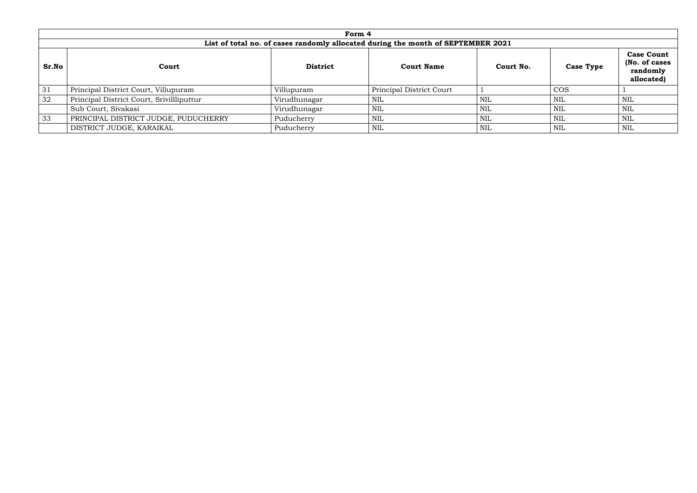|       |                                                                                  | Form 4          |                          |            |                  |                                                              |  |  |  |  |  |  |  |
|-------|----------------------------------------------------------------------------------|-----------------|--------------------------|------------|------------------|--------------------------------------------------------------|--|--|--|--|--|--|--|
|       | List of total no. of cases randomly allocated during the month of SEPTEMBER 2021 |                 |                          |            |                  |                                                              |  |  |  |  |  |  |  |
| Sr.No | Court                                                                            | <b>District</b> | <b>Court Name</b>        | Court No.  | <b>Case Type</b> | <b>Case Count</b><br>(No. of cases<br>randomly<br>allocated) |  |  |  |  |  |  |  |
| 31    | Principal District Court, Villupuram                                             | Villupuram      | Principal District Court |            | <b>COS</b>       |                                                              |  |  |  |  |  |  |  |
| 32    | Principal District Court, Srivillliputtur                                        | Virudhunagar    | NIL                      | <b>NIL</b> | <b>NIL</b>       | NIL                                                          |  |  |  |  |  |  |  |
|       | Sub Court, Sivakasi                                                              | Virudhunagar    | NIL                      | <b>NIL</b> | <b>NIL</b>       | NIL                                                          |  |  |  |  |  |  |  |
| 33    | PRINCIPAL DISTRICT JUDGE, PUDUCHERRY                                             | Puducherry      | <b>NIL</b>               | <b>NIL</b> | <b>NIL</b>       | NIL                                                          |  |  |  |  |  |  |  |
|       | DISTRICT JUDGE, KARAIKAL                                                         | Puducherry      | <b>NIL</b>               | <b>NIL</b> | <b>NIL</b>       | NIL                                                          |  |  |  |  |  |  |  |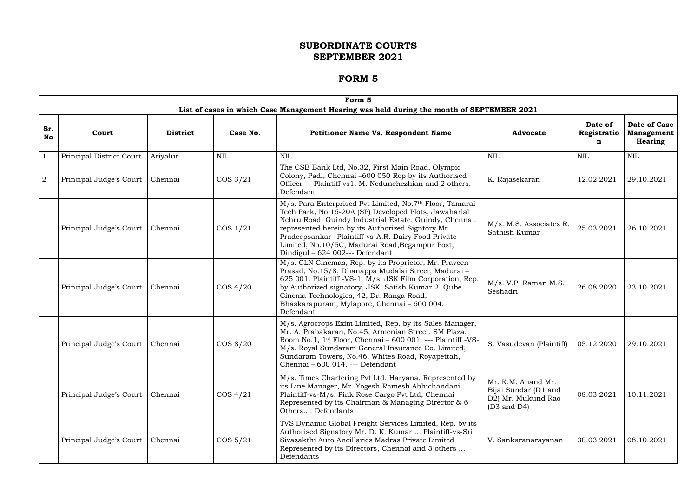|                  |                          |                 |             | Form 5                                                                                                                                                                                                                                                                                                                                                                        |                                                                                            |                             |                                                     |
|------------------|--------------------------|-----------------|-------------|-------------------------------------------------------------------------------------------------------------------------------------------------------------------------------------------------------------------------------------------------------------------------------------------------------------------------------------------------------------------------------|--------------------------------------------------------------------------------------------|-----------------------------|-----------------------------------------------------|
|                  |                          |                 |             | List of cases in which Case Management Hearing was held during the month of SEPTEMBER 2021                                                                                                                                                                                                                                                                                    |                                                                                            |                             |                                                     |
| Sr.<br><b>No</b> | Court                    | <b>District</b> | Case No.    | <b>Petitioner Name Vs. Respondent Name</b>                                                                                                                                                                                                                                                                                                                                    | <b>Advocate</b>                                                                            | Date of<br>Registratio<br>n | <b>Date of Case</b><br><b>Management</b><br>Hearing |
|                  | Principal District Court | Ariyalur        | NIL         | <b>NIL</b>                                                                                                                                                                                                                                                                                                                                                                    | <b>NIL</b>                                                                                 | NIL                         | <b>NIL</b>                                          |
| $\overline{2}$   | Principal Judge's Court  | Chennai         | $\cos 3/21$ | The CSB Bank Ltd, No.32, First Main Road, Olympic<br>Colony, Padi, Chennai -600 050 Rep by its Authorised<br>Officer----Plaintiff vs1. M. Nedunchezhian and 2 others.---<br>Defendant                                                                                                                                                                                         | K. Rajasekaran                                                                             | 12.02.2021                  | 29.10.2021                                          |
|                  | Principal Judge's Court  | Chennai         | $\cos 1/21$ | M/s. Para Enterprised Pvt Limited, No.7th Floor, Tamarai<br>Tech Park, No.16-20A (SP) Developed Plots, Jawaharlal<br>Nehru Road, Guindy Industrial Estate, Guindy, Chennai.<br>represented herein by its Authorized Signtory Mr.<br>Pradeepsankar--Plaintiff-vs-A.R. Dairy Food Private<br>Limited, No.10/5C, Madurai Road, Begampur Post,<br>Dindigul - 624 002--- Defendant | M/s. M.S. Associates R.<br>Sathish Kumar                                                   | 25.03.2021                  | 26.10.2021                                          |
|                  | Principal Judge's Court  | Chennai         | $\cos 4/20$ | M/s. CLN Cinemas, Rep. by its Proprietor, Mr. Praveen<br>Prasad, No.15/8, Dhanappa Mudalai Street, Madurai-<br>625 001. Plaintiff -VS-1. M/s. JSK Film Corporation, Rep.<br>by Authorized signatory, JSK. Satish Kumar 2. Qube<br>Cinema Technologies, 42, Dr. Ranga Road,<br>Bhaskarapuram, Mylapore, Chennai - 600 004.<br>Defendant                                        | M/s. V.P. Raman M.S.<br>Seshadri                                                           | 26.08.2020                  | 23.10.2021                                          |
|                  | Principal Judge's Court  | Chennai         | COS 8/20    | M/s. Agrocrops Exim Limited, Rep. by its Sales Manager,<br>Mr. A. Prabakaran, No.45, Armenian Street, SM Plaza,<br>Room No.1, 1 <sup>st</sup> Floor, Chennai - 600 001. --- Plaintiff -VS-<br>M/s. Royal Sundaram General Insurance Co. Limited,<br>Sundaram Towers, No.46, Whites Road, Royapettah,<br>Chennai - 600 014. --- Defendant                                      | S. Vasudevan (Plaintiff)                                                                   | 05.12.2020                  | 29.10.2021                                          |
|                  | Principal Judge's Court  | Chennai         | $\cos 4/21$ | M/s. Times Chartering Pvt Ltd. Haryana, Represented by<br>its Line Manager, Mr. Yogesh Ramesh Abhichandani<br>Plaintiff-vs-M/s. Pink Rose Cargo Pvt Ltd, Chennai<br>Represented by its Chairman & Managing Director & 6<br>Others Defendants                                                                                                                                  | Mr. K.M. Anand Mr.<br>Bijai Sundar (D1 and<br>D2) Mr. Mukund Rao<br>$(D3 \text{ and } D4)$ | 08.03.2021                  | 10.11.2021                                          |
|                  | Principal Judge's Court  | Chennai         | $\cos 5/21$ | TVS Dynamic Global Freight Services Limited, Rep. by its<br>Authorised Signatory Mr. D. K. Kumar  Plaintiff-vs-Sri<br>Sivasakthi Auto Ancillaries Madras Private Limited<br>Represented by its Directors, Chennai and 3 others<br>Defendants                                                                                                                                  | V. Sankaranarayanan                                                                        | 30.03.2021                  | 08.10.2021                                          |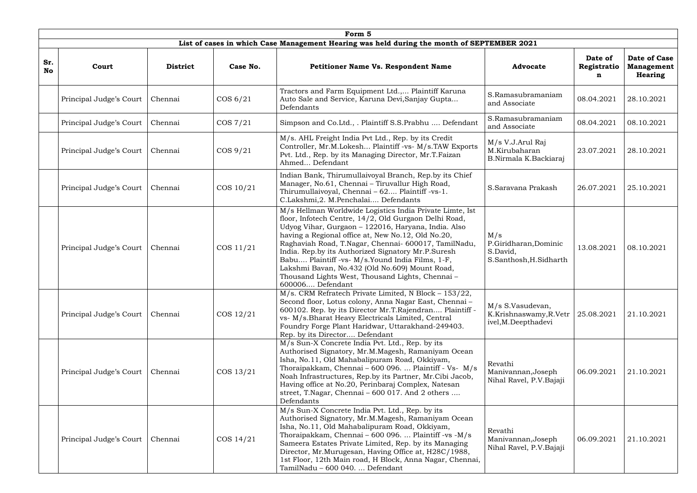|                  | Form 5                  |                 |             |                                                                                                                                                                                                                                                                                                                                                                                                                                                                                                                           |                                                                    |                             |                                              |  |  |  |  |  |
|------------------|-------------------------|-----------------|-------------|---------------------------------------------------------------------------------------------------------------------------------------------------------------------------------------------------------------------------------------------------------------------------------------------------------------------------------------------------------------------------------------------------------------------------------------------------------------------------------------------------------------------------|--------------------------------------------------------------------|-----------------------------|----------------------------------------------|--|--|--|--|--|
|                  |                         |                 |             | List of cases in which Case Management Hearing was held during the month of SEPTEMBER 2021                                                                                                                                                                                                                                                                                                                                                                                                                                |                                                                    |                             |                                              |  |  |  |  |  |
| Sr.<br><b>No</b> | Court                   | <b>District</b> | Case No.    | <b>Petitioner Name Vs. Respondent Name</b>                                                                                                                                                                                                                                                                                                                                                                                                                                                                                | <b>Advocate</b>                                                    | Date of<br>Registratio<br>n | Date of Case<br><b>Management</b><br>Hearing |  |  |  |  |  |
|                  | Principal Judge's Court | Chennai         | $\cos 6/21$ | Tractors and Farm Equipment Ltd., Plaintiff Karuna<br>Auto Sale and Service, Karuna Devi, Sanjay Gupta<br>Defendants                                                                                                                                                                                                                                                                                                                                                                                                      | S.Ramasubramaniam<br>and Associate                                 | 08.04.2021                  | 28.10.2021                                   |  |  |  |  |  |
|                  | Principal Judge's Court | Chennai         | $\cos 7/21$ | Simpson and Co.Ltd., . Plaintiff S.S.Prabhu  Defendant                                                                                                                                                                                                                                                                                                                                                                                                                                                                    | S.Ramasubramaniam<br>and Associate                                 | 08.04.2021                  | 08.10.2021                                   |  |  |  |  |  |
|                  | Principal Judge's Court | Chennai         | $\cos 9/21$ | M/s. AHL Freight India Pvt Ltd., Rep. by its Credit<br>Controller, Mr.M.Lokesh Plaintiff -vs- M/s.TAW Exports<br>Pvt. Ltd., Rep. by its Managing Director, Mr.T.Faizan<br>Ahmed Defendant                                                                                                                                                                                                                                                                                                                                 | M/s V.J.Arul Raj<br>M.Kirubaharan<br>B.Nirmala K.Backiaraj         | 23.07.2021                  | 28.10.2021                                   |  |  |  |  |  |
|                  | Principal Judge's Court | Chennai         | COS 10/21   | Indian Bank, Thirumullaivoyal Branch, Rep.by its Chief<br>Manager, No.61, Chennai - Tiruvallur High Road,<br>Thirumullaivoyal, Chennai - 62 Plaintiff -vs-1.<br>C.Lakshmi, 2. M.Penchalai Defendants                                                                                                                                                                                                                                                                                                                      | S.Saravana Prakash                                                 | 26.07.2021                  | 25.10.2021                                   |  |  |  |  |  |
|                  | Principal Judge's Court | Chennai         | COS 11/21   | M/s Hellman Worldwide Logistics India Private Limte, Ist<br>floor, Infotech Centre, 14/2, Old Gurgaon Delhi Road,<br>Udyog Vihar, Gurgaon - 122016, Haryana, India. Also<br>having a Regional office at, New No.12, Old No.20,<br>Raghaviah Road, T.Nagar, Chennai- 600017, TamilNadu,<br>India. Rep.by its Authorized Signatory Mr.P.Suresh<br>Babu Plaintiff -vs- M/s.Yound India Films, 1-F,<br>Lakshmi Bavan, No.432 (Old No.609) Mount Road,<br>Thousand Lights West, Thousand Lights, Chennai -<br>600006 Defendant | M/s<br>P.Giridharan, Dominic<br>S.David,<br>S.Santhosh, H.Sidharth | 13.08.2021                  | 08.10.2021                                   |  |  |  |  |  |
|                  | Principal Judge's Court | Chennai         | COS 12/21   | M/s. CRM Refratech Private Limited, N Block - 153/22,<br>Second floor, Lotus colony, Anna Nagar East, Chennai -<br>600102. Rep. by its Director Mr.T.Rajendran Plaintiff -<br>vs- M/s.Bharat Heavy Electricals Limited, Central<br>Foundry Forge Plant Haridwar, Uttarakhand-249403.<br>Rep. by its Director Defendant                                                                                                                                                                                                    | M/s S.Vasudevan,<br>K.Krishnaswamy, R.Vetr<br>ivel, M. Deepthadevi | 25.08.2021                  | 21.10.2021                                   |  |  |  |  |  |
|                  | Principal Judge's Court | Chennai         | COS 13/21   | M/s Sun-X Concrete India Pvt. Ltd., Rep. by its<br>Authorised Signatory, Mr.M.Magesh, Ramaniyam Ocean<br>Isha, No.11, Old Mahabalipuram Road, Okkiyam,<br>Thoraipakkam, Chennai - 600 096.  Plaintiff - Vs- M/s<br>Noah Infrastructures, Rep.by its Partner, Mr.Cibi Jacob,<br>Having office at No.20, Perinbaraj Complex, Natesan<br>street, T.Nagar, Chennai – 600 017. And 2 others<br>Defendants                                                                                                                      | Revathi<br>Manivannan, Joseph<br>Nihal Ravel, P.V. Bajaji          | 06.09.2021                  | 21.10.2021                                   |  |  |  |  |  |
|                  | Principal Judge's Court | Chennai         | COS 14/21   | M/s Sun-X Concrete India Pvt. Ltd., Rep. by its<br>Authorised Signatory, Mr.M.Magesh, Ramaniyam Ocean<br>Isha, No.11, Old Mahabalipuram Road, Okkiyam,<br>Thoraipakkam, Chennai – 600 096.  Plaintiff -vs -M/s<br>Sameera Estates Private Limited, Rep. by its Managing<br>Director, Mr.Murugesan, Having Office at, H28C/1988,<br>1st Floor, 12th Main road, H Block, Anna Nagar, Chennai,<br>TamilNadu - 600 040.  Defendant                                                                                            | Revathi<br>Manivannan, Joseph<br>Nihal Ravel, P.V. Bajaji          | 06.09.2021                  | 21.10.2021                                   |  |  |  |  |  |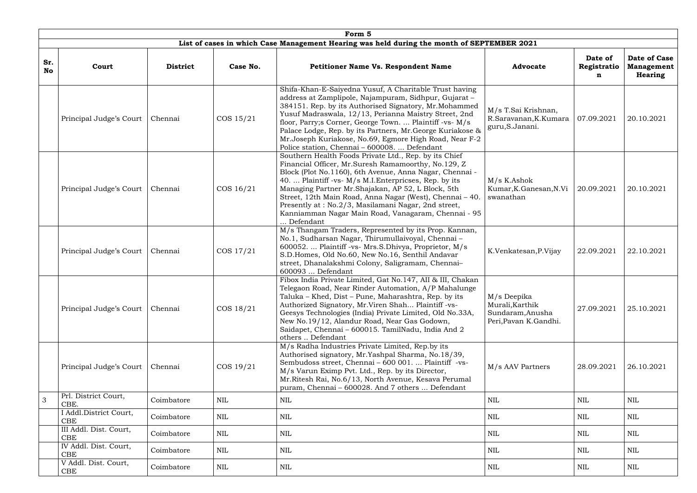|                  | Form 5                               |                 |            |                                                                                                                                                                                                                                                                                                                                                                                                                                                                               |                                                                              |                             |                                              |  |  |  |  |  |
|------------------|--------------------------------------|-----------------|------------|-------------------------------------------------------------------------------------------------------------------------------------------------------------------------------------------------------------------------------------------------------------------------------------------------------------------------------------------------------------------------------------------------------------------------------------------------------------------------------|------------------------------------------------------------------------------|-----------------------------|----------------------------------------------|--|--|--|--|--|
|                  |                                      |                 |            | List of cases in which Case Management Hearing was held during the month of SEPTEMBER 2021                                                                                                                                                                                                                                                                                                                                                                                    |                                                                              |                             |                                              |  |  |  |  |  |
| Sr.<br><b>No</b> | Court                                | <b>District</b> | Case No.   | <b>Petitioner Name Vs. Respondent Name</b>                                                                                                                                                                                                                                                                                                                                                                                                                                    | <b>Advocate</b>                                                              | Date of<br>Registratio<br>n | Date of Case<br><b>Management</b><br>Hearing |  |  |  |  |  |
|                  | Principal Judge's Court              | Chennai         | COS 15/21  | Shifa-Khan-E-Saiyedna Yusuf, A Charitable Trust having<br>address at Zamplipole, Najampuram, Sidhpur, Gujarat -<br>384151. Rep. by its Authorised Signatory, Mr.Mohammed<br>Yusuf Madraswala, 12/13, Perianna Maistry Street, 2nd<br>floor, Parry; SCorner, George Town.  Plaintiff -vs- M/s<br>Palace Lodge, Rep. by its Partners, Mr. George Kuriakose &<br>Mr.Joseph Kuriakose, No.69, Egmore High Road, Near F-2<br>Police station, Chennai - 600008.  Defendant          | M/s T.Sai Krishnan,<br>R.Saravanan, K.Kumara<br>guru, S. Janani.             | 07.09.2021                  | 20.10.2021                                   |  |  |  |  |  |
|                  | Principal Judge's Court              | Chennai         | COS 16/21  | Southern Health Foods Private Ltd., Rep. by its Chief<br>Financial Officer, Mr.Suresh Ramamoorthy, No.129, Z<br>Block (Plot No.1160), 6th Avenue, Anna Nagar, Chennai -<br>40.  Plaintiff -vs- M/s M.I. Enterpricses, Rep. by its<br>Managing Partner Mr.Shajakan, AP 52, L Block, 5th<br>Street, 12th Main Road, Anna Nagar (West), Chennai - 40.<br>Presently at: No.2/3, Masilamani Nagar, 2nd street,<br>Kanniamman Nagar Main Road, Vanagaram, Chennai - 95<br>Defendant | $M/s$ K.Ashok<br>Kumar, K. Ganesan, N. Vi<br>swanathan                       | 20.09.2021                  | 20.10.2021                                   |  |  |  |  |  |
|                  | Principal Judge's Court              | Chennai         | COS 17/21  | M/s Thangam Traders, Represented by its Prop. Kannan,<br>No.1, Sudharsan Nagar, Thirumullaivoyal, Chennai-<br>600052.  Plaintiff -vs- Mrs.S.Dhivya, Proprietor, M/s<br>S.D.Homes, Old No.60, New No.16, Senthil Andavar<br>street, Dhanalakshmi Colony, Saligramam, Chennai-<br>600093  Defendant                                                                                                                                                                             | K.Venkatesan, P.Vijay                                                        | 22.09.2021                  | 22.10.2021                                   |  |  |  |  |  |
|                  | Principal Judge's Court              | Chennai         | COS 18/21  | Fibox India Private Limited, Gat No.147, All & III, Chakan<br>Telegaon Road, Near Rinder Automation, A/P Mahalunge<br>Taluka - Khed, Dist - Pune, Maharashtra, Rep. by its<br>Authorized Signatory, Mr. Viren Shah Plaintiff -vs-<br>Geesys Technologies (India) Private Limited, Old No.33A,<br>New No.19/12, Alandur Road, Near Gas Godown,<br>Saidapet, Chennai - 600015. TamilNadu, India And 2<br>others  Defendant                                                      | M/s Deepika<br>Murali, Karthik<br>Sundaram, Anusha<br>Peri, Pavan K. Gandhi. | 27.09.2021                  | 25.10.2021                                   |  |  |  |  |  |
|                  | Principal Judge's Court              | Chennai         | COS 19/21  | M/s Radha Industries Private Limited, Rep.by its<br>Authorised signatory, Mr. Yashpal Sharma, No. 18/39,<br>Sembudoss street, Chennai - 600 001.  Plaintiff -vs-<br>M/s Varun Eximp Pvt. Ltd., Rep. by its Director,<br>Mr. Ritesh Rai, No. 6/13, North Avenue, Kesava Perumal<br>puram, Chennai - 600028. And 7 others  Defendant                                                                                                                                            | M/s AAV Partners                                                             | 28.09.2021                  | 26.10.2021                                   |  |  |  |  |  |
| 3                | Prl. District Court,<br>CBE.         | Coimbatore      | <b>NIL</b> | NIL                                                                                                                                                                                                                                                                                                                                                                                                                                                                           | NIL                                                                          | <b>NIL</b>                  | NIL                                          |  |  |  |  |  |
|                  | I Addl.District Court,<br><b>CBE</b> | Coimbatore      | <b>NIL</b> | <b>NIL</b>                                                                                                                                                                                                                                                                                                                                                                                                                                                                    | NIL                                                                          | NIL                         | NIL                                          |  |  |  |  |  |
|                  | III Addl. Dist. Court,<br><b>CBE</b> | Coimbatore      | NIL        | <b>NIL</b>                                                                                                                                                                                                                                                                                                                                                                                                                                                                    | NIL                                                                          | NIL                         | NIL                                          |  |  |  |  |  |
|                  | IV Addl. Dist. Court,<br><b>CBE</b>  | Coimbatore      | NIL        | NIL                                                                                                                                                                                                                                                                                                                                                                                                                                                                           | NIL                                                                          | NIL                         | NIL                                          |  |  |  |  |  |
|                  | V Addl. Dist. Court,<br>CBE          | Coimbatore      | NIL        | NIL                                                                                                                                                                                                                                                                                                                                                                                                                                                                           | <b>NIL</b>                                                                   | $\rm NIL$                   | NIL                                          |  |  |  |  |  |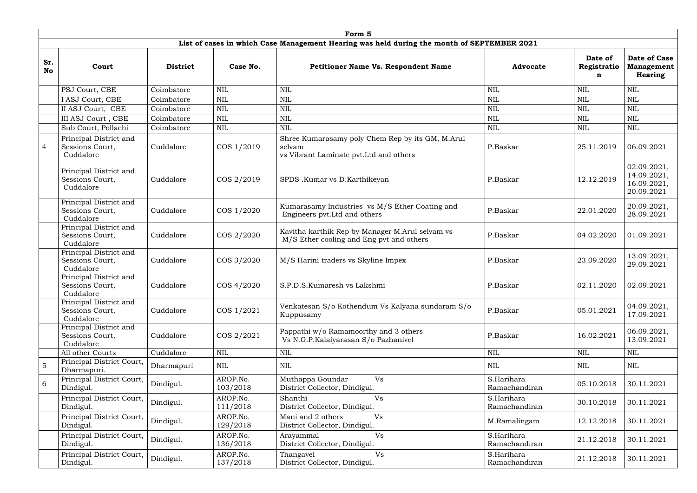|                  | Form 5                                                 |                 |                      |                                                                                                       |                             |                             |                                                            |  |  |  |  |  |
|------------------|--------------------------------------------------------|-----------------|----------------------|-------------------------------------------------------------------------------------------------------|-----------------------------|-----------------------------|------------------------------------------------------------|--|--|--|--|--|
|                  |                                                        |                 |                      | List of cases in which Case Management Hearing was held during the month of SEPTEMBER 2021            |                             |                             |                                                            |  |  |  |  |  |
| Sr.<br><b>No</b> | Court                                                  | <b>District</b> | Case No.             | <b>Petitioner Name Vs. Respondent Name</b>                                                            | <b>Advocate</b>             | Date of<br>Registratio<br>n | <b>Date of Case</b><br><b>Management</b><br><b>Hearing</b> |  |  |  |  |  |
|                  | PSJ Court, CBE                                         | Coimbatore      | $\mbox{NIL}$         | <b>NIL</b>                                                                                            | <b>NIL</b>                  | <b>NIL</b>                  | <b>NIL</b>                                                 |  |  |  |  |  |
|                  | I ASJ Court, CBE                                       | Coimbatore      | <b>NIL</b>           | <b>NIL</b>                                                                                            | <b>NIL</b>                  | <b>NIL</b>                  | <b>NIL</b>                                                 |  |  |  |  |  |
|                  | II ASJ Court, CBE                                      | Coimbatore      | $\mbox{NIL}$         | NIL                                                                                                   | <b>NIL</b>                  | $\mbox{NIL}$                | <b>NIL</b>                                                 |  |  |  |  |  |
|                  | III ASJ Court, CBE                                     | Coimbatore      | $\mbox{NIL}$         | NIL                                                                                                   | <b>NIL</b>                  | <b>NIL</b>                  | <b>NIL</b>                                                 |  |  |  |  |  |
|                  | Sub Court, Pollachi                                    | Coimbatore      | $\mbox{NIL}$         | <b>NIL</b>                                                                                            | <b>NIL</b>                  | <b>NIL</b>                  | <b>NIL</b>                                                 |  |  |  |  |  |
| $\overline{4}$   | Principal District and<br>Sessions Court,<br>Cuddalore | Cuddalore       | COS 1/2019           | Shree Kumarasamy poly Chem Rep by its GM, M.Arul<br>selvam<br>vs Vibrant Laminate pvt. Ltd and others | P.Baskar                    | 25.11.2019                  | 06.09.2021                                                 |  |  |  |  |  |
|                  | Principal District and<br>Sessions Court,<br>Cuddalore | Cuddalore       | COS 2/2019           | SPDS .Kumar vs D.Karthikeyan                                                                          | P.Baskar                    | 12.12.2019                  | 02.09.2021,<br>14.09.2021,<br>16.09.2021,<br>20.09.2021    |  |  |  |  |  |
|                  | Principal District and<br>Sessions Court,<br>Cuddalore | Cuddalore       | COS 1/2020           | Kumarasamy Industries vs M/S Ether Coating and<br>Engineers pvt. Ltd and others                       | P.Baskar                    | 22.01.2020                  | 20.09.2021,<br>28.09.2021                                  |  |  |  |  |  |
|                  | Principal District and<br>Sessions Court,<br>Cuddalore | Cuddalore       | COS 2/2020           | Kavitha karthik Rep by Manager M.Arul selvam vs<br>M/S Ether cooling and Eng pvt and others           | P.Baskar                    | 04.02.2020                  | 01.09.2021                                                 |  |  |  |  |  |
|                  | Principal District and<br>Sessions Court,<br>Cuddalore | Cuddalore       | COS 3/2020           | M/S Harini traders vs Skyline Impex                                                                   | P.Baskar                    | 23.09.2020                  | 13.09.2021,<br>29.09.2021                                  |  |  |  |  |  |
|                  | Principal District and<br>Sessions Court,<br>Cuddalore | Cuddalore       | COS 4/2020           | S.P.D.S.Kumaresh vs Lakshmi                                                                           | P.Baskar                    | 02.11.2020                  | 02.09.2021                                                 |  |  |  |  |  |
|                  | Principal District and<br>Sessions Court,<br>Cuddalore | Cuddalore       | COS 1/2021           | Venkatesan S/o Kothendum Vs Kalyana sundaram S/o<br>Kuppusamy                                         | P.Baskar                    | 05.01.2021                  | 04.09.2021,<br>17.09.2021                                  |  |  |  |  |  |
|                  | Principal District and<br>Sessions Court,<br>Cuddalore | Cuddalore       | COS 2/2021           | Pappathi w/o Ramamoorthy and 3 others<br>Vs N.G.P.Kalaiyarasan S/o Pazhanivel                         | P.Baskar                    | 16.02.2021                  | 06.09.2021,<br>13.09.2021                                  |  |  |  |  |  |
|                  | All other Courts                                       | Cuddalore       | $\mbox{NIL}$         | $\text{NIL}$                                                                                          | $\mbox{NIL}$                | $\mbox{NIL}$                | <b>NIL</b>                                                 |  |  |  |  |  |
| $\overline{5}$   | Principal District Court,<br>Dharmapuri.               | Dharmapuri      | $\mbox{NIL}$         | NIL                                                                                                   | NIL                         | <b>NIL</b>                  | NIL                                                        |  |  |  |  |  |
| 6                | Principal District Court,<br>Dindigul.                 | Dindigul.       | AROP.No.<br>103/2018 | Muthappa Goundar<br>Vs<br>District Collector, Dindigul.                                               | S.Harihara<br>Ramachandiran | 05.10.2018                  | 30.11.2021                                                 |  |  |  |  |  |
|                  | Principal District Court,<br>Dindigul.                 | Dindigul.       | AROP.No.<br>111/2018 | Shanthi<br><b>Vs</b><br>District Collector, Dindigul.                                                 | S.Harihara<br>Ramachandiran | 30.10.2018                  | 30.11.2021                                                 |  |  |  |  |  |
|                  | Principal District Court,<br>Dindigul.                 | Dindigul.       | AROP.No.<br>129/2018 | <b>Vs</b><br>Mani and 2 others<br>District Collector, Dindigul.                                       | M.Ramalingam                | 12.12.2018                  | 30.11.2021                                                 |  |  |  |  |  |
|                  | Principal District Court,<br>Dindigul.                 | Dindigul.       | AROP.No.<br>136/2018 | Vs<br>Arayammal<br>District Collector, Dindigul.                                                      | S.Harihara<br>Ramachandiran | 21.12.2018                  | 30.11.2021                                                 |  |  |  |  |  |
|                  | Principal District Court,<br>Dindigul.                 | Dindigul.       | AROP.No.<br>137/2018 | Vs<br>Thangavel<br>District Collector, Dindigul.                                                      | S.Harihara<br>Ramachandiran | 21.12.2018                  | 30.11.2021                                                 |  |  |  |  |  |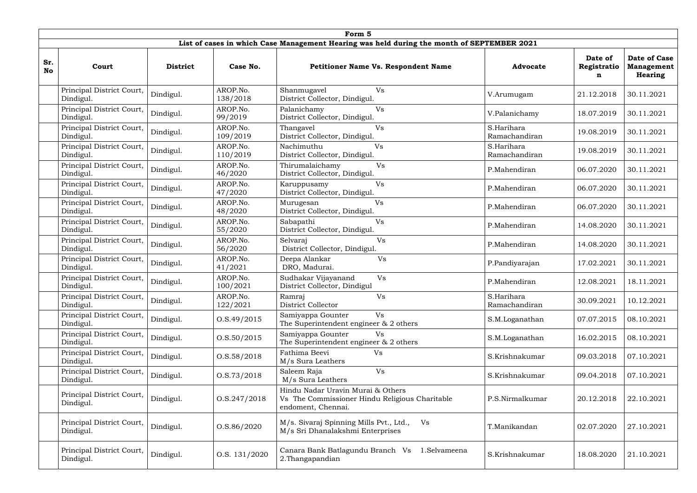|           | Form 5                                 |                 |                      |                                                                                                           |                             |                             |                                                     |  |  |  |  |  |
|-----------|----------------------------------------|-----------------|----------------------|-----------------------------------------------------------------------------------------------------------|-----------------------------|-----------------------------|-----------------------------------------------------|--|--|--|--|--|
|           |                                        |                 |                      | List of cases in which Case Management Hearing was held during the month of SEPTEMBER 2021                |                             |                             |                                                     |  |  |  |  |  |
| Sr.<br>No | Court                                  | <b>District</b> | Case No.             | <b>Petitioner Name Vs. Respondent Name</b>                                                                | <b>Advocate</b>             | Date of<br>Registratio<br>n | <b>Date of Case</b><br><b>Management</b><br>Hearing |  |  |  |  |  |
|           | Principal District Court,<br>Dindigul. | Dindigul.       | AROP.No.<br>138/2018 | Vs<br>Shanmugavel<br>District Collector, Dindigul.                                                        | V.Arumugam                  | 21.12.2018                  | 30.11.2021                                          |  |  |  |  |  |
|           | Principal District Court,<br>Dindigul. | Dindigul.       | AROP.No.<br>99/2019  | Palanichamy<br>Vs<br>District Collector, Dindigul.                                                        | V.Palanichamy               | 18.07.2019                  | 30.11.2021                                          |  |  |  |  |  |
|           | Principal District Court,<br>Dindigul. | Dindigul.       | AROP.No.<br>109/2019 | Thangavel<br>Vs<br>District Collector, Dindigul.                                                          | S.Harihara<br>Ramachandiran | 19.08.2019                  | 30.11.2021                                          |  |  |  |  |  |
|           | Principal District Court,<br>Dindigul. | Dindigul.       | AROP.No.<br>110/2019 | Nachimuthu<br>Vs<br>District Collector, Dindigul.                                                         | S.Harihara<br>Ramachandiran | 19.08.2019                  | 30.11.2021                                          |  |  |  |  |  |
|           | Principal District Court,<br>Dindigul. | Dindigul.       | AROP.No.<br>46/2020  | Thirumalaichamy<br>Vs<br>District Collector, Dindigul.                                                    | P.Mahendiran                | 06.07.2020                  | 30.11.2021                                          |  |  |  |  |  |
|           | Principal District Court,<br>Dindigul. | Dindigul.       | AROP.No.<br>47/2020  | Vs<br>Karuppusamy<br>District Collector, Dindigul.                                                        | P.Mahendiran                | 06.07.2020                  | 30.11.2021                                          |  |  |  |  |  |
|           | Principal District Court,<br>Dindigul. | Dindigul.       | AROP.No.<br>48/2020  | Vs<br>Murugesan<br>District Collector, Dindigul.                                                          | P.Mahendiran                | 06.07.2020                  | 30.11.2021                                          |  |  |  |  |  |
|           | Principal District Court,<br>Dindigul. | Dindigul.       | AROP.No.<br>55/2020  | Vs<br>Sabapathi<br>District Collector, Dindigul.                                                          | P.Mahendiran                | 14.08.2020                  | 30.11.2021                                          |  |  |  |  |  |
|           | Principal District Court,<br>Dindigul. | Dindigul.       | AROP.No.<br>56/2020  | Selvaraj<br>Vs<br>District Collector, Dindigul.                                                           | P.Mahendiran                | 14.08.2020                  | 30.11.2021                                          |  |  |  |  |  |
|           | Principal District Court,<br>Dindigul. | Dindigul.       | AROP.No.<br>41/2021  | <b>Vs</b><br>Deepa Alankar<br>DRO, Madurai.                                                               | P.Pandiyarajan              | 17.02.2021                  | 30.11.2021                                          |  |  |  |  |  |
|           | Principal District Court,<br>Dindigul. | Dindigul.       | AROP.No.<br>100/2021 | Vs<br>Sudhakar Vijayanand<br>District Collector, Dindigul                                                 | P.Mahendiran                | 12.08.2021                  | 18.11.2021                                          |  |  |  |  |  |
|           | Principal District Court,<br>Dindigul. | Dindigul.       | AROP.No.<br>122/2021 | Ramraj<br>Vs<br>District Collector                                                                        | S.Harihara<br>Ramachandiran | 30.09.2021                  | 10.12.2021                                          |  |  |  |  |  |
|           | Principal District Court,<br>Dindigul. | Dindigul.       | 0. S.49/2015         | Vs<br>Samiyappa Gounter<br>The Superintendent engineer $\&$ 2 others                                      | S.M.Loganathan              | 07.07.2015                  | 08.10.2021                                          |  |  |  |  |  |
|           | Principal District Court,<br>Dindigul. | Dindigul.       | 0. S. 50 / 2015      | Samiyappa Gounter<br>Vs<br>The Superintendent engineer & 2 others                                         | S.M.Loganathan              | 16.02.2015                  | 08.10.2021                                          |  |  |  |  |  |
|           | Principal District Court,<br>Dindigul. | Dindigul.       | 0. S. 58 / 2018      | Fathima Beevi<br>Vs<br>M/s Sura Leathers                                                                  | S.Krishnakumar              | 09.03.2018                  | 07.10.2021                                          |  |  |  |  |  |
|           | Principal District Court,<br>Dindigul. | Dindigul.       | 0. S. 73/2018        | Vs<br>Saleem Raja<br>M/s Sura Leathers                                                                    | S.Krishnakumar              | 09.04.2018                  | 07.10.2021                                          |  |  |  |  |  |
|           | Principal District Court,<br>Dindigul. | Dindigul.       | 0. S. 247 / 2018     | Hindu Nadar Uravin Murai & Others<br>Vs The Commissioner Hindu Religious Charitable<br>endoment, Chennai. | P.S.Nirmalkumar             | 20.12.2018                  | 22.10.2021                                          |  |  |  |  |  |
|           | Principal District Court,<br>Dindigul. | Dindigul.       | 0. S. 86 / 2020      | M/s. Sivaraj Spinning Mills Pvt., Ltd.,<br>Vs<br>M/s Sri Dhanalakshmi Enterprises                         | T.Manikandan                | 02.07.2020                  | 27.10.2021                                          |  |  |  |  |  |
|           | Principal District Court,<br>Dindigul. | Dindigul.       | O.S. 131/2020        | Canara Bank Batlagundu Branch Vs<br>1.Selvameena<br>2. Thangapandian                                      | S.Krishnakumar              | 18.08.2020                  | 21.10.2021                                          |  |  |  |  |  |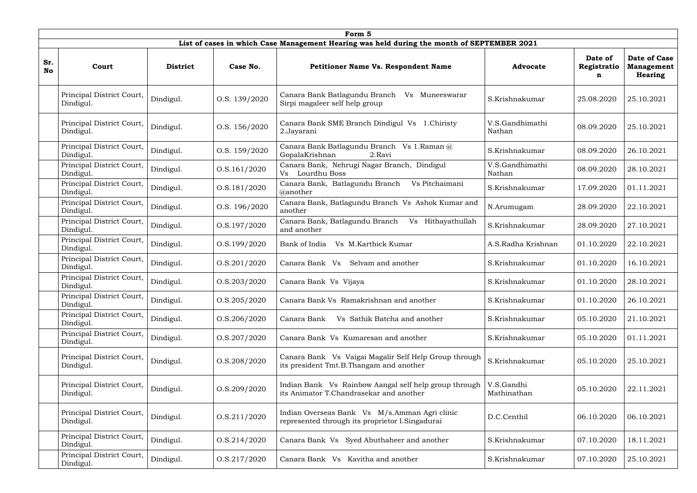|                  | Form 5                                 |                 |                  |                                                                                                  |                           |                             |                                                     |  |  |  |  |  |
|------------------|----------------------------------------|-----------------|------------------|--------------------------------------------------------------------------------------------------|---------------------------|-----------------------------|-----------------------------------------------------|--|--|--|--|--|
|                  |                                        |                 |                  | List of cases in which Case Management Hearing was held during the month of SEPTEMBER 2021       |                           |                             |                                                     |  |  |  |  |  |
| Sr.<br><b>No</b> | Court                                  | <b>District</b> | Case No.         | <b>Petitioner Name Vs. Respondent Name</b>                                                       | <b>Advocate</b>           | Date of<br>Registratio<br>n | <b>Date of Case</b><br><b>Management</b><br>Hearing |  |  |  |  |  |
|                  | Principal District Court,<br>Dindigul. | Dindigul.       | O.S. 139/2020    | Canara Bank Batlagundu Branch<br>Vs Muneeswarar<br>Sirpi magaleer self help group                | S.Krishnakumar            | 25.08.2020                  | 25.10.2021                                          |  |  |  |  |  |
|                  | Principal District Court,<br>Dindigul. | Dindigul.       | O.S. 156/2020    | Canara Bank SME Branch Dindigul Vs 1. Chiristy<br>2.Jayarani                                     | V.S.Gandhimathi<br>Nathan | 08.09.2020                  | 25.10.2021                                          |  |  |  |  |  |
|                  | Principal District Court,<br>Dindigul. | Dindigul.       | O.S. 159/2020    | Canara Bank Batlagundu Branch Vs 1.Raman @<br>GopalaKrishnan<br>2.Ravi                           | S.Krishnakumar            | 08.09.2020                  | 26.10.2021                                          |  |  |  |  |  |
|                  | Principal District Court,<br>Dindigul. | Dindigul.       | 0. S. 161 / 2020 | Canara Bank, Nehrugi Nagar Branch, Dindigul<br>Vs Lourdhu Boss                                   | V.S.Gandhimathi<br>Nathan | 08.09.2020                  | 28.10.2021                                          |  |  |  |  |  |
|                  | Principal District Court,<br>Dindigul. | Dindigul.       | 0. S. 181 / 2020 | Canara Bank, Batlagundu Branch<br>Vs Pitchaimani<br>@another                                     | S.Krishnakumar            | 17.09.2020                  | 01.11.2021                                          |  |  |  |  |  |
|                  | Principal District Court,<br>Dindigul. | Dindigul.       | O.S. 196/2020    | Canara Bank, Batlagundu Branch Vs Ashok Kumar and<br>another                                     | N.Arumugam                | 28.09.2020                  | 22.10.2021                                          |  |  |  |  |  |
|                  | Principal District Court,<br>Dindigul. | Dindigul.       | O.S.197/2020     | Canara Bank, Batlagundu Branch<br>Vs Hithayathullah<br>and another                               | S.Krishnakumar            | 28.09.2020                  | 27.10.2021                                          |  |  |  |  |  |
|                  | Principal District Court,<br>Dindigul. | Dindigul.       | 0. S. 199 / 2020 | Bank of India<br>Vs M.Karthick Kumar                                                             | A.S.Radha Krishnan        | 01.10.2020                  | 22.10.2021                                          |  |  |  |  |  |
|                  | Principal District Court,<br>Dindigul. | Dindigul.       | 0. S. 201 / 2020 | Selvam and another<br>Canara Bank Vs                                                             | S.Krishnakumar            | 01.10.2020                  | 16.10.2021                                          |  |  |  |  |  |
|                  | Principal District Court,<br>Dindigul. | Dindigul.       | 0. S. 203 / 2020 | Canara Bank Vs Vijaya                                                                            | S.Krishnakumar            | 01.10.2020                  | 28.10.2021                                          |  |  |  |  |  |
|                  | Principal District Court,<br>Dindigul. | Dindigul.       | 0. S. 205 / 2020 | Canara Bank Vs Ramakrishnan and another                                                          | S.Krishnakumar            | 01.10.2020                  | 26.10.2021                                          |  |  |  |  |  |
|                  | Principal District Court,<br>Dindigul. | Dindigul.       | O.S.206/2020     | Canara Bank<br>Vs Sathik Batcha and another                                                      | S.Krishnakumar            | 05.10.2020                  | 21.10.2021                                          |  |  |  |  |  |
|                  | Principal District Court,<br>Dindigul. | Dindigul.       | 0. S. 207 / 2020 | Canara Bank Vs Kumaresan and another                                                             | S.Krishnakumar            | 05.10.2020                  | 01.11.2021                                          |  |  |  |  |  |
|                  | Principal District Court,<br>Dindigul. | Dindigul.       | O.S.208/2020     | Canara Bank Vs Vaigai Magalir Self Help Group through<br>its president Tmt.B.Thangam and another | S.Krishnakumar            | 05.10.2020                  | 25.10.2021                                          |  |  |  |  |  |
|                  | Principal District Court,<br>Dindigul. | Dindigul.       | O.S.209/2020     | Indian Bank Vs Rainbow Aangal self help group through<br>its Animator T.Chandrasekar and another | V.S.Gandhi<br>Mathinathan | 05.10.2020                  | 22.11.2021                                          |  |  |  |  |  |
|                  | Principal District Court,<br>Dindigul. | Dindigul.       | 0. S.211/2020    | Indian Overseas Bank Vs M/s.Amman Agri clinic<br>represented through its proprietor I.Singadurai | D.C.Centhil               | 06.10.2020                  | 06.10.2021                                          |  |  |  |  |  |
|                  | Principal District Court,<br>Dindigul. | Dindigul.       | 0. S.214/2020    | Canara Bank Vs Syed Abuthaheer and another                                                       | S.Krishnakumar            | 07.10.2020                  | 18.11.2021                                          |  |  |  |  |  |
|                  | Principal District Court,<br>Dindigul. | Dindigul.       | 0. S.217/2020    | Canara Bank Vs<br>Kavitha and another                                                            | S.Krishnakumar            | 07.10.2020                  | 25.10.2021                                          |  |  |  |  |  |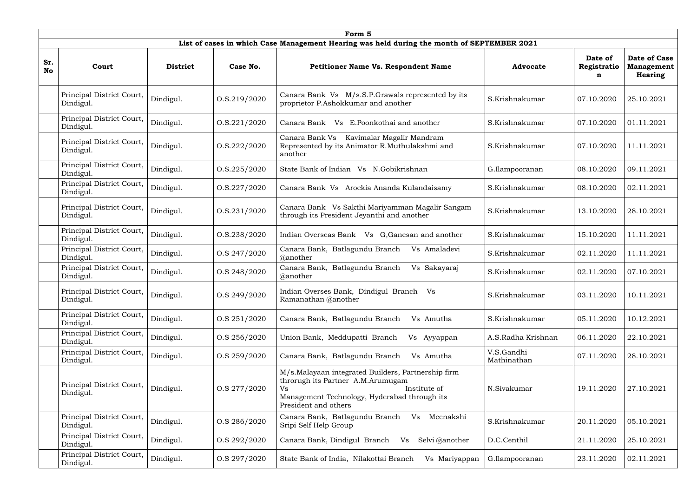|                  | Form 5                                 |                 |                  |                                                                                                                                                                                       |                           |                             |                                                     |  |  |  |  |  |
|------------------|----------------------------------------|-----------------|------------------|---------------------------------------------------------------------------------------------------------------------------------------------------------------------------------------|---------------------------|-----------------------------|-----------------------------------------------------|--|--|--|--|--|
|                  |                                        |                 |                  | List of cases in which Case Management Hearing was held during the month of SEPTEMBER 2021                                                                                            |                           |                             |                                                     |  |  |  |  |  |
| Sr.<br><b>No</b> | Court                                  | <b>District</b> | Case No.         | Petitioner Name Vs. Respondent Name                                                                                                                                                   | <b>Advocate</b>           | Date of<br>Registratio<br>n | <b>Date of Case</b><br><b>Management</b><br>Hearing |  |  |  |  |  |
|                  | Principal District Court,<br>Dindigul. | Dindigul.       | 0. S.219/2020    | Canara Bank Vs M/s.S.P. Grawals represented by its<br>proprietor P.Ashokkumar and another                                                                                             | S.Krishnakumar            | 07.10.2020                  | 25.10.2021                                          |  |  |  |  |  |
|                  | Principal District Court,<br>Dindigul. | Dindigul.       | 0. S. 221 / 2020 | Canara Bank<br>E.Poonkothai and another<br>V <sub>S</sub>                                                                                                                             | S.Krishnakumar            | 07.10.2020                  | 01.11.2021                                          |  |  |  |  |  |
|                  | Principal District Court,<br>Dindigul. | Dindigul.       | 0. S. 222 / 2020 | Canara Bank Vs Kavimalar Magalir Mandram<br>Represented by its Animator R.Muthulakshmi and<br>another                                                                                 | S.Krishnakumar            | 07.10.2020                  | 11.11.2021                                          |  |  |  |  |  |
|                  | Principal District Court,<br>Dindigul. | Dindigul.       | 0. S. 225 / 2020 | State Bank of Indian<br>Vs N.Gobikrishnan                                                                                                                                             | G.Ilampooranan            | 08.10.2020                  | 09.11.2021                                          |  |  |  |  |  |
|                  | Principal District Court,<br>Dindigul. | Dindigul.       | 0. S. 227 / 2020 | Canara Bank Vs Arockia Ananda Kulandaisamy                                                                                                                                            | S.Krishnakumar            | 08.10.2020                  | 02.11.2021                                          |  |  |  |  |  |
|                  | Principal District Court,<br>Dindigul. | Dindigul.       | 0. S. 231 / 2020 | Canara Bank Vs Sakthi Mariyamman Magalir Sangam<br>through its President Jeyanthi and another                                                                                         | S.Krishnakumar            | 13.10.2020                  | 28.10.2021                                          |  |  |  |  |  |
|                  | Principal District Court,<br>Dindigul. | Dindigul.       | O.S.238/2020     | Indian Overseas Bank Vs G, Ganesan and another                                                                                                                                        | S.Krishnakumar            | 15.10.2020                  | 11.11.2021                                          |  |  |  |  |  |
|                  | Principal District Court,<br>Dindigul. | Dindigul.       | O.S 247/2020     | Canara Bank, Batlagundu Branch<br>Vs Amaladevi<br>@another                                                                                                                            | S.Krishnakumar            | 02.11.2020                  | 11.11.2021                                          |  |  |  |  |  |
|                  | Principal District Court,<br>Dindigul. | Dindigul.       | O.S 248/2020     | Canara Bank, Batlagundu Branch<br>Vs Sakayaraj<br>@another                                                                                                                            | S.Krishnakumar            | 02.11.2020                  | 07.10.2021                                          |  |  |  |  |  |
|                  | Principal District Court,<br>Dindigul. | Dindigul.       | O.S 249/2020     | Indian Overses Bank, Dindigul Branch Vs<br>Ramanathan @another                                                                                                                        | S.Krishnakumar            | 03.11.2020                  | 10.11.2021                                          |  |  |  |  |  |
|                  | Principal District Court,<br>Dindigul. | Dindigul.       | O.S 251/2020     | Canara Bank, Batlagundu Branch<br>Vs Amutha                                                                                                                                           | S.Krishnakumar            | 05.11.2020                  | 10.12.2021                                          |  |  |  |  |  |
|                  | Principal District Court,<br>Dindigul. | Dindigul.       | O.S 256/2020     | Union Bank, Meddupatti Branch<br>Vs Ayyappan                                                                                                                                          | A.S.Radha Krishnan        | 06.11.2020                  | 22.10.2021                                          |  |  |  |  |  |
|                  | Principal District Court,<br>Dindigul. | Dindigul.       | O.S 259/2020     | Canara Bank, Batlagundu Branch<br>Vs Amutha                                                                                                                                           | V.S.Gandhi<br>Mathinathan | 07.11.2020                  | 28.10.2021                                          |  |  |  |  |  |
|                  | Principal District Court,<br>Dindigul. | Dindigul.       | O.S 277/2020     | M/s.Malayaan integrated Builders, Partnership firm<br>throrugh its Partner A.M.Arumugam<br>Institute of<br>Vs<br>Management Technology, Hyderabad through its<br>President and others | N.Sivakumar               | 19.11.2020                  | 27.10.2021                                          |  |  |  |  |  |
|                  | Principal District Court,<br>Dindigul. | Dindigul.       | O.S 286/2020     | Canara Bank, Batlagundu Branch<br>Meenakshi<br>Vs<br>Sripi Self Help Group                                                                                                            | S.Krishnakumar            | 20.11.2020                  | 05.10.2021                                          |  |  |  |  |  |
|                  | Principal District Court,<br>Dindigul. | Dindigul.       | O.S 292/2020     | Canara Bank, Dindigul Branch<br>Selvi @another<br>Vs                                                                                                                                  | D.C.Centhil               | 21.11.2020                  | 25.10.2021                                          |  |  |  |  |  |
|                  | Principal District Court,<br>Dindigul. | Dindigul.       | O.S 297/2020     | State Bank of India, Nilakottai Branch<br>Vs Mariyappan                                                                                                                               | G.Ilampooranan            | 23.11.2020                  | 02.11.2021                                          |  |  |  |  |  |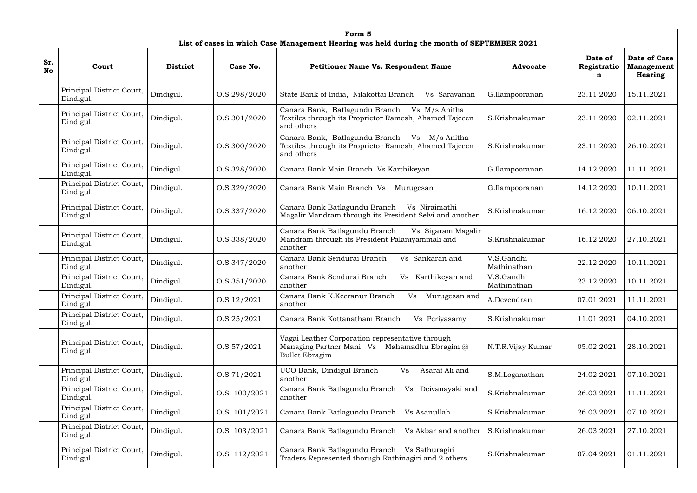|                  | Form 5                                 |                 |               |                                                                                                                                |                           |                             |                                                     |  |  |  |  |
|------------------|----------------------------------------|-----------------|---------------|--------------------------------------------------------------------------------------------------------------------------------|---------------------------|-----------------------------|-----------------------------------------------------|--|--|--|--|
|                  |                                        |                 |               | List of cases in which Case Management Hearing was held during the month of SEPTEMBER 2021                                     |                           |                             |                                                     |  |  |  |  |
| Sr.<br><b>No</b> | Court                                  | <b>District</b> | Case No.      | <b>Petitioner Name Vs. Respondent Name</b>                                                                                     | <b>Advocate</b>           | Date of<br>Registratio<br>n | Date of Case<br><b>Management</b><br><b>Hearing</b> |  |  |  |  |
|                  | Principal District Court,<br>Dindigul. | Dindigul.       | O.S 298/2020  | State Bank of India, Nilakottai Branch<br>Vs Saravanan                                                                         | G.Ilampooranan            | 23.11.2020                  | 15.11.2021                                          |  |  |  |  |
|                  | Principal District Court,<br>Dindigul. | Dindigul.       | O.S 301/2020  | Canara Bank, Batlagundu Branch<br>Vs M/s Anitha<br>Textiles through its Proprietor Ramesh, Ahamed Tajeeen<br>and others        | S.Krishnakumar            | 23.11.2020                  | 02.11.2021                                          |  |  |  |  |
|                  | Principal District Court,<br>Dindigul. | Dindigul.       | O.S 300/2020  | Canara Bank, Batlagundu Branch<br>Vs M/s Anitha<br>Textiles through its Proprietor Ramesh, Ahamed Tajeeen<br>and others        | S.Krishnakumar            | 23.11.2020                  | 26.10.2021                                          |  |  |  |  |
|                  | Principal District Court,<br>Dindigul. | Dindigul.       | O.S 328/2020  | Canara Bank Main Branch Vs Karthikeyan                                                                                         | G.Ilampooranan            | 14.12.2020                  | 11.11.2021                                          |  |  |  |  |
|                  | Principal District Court,<br>Dindigul. | Dindigul.       | O.S 329/2020  | Canara Bank Main Branch Vs<br>Murugesan                                                                                        | G.Ilampooranan            | 14.12.2020                  | 10.11.2021                                          |  |  |  |  |
|                  | Principal District Court,<br>Dindigul. | Dindigul.       | O.S 337/2020  | Canara Bank Batlagundu Branch<br>Vs Niraimathi<br>Magalir Mandram through its President Selvi and another                      | S.Krishnakumar            | 16.12.2020                  | 06.10.2021                                          |  |  |  |  |
|                  | Principal District Court,<br>Dindigul. | Dindigul.       | O.S 338/2020  | Canara Bank Batlagundu Branch<br>Vs Sigaram Magalir<br>Mandram through its President Palaniyammali and<br>another              | S.Krishnakumar            | 16.12.2020                  | 27.10.2021                                          |  |  |  |  |
|                  | Principal District Court,<br>Dindigul. | Dindigul.       | O.S 347/2020  | Canara Bank Sendurai Branch<br>Vs Sankaran and<br>another                                                                      | V.S.Gandhi<br>Mathinathan | 22.12.2020                  | 10.11.2021                                          |  |  |  |  |
|                  | Principal District Court,<br>Dindigul. | Dindigul.       | O.S 351/2020  | Canara Bank Sendurai Branch<br>Karthikeyan and<br>Vs<br>another                                                                | V.S.Gandhi<br>Mathinathan | 23.12.2020                  | 10.11.2021                                          |  |  |  |  |
|                  | Principal District Court,<br>Dindigul. | Dindigul.       | O.S 12/2021   | Canara Bank K.Keeranur Branch<br><b>Vs</b><br>Murugesan and<br>another                                                         | A.Devendran               | 07.01.2021                  | 11.11.2021                                          |  |  |  |  |
|                  | Principal District Court,<br>Dindigul. | Dindigul.       | O.S 25/2021   | Canara Bank Kottanatham Branch<br>Vs Periyasamy                                                                                | S.Krishnakumar            | 11.01.2021                  | 04.10.2021                                          |  |  |  |  |
|                  | Principal District Court,<br>Dindigul. | Dindigul.       | O.S 57/2021   | Vagai Leather Corporation representative through<br>Managing Partner Mani. Vs Mahamadhu Ebragim $(a)$<br><b>Bullet Ebragim</b> | N.T.R.Vijay Kumar         | 05.02.2021                  | 28.10.2021                                          |  |  |  |  |
|                  | Principal District Court,<br>Dindigul. | Dindigul.       | O.S 71/2021   | UCO Bank, Dindigul Branch<br>Asaraf Ali and<br>Vs<br>another                                                                   | S.M.Loganathan            | 24.02.2021                  | 07.10.2021                                          |  |  |  |  |
|                  | Principal District Court,<br>Dindigul. | Dindigul.       | O.S. 100/2021 | Canara Bank Batlagundu Branch<br>Deivanayaki and<br>V <sub>S</sub><br>another                                                  | S.Krishnakumar            | 26.03.2021                  | 11.11.2021                                          |  |  |  |  |
|                  | Principal District Court,<br>Dindigul. | Dindigul.       | O.S. 101/2021 | Canara Bank Batlagundu Branch<br>Vs Asanullah                                                                                  | S.Krishnakumar            | 26.03.2021                  | 07.10.2021                                          |  |  |  |  |
|                  | Principal District Court,<br>Dindigul. | Dindigul.       | O.S. 103/2021 | Canara Bank Batlagundu Branch<br>Vs Akbar and another                                                                          | S.Krishnakumar            | 26.03.2021                  | 27.10.2021                                          |  |  |  |  |
|                  | Principal District Court,<br>Dindigul. | Dindigul.       | O.S. 112/2021 | Canara Bank Batlagundu Branch Vs Sathuragiri<br>Traders Represented thorugh Rathinagiri and 2 others.                          | S.Krishnakumar            | 07.04.2021                  | 01.11.2021                                          |  |  |  |  |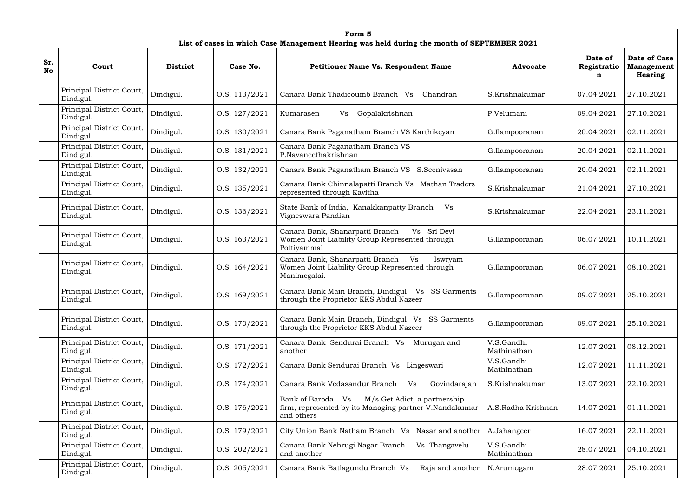|                  | Form 5                                 |                 |               |                                                                                                                           |                           |                             |                                                            |  |  |  |  |
|------------------|----------------------------------------|-----------------|---------------|---------------------------------------------------------------------------------------------------------------------------|---------------------------|-----------------------------|------------------------------------------------------------|--|--|--|--|
|                  |                                        |                 |               | List of cases in which Case Management Hearing was held during the month of SEPTEMBER 2021                                |                           |                             |                                                            |  |  |  |  |
| Sr.<br><b>No</b> | Court                                  | <b>District</b> | Case No.      | <b>Petitioner Name Vs. Respondent Name</b>                                                                                | <b>Advocate</b>           | Date of<br>Registratio<br>n | <b>Date of Case</b><br><b>Management</b><br><b>Hearing</b> |  |  |  |  |
|                  | Principal District Court,<br>Dindigul. | Dindigul.       | O.S. 113/2021 | Canara Bank Thadicoumb Branch Vs<br>Chandran                                                                              | S.Krishnakumar            | 07.04.2021                  | 27.10.2021                                                 |  |  |  |  |
|                  | Principal District Court,<br>Dindigul. | Dindigul.       | O.S. 127/2021 | Gopalakrishnan<br>Kumarasen<br>Vs                                                                                         | P.Velumani                | 09.04.2021                  | 27.10.2021                                                 |  |  |  |  |
|                  | Principal District Court,<br>Dindigul. | Dindigul.       | O.S. 130/2021 | Canara Bank Paganatham Branch VS Karthikeyan                                                                              | G.Ilampooranan            | 20.04.2021                  | 02.11.2021                                                 |  |  |  |  |
|                  | Principal District Court,<br>Dindigul. | Dindigul.       | O.S. 131/2021 | Canara Bank Paganatham Branch VS<br>P.Navaneethakrishnan                                                                  | G.Ilampooranan            | 20.04.2021                  | 02.11.2021                                                 |  |  |  |  |
|                  | Principal District Court,<br>Dindigul. | Dindigul.       | O.S. 132/2021 | Canara Bank Paganatham Branch VS S.Seenivasan                                                                             | G.Ilampooranan            | 20.04.2021                  | 02.11.2021                                                 |  |  |  |  |
|                  | Principal District Court,<br>Dindigul. | Dindigul.       | O.S. 135/2021 | Canara Bank Chinnalapatti Branch Vs Mathan Traders<br>represented through Kavitha                                         | S.Krishnakumar            | 21.04.2021                  | 27.10.2021                                                 |  |  |  |  |
|                  | Principal District Court,<br>Dindigul. | Dindigul.       | O.S. 136/2021 | State Bank of India, Kanakkanpatty Branch<br>Vs<br>Vigneswara Pandian                                                     | S.Krishnakumar            | 22.04.2021                  | 23.11.2021                                                 |  |  |  |  |
|                  | Principal District Court,<br>Dindigul. | Dindigul.       | O.S. 163/2021 | Canara Bank, Shanarpatti Branch<br>Vs Sri Devi<br>Women Joint Liability Group Represented through<br>Pottiyammal          | G.Ilampooranan            | 06.07.2021                  | 10.11.2021                                                 |  |  |  |  |
|                  | Principal District Court,<br>Dindigul. | Dindigul.       | O.S. 164/2021 | Canara Bank, Shanarpatti Branch Vs<br>Iswryam<br>Women Joint Liability Group Represented through<br>Manimegalai.          | G.Ilampooranan            | 06.07.2021                  | 08.10.2021                                                 |  |  |  |  |
|                  | Principal District Court,<br>Dindigul. | Dindigul.       | O.S. 169/2021 | Canara Bank Main Branch, Dindigul Vs SS Garments<br>through the Proprietor KKS Abdul Nazeer                               | G.Ilampooranan            | 09.07.2021                  | 25.10.2021                                                 |  |  |  |  |
|                  | Principal District Court,<br>Dindigul. | Dindigul.       | O.S. 170/2021 | Canara Bank Main Branch, Dindigul Vs SS Garments<br>through the Proprietor KKS Abdul Nazeer                               | G.Ilampooranan            | 09.07.2021                  | 25.10.2021                                                 |  |  |  |  |
|                  | Principal District Court,<br>Dindigul. | Dindigul.       | O.S. 171/2021 | Canara Bank Sendurai Branch Vs<br>Murugan and<br>another                                                                  | V.S.Gandhi<br>Mathinathan | 12.07.2021                  | 08.12.2021                                                 |  |  |  |  |
|                  | Principal District Court,<br>Dindigul. | Dindigul.       | O.S. 172/2021 | Canara Bank Sendurai Branch Vs Lingeswari                                                                                 | V.S.Gandhi<br>Mathinathan | 12.07.2021                  | 11.11.2021                                                 |  |  |  |  |
|                  | Principal District Court,<br>Dindigul. | Dindigul.       | O.S. 174/2021 | Canara Bank Vedasandur Branch<br>Govindarajan<br>Vs                                                                       | S.Krishnakumar            | 13.07.2021                  | 22.10.2021                                                 |  |  |  |  |
|                  | Principal District Court,<br>Dindigul. | Dindigul.       | O.S. 176/2021 | Bank of Baroda Vs<br>M/s.Get Adict, a partnership<br>firm, represented by its Managing partner V.Nandakumar<br>and others | A.S.Radha Krishnan        | 14.07.2021                  | 01.11.2021                                                 |  |  |  |  |
|                  | Principal District Court,<br>Dindigul. | Dindigul.       | O.S. 179/2021 | City Union Bank Natham Branch Vs Nasar and another                                                                        | A.Jahangeer               | 16.07.2021                  | 22.11.2021                                                 |  |  |  |  |
|                  | Principal District Court,<br>Dindigul. | Dindigul.       | O.S. 202/2021 | Canara Bank Nehrugi Nagar Branch<br>Vs Thangavelu<br>and another                                                          | V.S.Gandhi<br>Mathinathan | 28.07.2021                  | 04.10.2021                                                 |  |  |  |  |
|                  | Principal District Court,<br>Dindigul. | Dindigul.       | O.S. 205/2021 | Canara Bank Batlagundu Branch Vs<br>Raja and another                                                                      | N.Arumugam                | 28.07.2021                  | 25.10.2021                                                 |  |  |  |  |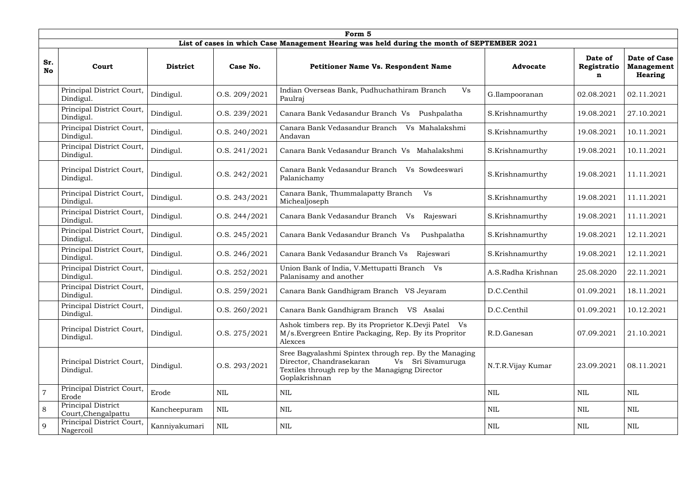|                | Form 5                                    |                 |               |                                                                                                                                                                           |                    |                             |                                                     |  |  |  |  |  |
|----------------|-------------------------------------------|-----------------|---------------|---------------------------------------------------------------------------------------------------------------------------------------------------------------------------|--------------------|-----------------------------|-----------------------------------------------------|--|--|--|--|--|
|                |                                           |                 |               | List of cases in which Case Management Hearing was held during the month of SEPTEMBER 2021                                                                                |                    |                             |                                                     |  |  |  |  |  |
| Sr.<br>No      | Court                                     | <b>District</b> | Case No.      | <b>Petitioner Name Vs. Respondent Name</b>                                                                                                                                | <b>Advocate</b>    | Date of<br>Registratio<br>n | <b>Date of Case</b><br><b>Management</b><br>Hearing |  |  |  |  |  |
|                | Principal District Court,<br>Dindigul.    | Dindigul.       | O.S. 209/2021 | Vs<br>Indian Overseas Bank, Pudhuchathiram Branch<br>Paulraj                                                                                                              | G.Ilampooranan     | 02.08.2021                  | 02.11.2021                                          |  |  |  |  |  |
|                | Principal District Court,<br>Dindigul.    | Dindigul.       | O.S. 239/2021 | Canara Bank Vedasandur Branch Vs<br>Pushpalatha                                                                                                                           | S.Krishnamurthy    | 19.08.2021                  | 27.10.2021                                          |  |  |  |  |  |
|                | Principal District Court,<br>Dindigul.    | Dindigul.       | O.S. 240/2021 | Canara Bank Vedasandur Branch<br>Vs Mahalakshmi<br>Andavan                                                                                                                | S.Krishnamurthy    | 19.08.2021                  | 10.11.2021                                          |  |  |  |  |  |
|                | Principal District Court,<br>Dindigul.    | Dindigul.       | O.S. 241/2021 | Canara Bank Vedasandur Branch Vs Mahalakshmi                                                                                                                              | S.Krishnamurthy    | 19.08.2021                  | 10.11.2021                                          |  |  |  |  |  |
|                | Principal District Court,<br>Dindigul.    | Dindigul.       | O.S. 242/2021 | Canara Bank Vedasandur Branch<br>Vs Sowdeeswari<br>Palanichamy                                                                                                            | S.Krishnamurthy    | 19.08.2021                  | 11.11.2021                                          |  |  |  |  |  |
|                | Principal District Court,<br>Dindigul.    | Dindigul.       | O.S. 243/2021 | Canara Bank, Thummalapatty Branch<br>Vs<br>Michealjoseph                                                                                                                  | S.Krishnamurthy    | 19.08.2021                  | 11.11.2021                                          |  |  |  |  |  |
|                | Principal District Court,<br>Dindigul.    | Dindigul.       | O.S. 244/2021 | Canara Bank Vedasandur Branch<br>Rajeswari<br>Vs                                                                                                                          | S.Krishnamurthy    | 19.08.2021                  | 11.11.2021                                          |  |  |  |  |  |
|                | Principal District Court,<br>Dindigul.    | Dindigul.       | O.S. 245/2021 | Pushpalatha<br>Canara Bank Vedasandur Branch Vs                                                                                                                           | S.Krishnamurthy    | 19.08.2021                  | 12.11.2021                                          |  |  |  |  |  |
|                | Principal District Court,<br>Dindigul.    | Dindigul.       | O.S. 246/2021 | Canara Bank Vedasandur Branch Vs<br>Rajeswari                                                                                                                             | S.Krishnamurthy    | 19.08.2021                  | 12.11.2021                                          |  |  |  |  |  |
|                | Principal District Court,<br>Dindigul.    | Dindigul.       | O.S. 252/2021 | Union Bank of India, V. Mettupatti Branch Vs<br>Palanisamy and another                                                                                                    | A.S.Radha Krishnan | 25.08.2020                  | 22.11.2021                                          |  |  |  |  |  |
|                | Principal District Court,<br>Dindigul.    | Dindigul.       | O.S. 259/2021 | Canara Bank Gandhigram Branch VS Jeyaram                                                                                                                                  | D.C.Centhil        | 01.09.2021                  | 18.11.2021                                          |  |  |  |  |  |
|                | Principal District Court,<br>Dindigul.    | Dindigul.       | O.S. 260/2021 | Canara Bank Gandhigram Branch VS Asalai                                                                                                                                   | D.C.Centhil        | 01.09.2021                  | 10.12.2021                                          |  |  |  |  |  |
|                | Principal District Court,<br>Dindigul.    | Dindigul.       | O.S. 275/2021 | Ashok timbers rep. By its Proprietor K.Devji Patel Vs<br>M/s. Evergreen Entire Packaging, Rep. By its Propritor<br>Alexces                                                | R.D.Ganesan        | 07.09.2021                  | 21.10.2021                                          |  |  |  |  |  |
|                | Principal District Court,<br>Dindigul.    | Dindigul.       | O.S. 293/2021 | Sree Bagyalashmi Spintex through rep. By the Managing<br>Director, Chandrasekaran<br>Vs Sri Sivamuruga<br>Textiles through rep by the Managigng Director<br>Goplakrishnan | N.T.R.Vijay Kumar  | 23.09.2021                  | 08.11.2021                                          |  |  |  |  |  |
| $\overline{7}$ | Principal District Court,<br>Erode        | Erode           | $\mbox{NIL}$  | <b>NIL</b>                                                                                                                                                                | <b>NIL</b>         | NIL                         | <b>NIL</b>                                          |  |  |  |  |  |
| 8              | Principal District<br>Court, Chengalpattu | Kancheepuram    | <b>NIL</b>    | NIL                                                                                                                                                                       | NIL                | NIL                         | <b>NIL</b>                                          |  |  |  |  |  |
| 9              | Principal District Court,<br>Nagercoil    | Kanniyakumari   | $\mbox{NIL}$  | NIL                                                                                                                                                                       | NIL                | NIL                         | NIL                                                 |  |  |  |  |  |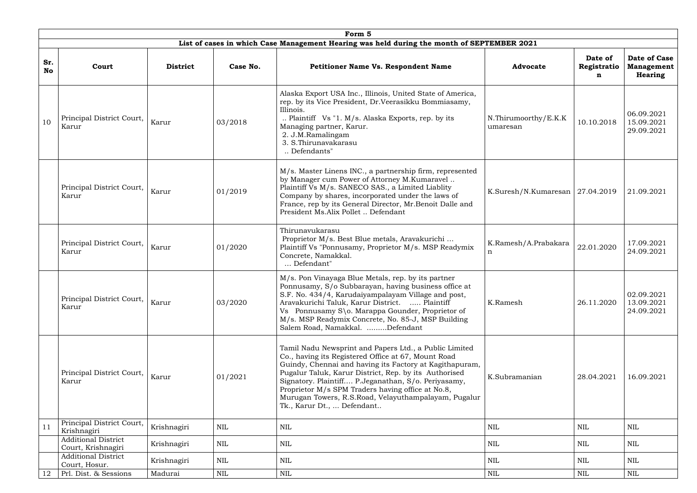|                  | Form 5                                           |                 |              |                                                                                                                                                                                                                                                                                                                                                                                                                                     |                                     |                             |                                                     |  |  |  |  |  |
|------------------|--------------------------------------------------|-----------------|--------------|-------------------------------------------------------------------------------------------------------------------------------------------------------------------------------------------------------------------------------------------------------------------------------------------------------------------------------------------------------------------------------------------------------------------------------------|-------------------------------------|-----------------------------|-----------------------------------------------------|--|--|--|--|--|
|                  |                                                  |                 |              | List of cases in which Case Management Hearing was held during the month of SEPTEMBER 2021                                                                                                                                                                                                                                                                                                                                          |                                     |                             |                                                     |  |  |  |  |  |
| Sr.<br><b>No</b> | Court                                            | <b>District</b> | Case No.     | <b>Petitioner Name Vs. Respondent Name</b>                                                                                                                                                                                                                                                                                                                                                                                          | <b>Advocate</b>                     | Date of<br>Registratio<br>n | Date of Case<br><b>Management</b><br><b>Hearing</b> |  |  |  |  |  |
| 10               | Principal District Court,<br>Karur               | Karur           | 03/2018      | Alaska Export USA Inc., Illinois, United State of America,<br>rep. by its Vice President, Dr. Veerasikku Bommiasamy,<br>Illinois.<br>Plaintiff Vs "1. M/s. Alaska Exports, rep. by its<br>Managing partner, Karur.<br>2. J.M.Ramalingam<br>3. S.Thirunavakarasu<br>Defendants"                                                                                                                                                      | N.Thirumoorthy/E.K.K<br>umaresan    | 10.10.2018                  | 06.09.2021<br>15.09.2021<br>29.09.2021              |  |  |  |  |  |
|                  | Principal District Court,<br>Karur               | Karur           | 01/2019      | M/s. Master Linens INC., a partnership firm, represented<br>by Manager cum Power of Attorney M.Kumaravel<br>Plaintiff Vs M/s. SANECO SAS., a Limited Liablity<br>Company by shares, incorporated under the laws of<br>France, rep by its General Director, Mr.Benoit Dalle and<br>President Ms.Alix Pollet  Defendant                                                                                                               | K.Suresh/N.Kumaresan   $27.04.2019$ |                             | 21.09.2021                                          |  |  |  |  |  |
|                  | Principal District Court,<br>Karur               | Karur           | 01/2020      | Thirunavukarasu<br>Proprietor M/s. Best Blue metals, Aravakurichi<br>Plaintiff Vs "Ponnusamy, Proprietor M/s. MSP Readymix<br>Concrete, Namakkal.<br>Defendant"                                                                                                                                                                                                                                                                     | K.Ramesh/A.Prabakara<br>n           | 22.01.2020                  | 17.09.2021<br>24.09.2021                            |  |  |  |  |  |
|                  | Principal District Court,<br>Karur               | Karur           | 03/2020      | M/s. Pon Vinayaga Blue Metals, rep. by its partner<br>Ponnusamy, S/o Subbarayan, having business office at<br>S.F. No. 434/4, Karudaiyampalayam Village and post,<br>Aravakurichi Taluk, Karur District.  Plaintiff<br>Vs Ponnusamy S\o. Marappa Gounder, Proprietor of<br>M/s. MSP Readymix Concrete, No. 85-J, MSP Building<br>Salem Road, Namakkal. Defendant                                                                    | K.Ramesh                            | 26.11.2020                  | 02.09.2021<br>13.09.2021<br>24.09.2021              |  |  |  |  |  |
|                  | Principal District Court,<br>Karur               | Karur           | 01/2021      | Tamil Nadu Newsprint and Papers Ltd., a Public Limited<br>Co., having its Registered Office at 67, Mount Road<br>Guindy, Chennai and having its Factory at Kagithapuram,<br>Pugalur Taluk, Karur District, Rep. by its Authorised<br>Signatory. Plaintiff P.Jeganathan, S/o. Periyasamy,<br>Proprietor M/s SPM Traders having office at No.8,<br>Murugan Towers, R.S.Road, Velayuthampalayam, Pugalur<br>Tk., Karur Dt.,  Defendant | K.Subramanian                       | 28.04.2021                  | 16.09.2021                                          |  |  |  |  |  |
| 11               | Principal District Court,<br>Krishnagiri         | Krishnagiri     | NIL          | NIL                                                                                                                                                                                                                                                                                                                                                                                                                                 | NIL                                 | NIL                         | NIL                                                 |  |  |  |  |  |
|                  | <b>Additional District</b><br>Court, Krishnagiri | Krishnagiri     | NIL          | <b>NIL</b>                                                                                                                                                                                                                                                                                                                                                                                                                          | NIL                                 | NIL                         | NIL                                                 |  |  |  |  |  |
|                  | <b>Additional District</b><br>Court, Hosur.      | Krishnagiri     | NIL          | NIL                                                                                                                                                                                                                                                                                                                                                                                                                                 | $\mbox{NIL}$                        | <b>NIL</b>                  | <b>NIL</b>                                          |  |  |  |  |  |
| 12               | Prl. Dist. & Sessions                            | Madurai         | $\mbox{NIL}$ | NIL                                                                                                                                                                                                                                                                                                                                                                                                                                 | NIL                                 | NIL                         | <b>NIL</b>                                          |  |  |  |  |  |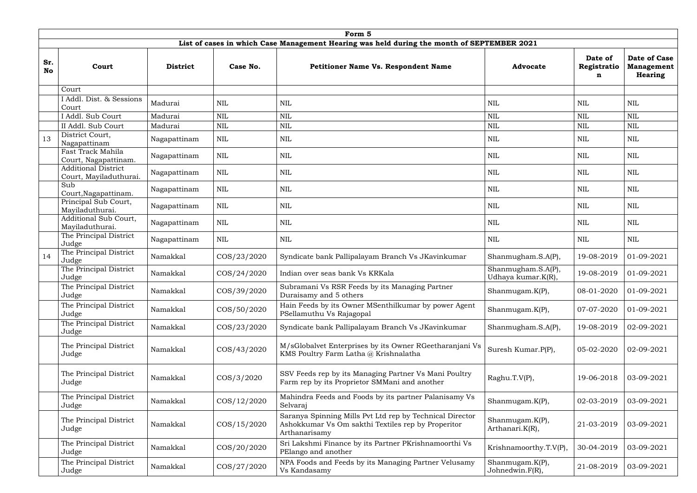|           | Form 5                                                                                     |                 |                |                                                                                                                                 |                                          |                             |                                                     |  |  |  |  |
|-----------|--------------------------------------------------------------------------------------------|-----------------|----------------|---------------------------------------------------------------------------------------------------------------------------------|------------------------------------------|-----------------------------|-----------------------------------------------------|--|--|--|--|
|           | List of cases in which Case Management Hearing was held during the month of SEPTEMBER 2021 |                 |                |                                                                                                                                 |                                          |                             |                                                     |  |  |  |  |
| Sr.<br>No | Court                                                                                      | <b>District</b> | Case No.       | <b>Petitioner Name Vs. Respondent Name</b>                                                                                      | <b>Advocate</b>                          | Date of<br>Registratio<br>n | Date of Case<br><b>Management</b><br><b>Hearing</b> |  |  |  |  |
|           | Court                                                                                      |                 |                |                                                                                                                                 |                                          |                             |                                                     |  |  |  |  |
|           | I Addl. Dist. & Sessions<br>Court                                                          | Madurai         | $\mbox{NIL}$   | <b>NIL</b>                                                                                                                      | <b>NIL</b>                               | <b>NIL</b>                  | <b>NIL</b>                                          |  |  |  |  |
|           | I Addl. Sub Court                                                                          | Madurai         | <b>NIL</b>     | <b>NIL</b>                                                                                                                      | <b>NIL</b>                               | <b>NIL</b>                  | $\mbox{NIL}$                                        |  |  |  |  |
|           | II Addl. Sub Court                                                                         | Madurai         | <b>NIL</b>     | $\mbox{NIL}$                                                                                                                    | <b>NIL</b>                               | <b>NIL</b>                  | $\mbox{NIL}$                                        |  |  |  |  |
| 13        | District Court,<br>Nagapattinam                                                            | Nagapattinam    | <b>NIL</b>     | <b>NIL</b>                                                                                                                      | NIL                                      | NIL                         | <b>NIL</b>                                          |  |  |  |  |
|           | Fast Track Mahila<br>Court, Nagapattinam.                                                  | Nagapattinam    | <b>NIL</b>     | <b>NIL</b>                                                                                                                      | <b>NIL</b>                               | NIL                         | <b>NIL</b>                                          |  |  |  |  |
|           | <b>Additional District</b><br>Court, Mayiladuthurai.                                       | Nagapattinam    | $\mbox{NIL}$   | <b>NIL</b>                                                                                                                      | <b>NIL</b>                               | <b>NIL</b>                  | <b>NIL</b>                                          |  |  |  |  |
|           | Sub<br>Court, Nagapattinam.                                                                | Nagapattinam    | <b>NIL</b>     | <b>NIL</b>                                                                                                                      | NIL                                      | NIL                         | <b>NIL</b>                                          |  |  |  |  |
|           | Principal Sub Court,<br>Mayiladuthurai.                                                    | Nagapattinam    | $\mbox{NIL}$   | <b>NIL</b>                                                                                                                      | <b>NIL</b>                               | <b>NIL</b>                  | $\mbox{NIL}$                                        |  |  |  |  |
|           | Additional Sub Court,<br>Mayiladuthurai.                                                   | Nagapattinam    | <b>NIL</b>     | NIL                                                                                                                             | NIL                                      | NIL                         | <b>NIL</b>                                          |  |  |  |  |
|           | The Principal District<br>Judge                                                            | Nagapattinam    | $\mbox{NIL}$   | <b>NIL</b>                                                                                                                      | <b>NIL</b>                               | NIL                         | <b>NIL</b>                                          |  |  |  |  |
| 14        | The Principal District<br>Judge                                                            | Namakkal        | COS/23/2020    | Syndicate bank Pallipalayam Branch Vs JKavinkumar                                                                               | Shanmugham.S.A(P),                       | 19-08-2019                  | 01-09-2021                                          |  |  |  |  |
|           | The Principal District<br>Judge                                                            | Namakkal        | COS/24/2020    | Indian over seas bank Vs KRKala                                                                                                 | Shanmugham.S.A(P),<br>Udhaya kumar.K(R), | 19-08-2019                  | 01-09-2021                                          |  |  |  |  |
|           | The Principal District<br>Judge                                                            | Namakkal        | COS/39/2020    | Subramani Vs RSR Feeds by its Managing Partner<br>Duraisamy and 5 others                                                        | Shanmugam.K(P),                          | $08-01-2020$ 01-09-2021     |                                                     |  |  |  |  |
|           | The Principal District<br>Judge                                                            | Namakkal        | COS/50/2020    | Hain Feeds by its Owner MSenthilkumar by power Agent<br>PSellamuthu Vs Rajagopal                                                | Shanmugam.K(P),                          | 07-07-2020                  | 01-09-2021                                          |  |  |  |  |
|           | The Principal District<br>Judge                                                            | Namakkal        | COS/23/2020    | Syndicate bank Pallipalayam Branch Vs JKavinkumar                                                                               | Shanmugham.S.A(P),                       | 19-08-2019                  | 02-09-2021                                          |  |  |  |  |
|           | The Principal District<br>Judge                                                            | Namakkal        | COS/43/2020    | M/sGlobalvet Enterprises by its Owner RGeetharanjani Vs<br>KMS Poultry Farm Latha @ Krishnalatha                                | Suresh Kumar.P(P),                       | 05-02-2020                  | 02-09-2021                                          |  |  |  |  |
|           | The Principal District<br>Judge                                                            | Namakkal        | $\cos/3/2020$  | SSV Feeds rep by its Managing Partner Vs Mani Poultry<br>Farm rep by its Proprietor SMMani and another                          | Raghu.T.V(P),                            | 19-06-2018                  | 03-09-2021                                          |  |  |  |  |
|           | The Principal District<br>Judge                                                            | Namakkal        | COS/12/2020    | Mahindra Feeds and Foods by its partner Palanisamy Vs<br>Selvaraj                                                               | Shanmugam.K(P),                          | 02-03-2019                  | 03-09-2021                                          |  |  |  |  |
|           | The Principal District<br>Judge                                                            | Namakkal        | $\cos/15/2020$ | Saranya Spinning Mills Pvt Ltd rep by Technical Director<br>Ashokkumar Vs Om sakthi Textiles rep by Properitor<br>Arthanarisamy | Shanmugam.K(P),<br>Arthanari.K(R),       | 21-03-2019                  | 03-09-2021                                          |  |  |  |  |
|           | The Principal District<br>Judge                                                            | Namakkal        | COS/20/2020    | Sri Lakshmi Finance by its Partner PKrishnamoorthi Vs<br>PElango and another                                                    | Krishnamoorthy.T.V(P),                   | 30-04-2019                  | 03-09-2021                                          |  |  |  |  |
|           | The Principal District<br>Judge                                                            | Namakkal        | COS/27/2020    | NPA Foods and Feeds by its Managing Partner Velusamy<br>Vs Kandasamy                                                            | Shanmugam.K(P),<br>Johnedwin.F(R),       | 21-08-2019                  | 03-09-2021                                          |  |  |  |  |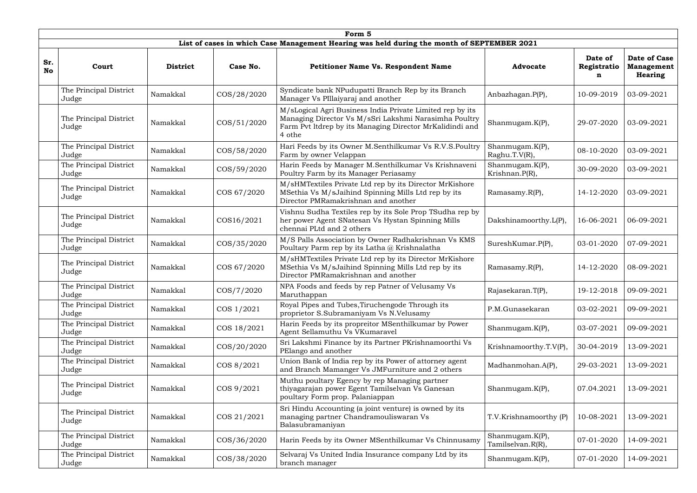|                  | Form 5                          |                 |             |                                                                                                                                                                                          |                                      |                             |                                                     |  |  |  |  |  |
|------------------|---------------------------------|-----------------|-------------|------------------------------------------------------------------------------------------------------------------------------------------------------------------------------------------|--------------------------------------|-----------------------------|-----------------------------------------------------|--|--|--|--|--|
|                  |                                 |                 |             | List of cases in which Case Management Hearing was held during the month of SEPTEMBER 2021                                                                                               |                                      |                             |                                                     |  |  |  |  |  |
| Sr.<br><b>No</b> | Court                           | <b>District</b> | Case No.    | <b>Petitioner Name Vs. Respondent Name</b>                                                                                                                                               | <b>Advocate</b>                      | Date of<br>Registratio<br>n | <b>Date of Case</b><br><b>Management</b><br>Hearing |  |  |  |  |  |
|                  | The Principal District<br>Judge | Namakkal        | COS/28/2020 | Syndicate bank NPudupatti Branch Rep by its Branch<br>Manager Vs PIllaiyaraj and another                                                                                                 | Anbazhagan.P(P),                     | 10-09-2019                  | 03-09-2021                                          |  |  |  |  |  |
|                  | The Principal District<br>Judge | Namakkal        | COS/51/2020 | M/sLogical Agri Business India Private Limited rep by its<br>Managing Director Vs M/sSri Lakshmi Narasimha Poultry<br>Farm Pvt ltdrep by its Managing Director MrKalidindi and<br>4 othe | Shanmugam.K(P),                      | 29-07-2020                  | 03-09-2021                                          |  |  |  |  |  |
|                  | The Principal District<br>Judge | Namakkal        | COS/58/2020 | Hari Feeds by its Owner M.Senthilkumar Vs R.V.S.Poultry<br>Farm by owner Velappan                                                                                                        | Shanmugam.K(P),<br>Raghu.T.V(R),     | 08-10-2020                  | 03-09-2021                                          |  |  |  |  |  |
|                  | The Principal District<br>Judge | Namakkal        | COS/59/2020 | Harin Feeds by Manager M.Senthilkumar Vs Krishnaveni<br>Poultry Farm by its Manager Periasamy                                                                                            | Shanmugam.K(P),<br>Krishnan.P(R),    | 30-09-2020                  | 03-09-2021                                          |  |  |  |  |  |
|                  | The Principal District<br>Judge | Namakkal        | COS 67/2020 | M/sHMTextiles Private Ltd rep by its Director MrKishore<br>MSethia Vs M/sJaihind Spinning Mills Ltd rep by its<br>Director PMRamakrishnan and another                                    | Ramasamy.R(P),                       | 14-12-2020                  | 03-09-2021                                          |  |  |  |  |  |
|                  | The Principal District<br>Judge | Namakkal        | COS16/2021  | Vishnu Sudha Textiles rep by its Sole Prop TSudha rep by<br>her power Agent SNatesan Vs Hystan Spinning Mills<br>chennai PLtd and 2 others                                               | Dakshinamoorthy.L(P),                | 16-06-2021                  | 06-09-2021                                          |  |  |  |  |  |
|                  | The Principal District<br>Judge | Namakkal        | COS/35/2020 | M/S Palls Association by Owner Radhakrishnan Vs KMS<br>Poultary Parm rep by its Latha @ Krishnalatha                                                                                     | SureshKumar.P(P),                    | 03-01-2020                  | 07-09-2021                                          |  |  |  |  |  |
|                  | The Principal District<br>Judge | Namakkal        | COS 67/2020 | M/sHMTextiles Private Ltd rep by its Director MrKishore<br>MSethia Vs M/sJaihind Spinning Mills Ltd rep by its<br>Director PMRamakrishnan and another                                    | Ramasamy.R(P),                       | 14-12-2020                  | 08-09-2021                                          |  |  |  |  |  |
|                  | The Principal District<br>Judge | Namakkal        | COS/7/2020  | NPA Foods and feeds by rep Patner of Velusamy Vs<br>Maruthappan                                                                                                                          | Rajasekaran.T(P),                    | 19-12-2018                  | 09-09-2021                                          |  |  |  |  |  |
|                  | The Principal District<br>Judge | Namakkal        | COS 1/2021  | Royal Pipes and Tubes, Tiruchengode Through its<br>proprietor S.Subramaniyam Vs N.Velusamy                                                                                               | P.M.Gunasekaran                      | 03-02-2021                  | 09-09-2021                                          |  |  |  |  |  |
|                  | The Principal District<br>Judge | Namakkal        | COS 18/2021 | Harin Feeds by its propreitor MSenthilkumar by Power<br>Agent Sellamuthu Vs VKumaravel                                                                                                   | Shanmugam.K(P),                      | 03-07-2021                  | 09-09-2021                                          |  |  |  |  |  |
|                  | The Principal District<br>Judge | Namakkal        | COS/20/2020 | Sri Lakshmi Finance by its Partner PKrishnamoorthi Vs<br>PElango and another                                                                                                             | Krishnamoorthy.T.V(P),               | 30-04-2019                  | 13-09-2021                                          |  |  |  |  |  |
|                  | The Principal District<br>Judge | Namakkal        | COS 8/2021  | Union Bank of India rep by its Power of attorney agent<br>and Branch Mamanger Vs JMFurniture and 2 others                                                                                | Madhanmohan.A(P),                    | 29-03-2021                  | 13-09-2021                                          |  |  |  |  |  |
|                  | The Principal District<br>Judge | Namakkal        | COS 9/2021  | Muthu poultary Egency by rep Managing partner<br>thiyagarajan power Egent Tamilselvan Vs Ganesan<br>poultary Form prop. Palaniappan                                                      | Shanmugam. $K(P)$ ,                  | 07.04.2021                  | 13-09-2021                                          |  |  |  |  |  |
|                  | The Principal District<br>Judge | Namakkal        | COS 21/2021 | Sri Hindu Accounting (a joint venture) is owned by its<br>managing partner Chandramouliswaran Vs<br>Balasubramaniyan                                                                     | T.V.Krishnamoorthy (P)               | 10-08-2021                  | 13-09-2021                                          |  |  |  |  |  |
|                  | The Principal District<br>Judge | Namakkal        | COS/36/2020 | Harin Feeds by its Owner MSenthilkumar Vs Chinnusamy                                                                                                                                     | Shanmugam.K(P),<br>Tamilselvan.R(R), | 07-01-2020                  | 14-09-2021                                          |  |  |  |  |  |
|                  | The Principal District<br>Judge | Namakkal        | COS/38/2020 | Selvaraj Vs United India Insurance company Ltd by its<br>branch manager                                                                                                                  | Shanmugam.K(P),                      | 07-01-2020                  | 14-09-2021                                          |  |  |  |  |  |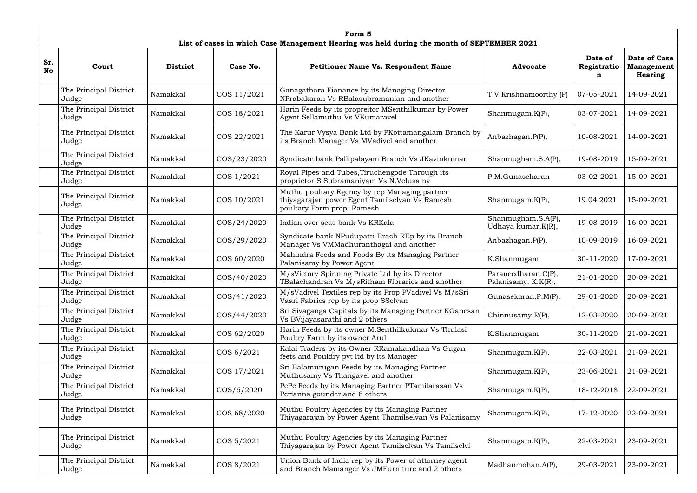|                  | Form 5                          |                 |                 |                                                                                                                               |                                            |                             |                                                            |  |  |  |  |
|------------------|---------------------------------|-----------------|-----------------|-------------------------------------------------------------------------------------------------------------------------------|--------------------------------------------|-----------------------------|------------------------------------------------------------|--|--|--|--|
|                  |                                 |                 |                 | List of cases in which Case Management Hearing was held during the month of SEPTEMBER 2021                                    |                                            |                             |                                                            |  |  |  |  |
| Sr.<br><b>No</b> | Court                           | <b>District</b> | Case No.        | <b>Petitioner Name Vs. Respondent Name</b>                                                                                    | <b>Advocate</b>                            | Date of<br>Registratio<br>n | <b>Date of Case</b><br><b>Management</b><br><b>Hearing</b> |  |  |  |  |
|                  | The Principal District<br>Judge | Namakkal        | COS 11/2021     | Ganagathara Fianance by its Managing Director<br>NPrabakaran Vs RBalasubramanian and another                                  | T.V.Krishnamoorthy (P)                     | 07-05-2021                  | 14-09-2021                                                 |  |  |  |  |
|                  | The Principal District<br>Judge | Namakkal        | COS 18/2021     | Harin Feeds by its propreitor MSenthilkumar by Power<br>Agent Sellamuthu Vs VKumaravel                                        | Shanmugam.K(P),                            | 03-07-2021                  | 14-09-2021                                                 |  |  |  |  |
|                  | The Principal District<br>Judge | Namakkal        | COS 22/2021     | The Karur Vysya Bank Ltd by PKottamangalam Branch by<br>its Branch Manager Vs MVadivel and another                            | Anbazhagan.P(P),                           | 10-08-2021                  | 14-09-2021                                                 |  |  |  |  |
|                  | The Principal District<br>Judge | Namakkal        | COS/23/2020     | Syndicate bank Pallipalayam Branch Vs JKavinkumar                                                                             | Shanmugham.S.A(P),                         | 19-08-2019                  | 15-09-2021                                                 |  |  |  |  |
|                  | The Principal District<br>Judge | Namakkal        | COS 1/2021      | Royal Pipes and Tubes, Tiruchengode Through its<br>proprietor S.Subramaniyam Vs N.Velusamy                                    | P.M.Gunasekaran                            | 03-02-2021                  | 15-09-2021                                                 |  |  |  |  |
|                  | The Principal District<br>Judge | Namakkal        | COS 10/2021     | Muthu poultary Egency by rep Managing partner<br>thiyagarajan power Egent Tamilselvan Vs Ramesh<br>poultary Form prop. Ramesh | Shanmugam. $K(P)$ ,                        | 19.04.2021                  | 15-09-2021                                                 |  |  |  |  |
|                  | The Principal District<br>Judge | Namakkal        | $\cos(24/2020)$ | Indian over seas bank Vs KRKala                                                                                               | Shanmugham.S.A(P),<br>Udhaya kumar.K(R),   | 19-08-2019                  | 16-09-2021                                                 |  |  |  |  |
|                  | The Principal District<br>Judge | Namakkal        | COS/29/2020     | Syndicate bank NPudupatti Brach REp by its Branch<br>Manager Vs VMMadhuranthagai and another                                  | Anbazhagan.P(P),                           | 10-09-2019                  | 16-09-2021                                                 |  |  |  |  |
|                  | The Principal District<br>Judge | Namakkal        | COS 60/2020     | Mahindra Feeds and Foods By its Managing Partner<br>Palanisamy by Power Agent                                                 | K.Shanmugam                                | 30-11-2020                  | 17-09-2021                                                 |  |  |  |  |
|                  | The Principal District<br>Judge | Namakkal        | COS/40/2020     | M/sVictory Spinning Private Ltd by its Director<br>TBalachandran Vs M/sRitham Fibrarics and another                           | Paraneedharan.C(P),<br>Palanisamy. K.K(R), | 21-01-2020                  | 20-09-2021                                                 |  |  |  |  |
|                  | The Principal District<br>Judge | Namakkal        | COS/41/2020     | M/sVadivel Textiles rep by its Prop PVadivel Vs M/sSri<br>Vaari Fabrics rep by its prop SSelvan                               | Gunasekaran.P.M(P),                        | 29-01-2020                  | 20-09-2021                                                 |  |  |  |  |
|                  | The Principal District<br>Judge | Namakkal        | COS/44/2020     | Sri Sivaganga Capitals by its Managing Partner KGanesan<br>Vs BVijayasarathi and 2 others                                     | Chinnusamy.R(P),                           | 12-03-2020                  | 20-09-2021                                                 |  |  |  |  |
|                  | The Principal District<br>Judge | Namakkal        | COS 62/2020     | Harin Feeds by its owner M.Senthilkukmar Vs Thulasi<br>Poultry Farm by its owner Arul                                         | K.Shanmugam                                | 30-11-2020                  | 21-09-2021                                                 |  |  |  |  |
|                  | The Principal District<br>Judge | Namakkal        | COS 6/2021      | Kalai Traders by its Owner RRamakandhan Vs Gugan<br>feets and Pouldry pvt ltd by its Manager                                  | Shanmugam.K(P),                            | 22-03-2021                  | 21-09-2021                                                 |  |  |  |  |
|                  | The Principal District<br>Judge | Namakkal        | COS 17/2021     | Sri Balamurugan Feeds by its Managing Partner<br>Muthusamy Vs Thangavel and another                                           | Shanmugam.K(P),                            | 23-06-2021                  | 21-09-2021                                                 |  |  |  |  |
|                  | The Principal District<br>Judge | Namakkal        | $\cos/6/2020$   | PePe Feeds by its Managing Partner PTamilarasan Vs<br>Perianna gounder and 8 others                                           | Shanmugam.K(P),                            | 18-12-2018                  | 22-09-2021                                                 |  |  |  |  |
|                  | The Principal District<br>Judge | Namakkal        | COS 68/2020     | Muthu Poultry Agencies by its Managing Partner<br>Thiyagarajan by Power Agent Thamilselvan Vs Palanisamy                      | Shanmugam.K(P),                            | 17-12-2020                  | 22-09-2021                                                 |  |  |  |  |
|                  | The Principal District<br>Judge | Namakkal        | COS 5/2021      | Muthu Poultry Agencies by its Managing Partner<br>Thiyagarajan by Power Agent Tamilselvan Vs Tamilselvi                       | Shanmugam. $K(P)$ ,                        | 22-03-2021                  | 23-09-2021                                                 |  |  |  |  |
|                  | The Principal District<br>Judge | Namakkal        | COS 8/2021      | Union Bank of India rep by its Power of attorney agent<br>and Branch Mamanger Vs JMFurniture and 2 others                     | Madhanmohan.A(P),                          | 29-03-2021                  | 23-09-2021                                                 |  |  |  |  |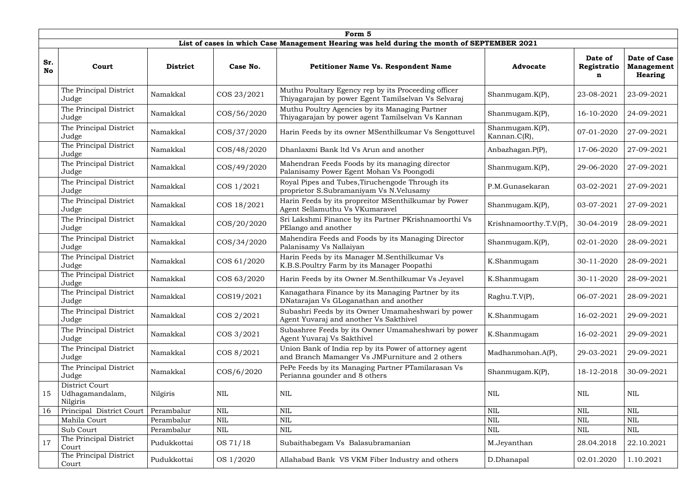|                  | Form 5                                        |                 |               |                                                                                                            |                                         |                             |                                                            |  |  |  |  |  |
|------------------|-----------------------------------------------|-----------------|---------------|------------------------------------------------------------------------------------------------------------|-----------------------------------------|-----------------------------|------------------------------------------------------------|--|--|--|--|--|
|                  |                                               |                 |               | List of cases in which Case Management Hearing was held during the month of SEPTEMBER 2021                 |                                         |                             |                                                            |  |  |  |  |  |
| Sr.<br><b>No</b> | Court                                         | <b>District</b> | Case No.      | Petitioner Name Vs. Respondent Name                                                                        | <b>Advocate</b>                         | Date of<br>Registratio<br>n | <b>Date of Case</b><br><b>Management</b><br><b>Hearing</b> |  |  |  |  |  |
|                  | The Principal District<br>Judge               | Namakkal        | COS 23/2021   | Muthu Poultary Egency rep by its Proceeding officer<br>Thiyagarajan by power Egent Tamilselvan Vs Selvaraj | Shanmugam. $K(P)$ ,                     | 23-08-2021                  | 23-09-2021                                                 |  |  |  |  |  |
|                  | The Principal District<br>Judge               | Namakkal        | COS/56/2020   | Muthu Poultry Agencies by its Managing Partner<br>Thiyagarajan by power agent Tamilselvan Vs Kannan        | Shanmugam. $K(P)$ ,                     | 16-10-2020                  | 24-09-2021                                                 |  |  |  |  |  |
|                  | The Principal District<br>Judge               | Namakkal        | COS/37/2020   | Harin Feeds by its owner MSenthilkumar Vs Sengottuvel                                                      | Shanmugam. $K(P)$ ,<br>Kannan. $C(R)$ , | 07-01-2020                  | 27-09-2021                                                 |  |  |  |  |  |
|                  | The Principal District<br>Judge               | Namakkal        | COS/48/2020   | Dhanlaxmi Bank ltd Vs Arun and another                                                                     | Anbazhagan.P(P),                        | 17-06-2020                  | 27-09-2021                                                 |  |  |  |  |  |
|                  | The Principal District<br>Judge               | Namakkal        | COS/49/2020   | Mahendran Feeds Foods by its managing director<br>Palanisamy Power Egent Mohan Vs Poongodi                 | Shanmugam.K(P),                         | 29-06-2020                  | 27-09-2021                                                 |  |  |  |  |  |
|                  | The Principal District<br>Judge               | Namakkal        | COS 1/2021    | Royal Pipes and Tubes, Tiruchengode Through its<br>proprietor S.Subramaniyam Vs N.Velusamy                 | P.M.Gunasekaran                         | 03-02-2021                  | 27-09-2021                                                 |  |  |  |  |  |
|                  | The Principal District<br>Judge               | Namakkal        | COS 18/2021   | Harin Feeds by its propreitor MSenthilkumar by Power<br>Agent Sellamuthu Vs VKumaravel                     | Shanmugam.K(P),                         | 03-07-2021                  | 27-09-2021                                                 |  |  |  |  |  |
|                  | The Principal District<br>Judge               | Namakkal        | COS/20/2020   | Sri Lakshmi Finance by its Partner PKrishnamoorthi Vs<br>PElango and another                               | Krishnamoorthy.T.V(P),                  | 30-04-2019                  | 28-09-2021                                                 |  |  |  |  |  |
|                  | The Principal District<br>Judge               | Namakkal        | COS/34/2020   | Mahendira Feeds and Foods by its Managing Director<br>Palanisamy Vs Nallaiyan                              | Shanmugam.K(P),                         | 02-01-2020                  | 28-09-2021                                                 |  |  |  |  |  |
|                  | The Principal District<br>Judge               | Namakkal        | COS 61/2020   | Harin Feeds by its Manager M.Senthilkumar Vs<br>K.B.S.Poultry Farm by its Manager Poopathi                 | K.Shanmugam                             | 30-11-2020                  | 28-09-2021                                                 |  |  |  |  |  |
|                  | The Principal District<br>Judge               | Namakkal        | COS 63/2020   | Harin Feeds by its Owner M.Senthilkumar Vs Jeyavel                                                         | K.Shanmugam                             | 30-11-2020                  | 28-09-2021                                                 |  |  |  |  |  |
|                  | The Principal District<br>Judge               | Namakkal        | COS19/2021    | Kanagathara Finance by its Managing Partner by its<br>DNatarajan Vs GLoganathan and another                | Raghu.T.V(P),                           | 06-07-2021                  | 28-09-2021                                                 |  |  |  |  |  |
|                  | The Principal District<br>Judge               | Namakkal        | COS 2/2021    | Subashri Feeds by its Owner Umamaheshwari by power<br>Agent Yuvaraj and another Vs Sakthivel               | K.Shanmugam                             | 16-02-2021                  | 29-09-2021                                                 |  |  |  |  |  |
|                  | The Principal District<br>Judge               | Namakkal        | COS 3/2021    | Subashree Feeds by its Owner Umamaheshwari by power<br>Agent Yuvaraj Vs Sakthivel                          | K.Shanmugam                             | 16-02-2021                  | 29-09-2021                                                 |  |  |  |  |  |
|                  | The Principal District<br>Judge               | Namakkal        | COS 8/2021    | Union Bank of India rep by its Power of attorney agent<br>and Branch Mamanger Vs JMFurniture and 2 others  | Madhanmohan.A(P),                       | 29-03-2021                  | 29-09-2021                                                 |  |  |  |  |  |
|                  | The Principal District<br>Judge               | Namakkal        | $\cos/6/2020$ | PePe Feeds by its Managing Partner PTamilarasan Vs<br>Perianna gounder and 8 others                        | Shanmugam.K(P),                         | 18-12-2018                  | 30-09-2021                                                 |  |  |  |  |  |
| 15               | District Court<br>Udhagamandalam,<br>Nilgiris | Nilgiris        | <b>NIL</b>    | <b>NIL</b>                                                                                                 | <b>NIL</b>                              | NIL                         | <b>NIL</b>                                                 |  |  |  |  |  |
| 16               | Principal District Court                      | Perambalur      | <b>NIL</b>    | <b>NIL</b>                                                                                                 | <b>NIL</b>                              | $\textsc{nil}$              | <b>NIL</b>                                                 |  |  |  |  |  |
|                  | Mahila Court                                  | Perambalur      | $\text{NIL}$  | <b>NIL</b>                                                                                                 | <b>NIL</b>                              | <b>NIL</b>                  | <b>NIL</b>                                                 |  |  |  |  |  |
|                  | Sub Court                                     | Perambalur      | $\mbox{NIL}$  | NIL                                                                                                        | <b>NIL</b>                              | NIL                         | NIL                                                        |  |  |  |  |  |
| 17               | The Principal District<br>Court               | Pudukkottai     | OS 71/18      | Subaithabegam Vs Balasubramanian                                                                           | M.Jeyanthan                             | 28.04.2018                  | 22.10.2021                                                 |  |  |  |  |  |
|                  | The Principal District<br>Court               | Pudukkottai     | OS 1/2020     | Allahabad Bank VS VKM Fiber Industry and others                                                            | D.Dhanapal                              | 02.01.2020                  | 1.10.2021                                                  |  |  |  |  |  |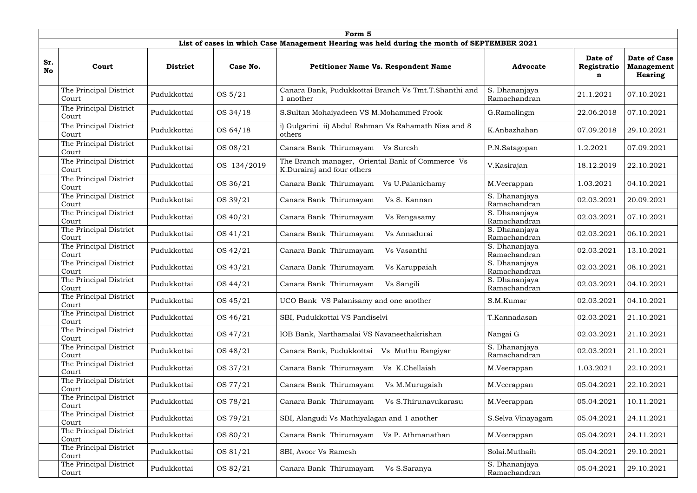|                  | Form 5                          |                 |             |                                                                                            |                               |                             |                                                            |  |  |  |  |
|------------------|---------------------------------|-----------------|-------------|--------------------------------------------------------------------------------------------|-------------------------------|-----------------------------|------------------------------------------------------------|--|--|--|--|
|                  |                                 |                 |             | List of cases in which Case Management Hearing was held during the month of SEPTEMBER 2021 |                               |                             |                                                            |  |  |  |  |
| Sr.<br><b>No</b> | Court                           | <b>District</b> | Case No.    | <b>Petitioner Name Vs. Respondent Name</b>                                                 | <b>Advocate</b>               | Date of<br>Registratio<br>n | <b>Date of Case</b><br><b>Management</b><br><b>Hearing</b> |  |  |  |  |
|                  | The Principal District<br>Court | Pudukkottai     | OS 5/21     | Canara Bank, Pudukkottai Branch Vs Tmt.T.Shanthi and<br>l another                          | S. Dhananjaya<br>Ramachandran | 21.1.2021                   | 07.10.2021                                                 |  |  |  |  |
|                  | The Principal District<br>Court | Pudukkottai     | OS 34/18    | S.Sultan Mohaiyadeen VS M.Mohammed Frook                                                   | G.Ramalingm                   | 22.06.2018                  | 07.10.2021                                                 |  |  |  |  |
|                  | The Principal District<br>Court | Pudukkottai     | OS 64/18    | i) Gulgarini ii) Abdul Rahman Vs Rahamath Nisa and 8<br>others                             | K.Anbazhahan                  | 07.09.2018                  | 29.10.2021                                                 |  |  |  |  |
|                  | The Principal District<br>Court | Pudukkottai     | OS 08/21    | Canara Bank Thirumayam<br>Vs Suresh                                                        | P.N.Satagopan                 | 1.2.2021                    | 07.09.2021                                                 |  |  |  |  |
|                  | The Principal District<br>Court | Pudukkottai     | OS 134/2019 | The Branch manager, Oriental Bank of Commerce Vs<br>K.Durairaj and four others             | V.Kasirajan                   | 18.12.2019                  | 22.10.2021                                                 |  |  |  |  |
|                  | The Principal District<br>Court | Pudukkottai     | OS 36/21    | Canara Bank Thirumayam<br>Vs U.Palanichamy                                                 | M.Veerappan                   | 1.03.2021                   | 04.10.2021                                                 |  |  |  |  |
|                  | The Principal District<br>Court | Pudukkottai     | OS 39/21    | Canara Bank Thirumayam<br>Vs S. Kannan                                                     | S. Dhananjaya<br>Ramachandran | 02.03.2021                  | 20.09.2021                                                 |  |  |  |  |
|                  | The Principal District<br>Court | Pudukkottai     | OS 40/21    | Canara Bank Thirumayam<br>Vs Rengasamy                                                     | S. Dhananjaya<br>Ramachandran | 02.03.2021                  | 07.10.2021                                                 |  |  |  |  |
|                  | The Principal District<br>Court | Pudukkottai     | OS 41/21    | Canara Bank Thirumayam<br>Vs Annadurai                                                     | S. Dhananjaya<br>Ramachandran | 02.03.2021                  | 06.10.2021                                                 |  |  |  |  |
|                  | The Principal District<br>Court | Pudukkottai     | OS 42/21    | Canara Bank Thirumayam<br>Vs Vasanthi                                                      | S. Dhananjaya<br>Ramachandran | 02.03.2021                  | 13.10.2021                                                 |  |  |  |  |
|                  | The Principal District<br>Court | Pudukkottai     | OS 43/21    | Canara Bank Thirumayam<br>Vs Karuppaiah                                                    | S. Dhananjaya<br>Ramachandran | 02.03.2021                  | 08.10.2021                                                 |  |  |  |  |
|                  | The Principal District<br>Court | Pudukkottai     | OS 44/21    | Canara Bank Thirumayam<br>Vs Sangili                                                       | S. Dhananjaya<br>Ramachandran | 02.03.2021                  | 04.10.2021                                                 |  |  |  |  |
|                  | The Principal District<br>Court | Pudukkottai     | OS 45/21    | UCO Bank VS Palanisamy and one another                                                     | S.M.Kumar                     | 02.03.2021                  | 04.10.2021                                                 |  |  |  |  |
|                  | The Principal District<br>Court | Pudukkottai     | OS 46/21    | SBI, Pudukkottai VS Pandiselvi                                                             | T.Kannadasan                  | 02.03.2021                  | 21.10.2021                                                 |  |  |  |  |
|                  | The Principal District<br>Court | Pudukkottai     | OS 47/21    | IOB Bank, Narthamalai VS Navaneethakrishan                                                 | Nangai G                      | 02.03.2021                  | 21.10.2021                                                 |  |  |  |  |
|                  | The Principal District<br>Court | Pudukkottai     | OS 48/21    | Canara Bank, Pudukkottai<br>Vs Muthu Rangiyar                                              | S. Dhananjaya<br>Ramachandran | 02.03.2021                  | 21.10.2021                                                 |  |  |  |  |
|                  | The Principal District<br>Court | Pudukkottai     | OS 37/21    | Canara Bank Thirumayam<br>Vs K.Chellaiah                                                   | M.Veerappan                   | 1.03.2021                   | 22.10.2021                                                 |  |  |  |  |
|                  | The Principal District<br>Court | Pudukkottai     | OS 77/21    | Canara Bank Thirumayam<br>Vs M.Murugaiah                                                   | M.Veerappan                   | 05.04.2021                  | 22.10.2021                                                 |  |  |  |  |
|                  | The Principal District<br>Court | Pudukkottai     | OS 78/21    | Canara Bank Thirumayam<br>Vs S.Thirunavukarasu                                             | M.Veerappan                   | 05.04.2021                  | 10.11.2021                                                 |  |  |  |  |
|                  | The Principal District<br>Court | Pudukkottai     | OS 79/21    | SBI, Alangudi Vs Mathiyalagan and 1 another                                                | S.Selva Vinayagam             | 05.04.2021                  | 24.11.2021                                                 |  |  |  |  |
|                  | The Principal District<br>Court | Pudukkottai     | OS 80/21    | Canara Bank Thirumayam<br>Vs P. Athmanathan                                                | M.Veerappan                   | 05.04.2021                  | 24.11.2021                                                 |  |  |  |  |
|                  | The Principal District<br>Court | Pudukkottai     | OS 81/21    | SBI, Avoor Vs Ramesh                                                                       | Solai.Muthaih                 | 05.04.2021                  | 29.10.2021                                                 |  |  |  |  |
|                  | The Principal District<br>Court | Pudukkottai     | OS 82/21    | Canara Bank Thirumayam<br>Vs S.Saranya                                                     | S. Dhananjaya<br>Ramachandran | 05.04.2021                  | 29.10.2021                                                 |  |  |  |  |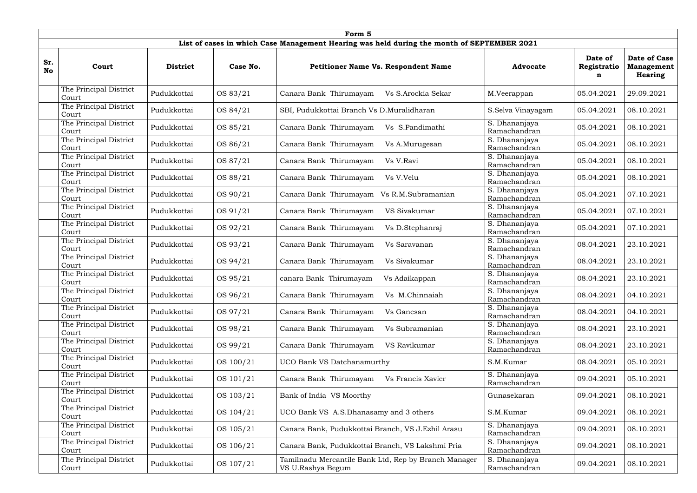|           | Form 5                          |                 |           |                                                                                            |                               |                             |                                                            |  |  |  |  |
|-----------|---------------------------------|-----------------|-----------|--------------------------------------------------------------------------------------------|-------------------------------|-----------------------------|------------------------------------------------------------|--|--|--|--|
|           |                                 |                 |           | List of cases in which Case Management Hearing was held during the month of SEPTEMBER 2021 |                               |                             |                                                            |  |  |  |  |
| Sr.<br>No | Court                           | <b>District</b> | Case No.  | <b>Petitioner Name Vs. Respondent Name</b>                                                 | <b>Advocate</b>               | Date of<br>Registratio<br>n | <b>Date of Case</b><br><b>Management</b><br><b>Hearing</b> |  |  |  |  |
|           | The Principal District<br>Court | Pudukkottai     | OS 83/21  | Canara Bank Thirumayam<br>Vs S.Arockia Sekar                                               | M.Veerappan                   | 05.04.2021                  | 29.09.2021                                                 |  |  |  |  |
|           | The Principal District<br>Court | Pudukkottai     | OS 84/21  | SBI, Pudukkottai Branch Vs D.Muralidharan                                                  | S.Selva Vinayagam             | 05.04.2021                  | 08.10.2021                                                 |  |  |  |  |
|           | The Principal District<br>Court | Pudukkottai     | OS 85/21  | Canara Bank Thirumayam<br>Vs S.Pandimathi                                                  | S. Dhananjaya<br>Ramachandran | 05.04.2021                  | 08.10.2021                                                 |  |  |  |  |
|           | The Principal District<br>Court | Pudukkottai     | OS 86/21  | Canara Bank Thirumayam<br>Vs A.Murugesan                                                   | S. Dhananjaya<br>Ramachandran | 05.04.2021                  | 08.10.2021                                                 |  |  |  |  |
|           | The Principal District<br>Court | Pudukkottai     | OS 87/21  | Canara Bank Thirumayam<br>Vs V.Ravi                                                        | S. Dhananjaya<br>Ramachandran | 05.04.2021                  | 08.10.2021                                                 |  |  |  |  |
|           | The Principal District<br>Court | Pudukkottai     | OS 88/21  | Canara Bank Thirumayam<br>Vs V.Velu                                                        | S. Dhananjaya<br>Ramachandran | 05.04.2021                  | 08.10.2021                                                 |  |  |  |  |
|           | The Principal District<br>Court | Pudukkottai     | OS 90/21  | Canara Bank Thirumayam<br>Vs R.M.Subramanian                                               | S. Dhananjaya<br>Ramachandran | 05.04.2021                  | 07.10.2021                                                 |  |  |  |  |
|           | The Principal District<br>Court | Pudukkottai     | OS 91/21  | Canara Bank Thirumayam<br>VS Sivakumar                                                     | S. Dhananjaya<br>Ramachandran | 05.04.2021                  | 07.10.2021                                                 |  |  |  |  |
|           | The Principal District<br>Court | Pudukkottai     | OS 92/21  | Canara Bank Thirumayam<br>Vs D.Stephanraj                                                  | S. Dhananjaya<br>Ramachandran | 05.04.2021                  | 07.10.2021                                                 |  |  |  |  |
|           | The Principal District<br>Court | Pudukkottai     | OS 93/21  | Canara Bank Thirumayam<br>Vs Saravanan                                                     | S. Dhananjaya<br>Ramachandran | 08.04.2021                  | 23.10.2021                                                 |  |  |  |  |
|           | The Principal District<br>Court | Pudukkottai     | OS 94/21  | Canara Bank Thirumayam<br>Vs Sivakumar                                                     | S. Dhananjaya<br>Ramachandran | 08.04.2021                  | 23.10.2021                                                 |  |  |  |  |
|           | The Principal District<br>Court | Pudukkottai     | OS 95/21  | canara Bank Thirumayam<br>Vs Adaikappan                                                    | S. Dhananjaya<br>Ramachandran | 08.04.2021                  | 23.10.2021                                                 |  |  |  |  |
|           | The Principal District<br>Court | Pudukkottai     | OS 96/21  | Vs M.Chinnaiah<br>Canara Bank Thirumayam                                                   | S. Dhananjaya<br>Ramachandran | 08.04.2021                  | 04.10.2021                                                 |  |  |  |  |
|           | The Principal District<br>Court | Pudukkottai     | OS 97/21  | Canara Bank Thirumayam<br>Vs Ganesan                                                       | S. Dhananjaya<br>Ramachandran | 08.04.2021                  | 04.10.2021                                                 |  |  |  |  |
|           | The Principal District<br>Court | Pudukkottai     | OS 98/21  | Canara Bank Thirumayam<br>Vs Subramanian                                                   | S. Dhananjaya<br>Ramachandran | 08.04.2021                  | 23.10.2021                                                 |  |  |  |  |
|           | The Principal District<br>Court | Pudukkottai     | OS 99/21  | Canara Bank Thirumayam<br>VS Ravikumar                                                     | S. Dhananjaya<br>Ramachandran | 08.04.2021                  | 23.10.2021                                                 |  |  |  |  |
|           | The Principal District<br>Court | Pudukkottai     | OS 100/21 | <b>UCO Bank VS Datchanamurthy</b>                                                          | S.M.Kumar                     | 08.04.2021                  | 05.10.2021                                                 |  |  |  |  |
|           | The Principal District<br>Court | Pudukkottai     | OS 101/21 | Canara Bank Thirumayam<br>Vs Francis Xavier                                                | S. Dhananjaya<br>Ramachandran | 09.04.2021                  | 05.10.2021                                                 |  |  |  |  |
|           | The Principal District<br>Court | Pudukkottai     | OS 103/21 | Bank of India VS Moorthy                                                                   | Gunasekaran                   | 09.04.2021                  | 08.10.2021                                                 |  |  |  |  |
|           | The Principal District<br>Court | Pudukkottai     | OS 104/21 | UCO Bank VS A.S.Dhanasamy and 3 others                                                     | S.M.Kumar                     | 09.04.2021                  | 08.10.2021                                                 |  |  |  |  |
|           | The Principal District<br>Court | Pudukkottai     | OS 105/21 | Canara Bank, Pudukkottai Branch, VS J.Ezhil Arasu                                          | S. Dhananjaya<br>Ramachandran | 09.04.2021                  | 08.10.2021                                                 |  |  |  |  |
|           | The Principal District<br>Court | Pudukkottai     | OS 106/21 | Canara Bank, Pudukkottai Branch, VS Lakshmi Pria                                           | S. Dhananjaya<br>Ramachandran | 09.04.2021                  | 08.10.2021                                                 |  |  |  |  |
|           | The Principal District<br>Court | Pudukkottai     | OS 107/21 | Tamilnadu Mercantile Bank Ltd, Rep by Branch Manager<br>VS U.Rashya Begum                  | S. Dhananjaya<br>Ramachandran | 09.04.2021                  | 08.10.2021                                                 |  |  |  |  |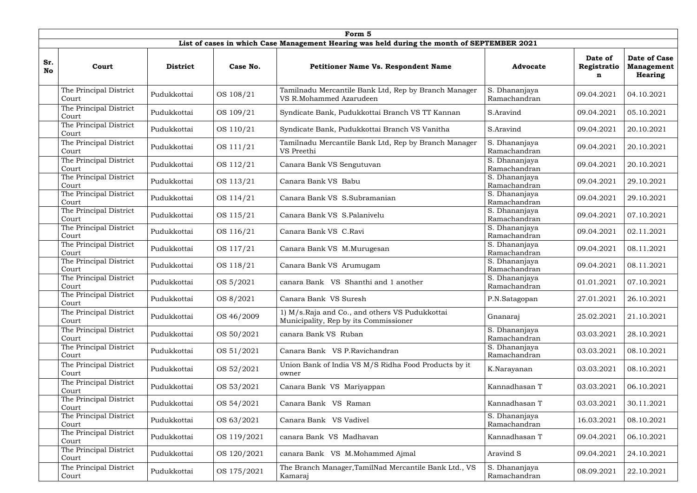|                  | Form 5<br>List of cases in which Case Management Hearing was held during the month of SEPTEMBER 2021 |                 |             |                                                                                         |                               |                             |                                                            |  |  |  |  |  |
|------------------|------------------------------------------------------------------------------------------------------|-----------------|-------------|-----------------------------------------------------------------------------------------|-------------------------------|-----------------------------|------------------------------------------------------------|--|--|--|--|--|
| Sr.<br><b>No</b> | Court                                                                                                | <b>District</b> | Case No.    | <b>Petitioner Name Vs. Respondent Name</b>                                              | <b>Advocate</b>               | Date of<br>Registratio<br>n | <b>Date of Case</b><br><b>Management</b><br><b>Hearing</b> |  |  |  |  |  |
|                  | The Principal District<br>Court                                                                      | Pudukkottai     | OS 108/21   | Tamilnadu Mercantile Bank Ltd, Rep by Branch Manager<br>VS R.Mohammed Azarudeen         | S. Dhananjaya<br>Ramachandran | 09.04.2021                  | 04.10.2021                                                 |  |  |  |  |  |
|                  | The Principal District<br>Court                                                                      | Pudukkottai     | OS 109/21   | Syndicate Bank, Pudukkottai Branch VS TT Kannan                                         | S.Aravind                     | 09.04.2021                  | 05.10.2021                                                 |  |  |  |  |  |
|                  | The Principal District<br>Court                                                                      | Pudukkottai     | OS 110/21   | Syndicate Bank, Pudukkottai Branch VS Vanitha                                           | S.Aravind                     | 09.04.2021                  | 20.10.2021                                                 |  |  |  |  |  |
|                  | The Principal District<br>Court                                                                      | Pudukkottai     | OS 111/21   | Tamilnadu Mercantile Bank Ltd, Rep by Branch Manager<br>VS Preethi                      | S. Dhananjaya<br>Ramachandran | 09.04.2021                  | 20.10.2021                                                 |  |  |  |  |  |
|                  | The Principal District<br>Court                                                                      | Pudukkottai     | OS 112/21   | Canara Bank VS Sengutuvan                                                               | S. Dhananjaya<br>Ramachandran | 09.04.2021                  | 20.10.2021                                                 |  |  |  |  |  |
|                  | The Principal District<br>Court                                                                      | Pudukkottai     | OS 113/21   | Canara Bank VS Babu                                                                     | S. Dhananjaya<br>Ramachandran | 09.04.2021                  | 29.10.2021                                                 |  |  |  |  |  |
|                  | The Principal District<br>Court                                                                      | Pudukkottai     | OS 114/21   | Canara Bank VS S.Subramanian                                                            | S. Dhananjaya<br>Ramachandran | 09.04.2021                  | 29.10.2021                                                 |  |  |  |  |  |
|                  | The Principal District<br>Court                                                                      | Pudukkottai     | OS 115/21   | Canara Bank VS S.Palanivelu                                                             | S. Dhananjaya<br>Ramachandran | 09.04.2021                  | 07.10.2021                                                 |  |  |  |  |  |
|                  | The Principal District<br>Court                                                                      | Pudukkottai     | OS 116/21   | Canara Bank VS C.Ravi                                                                   | S. Dhananjaya<br>Ramachandran | 09.04.2021                  | 02.11.2021                                                 |  |  |  |  |  |
|                  | The Principal District<br>Court                                                                      | Pudukkottai     | OS 117/21   | Canara Bank VS M.Murugesan                                                              | S. Dhananjaya<br>Ramachandran | 09.04.2021                  | 08.11.2021                                                 |  |  |  |  |  |
|                  | The Principal District<br>Court                                                                      | Pudukkottai     | OS 118/21   | Canara Bank VS Arumugam                                                                 | S. Dhananjaya<br>Ramachandran | 09.04.2021                  | 08.11.2021                                                 |  |  |  |  |  |
|                  | The Principal District<br>Court                                                                      | Pudukkottai     | OS 5/2021   | canara Bank VS Shanthi and 1 another                                                    | S. Dhananjaya<br>Ramachandran | 01.01.2021                  | 07.10.2021                                                 |  |  |  |  |  |
|                  | The Principal District<br>Court                                                                      | Pudukkottai     | OS 8/2021   | Canara Bank VS Suresh                                                                   | P.N.Satagopan                 | 27.01.2021                  | 26.10.2021                                                 |  |  |  |  |  |
|                  | The Principal District<br>Court                                                                      | Pudukkottai     | OS 46/2009  | 1) M/s.Raja and Co., and others VS Pudukkottai<br>Municipality, Rep by its Commissioner | Gnanaraj                      | 25.02.2021                  | 21.10.2021                                                 |  |  |  |  |  |
|                  | The Principal District<br>Court                                                                      | Pudukkottai     | OS 50/2021  | canara Bank VS Ruban                                                                    | S. Dhananjaya<br>Ramachandran | 03.03.2021                  | 28.10.2021                                                 |  |  |  |  |  |
|                  | The Principal District<br>Court                                                                      | Pudukkottai     | OS 51/2021  | Canara Bank VS P.Ravichandran                                                           | S. Dhananjaya<br>Ramachandran | 03.03.2021                  | 08.10.2021                                                 |  |  |  |  |  |
|                  | The Principal District<br>Court                                                                      | Pudukkottai     | OS 52/2021  | Union Bank of India VS M/S Ridha Food Products by it<br>owner                           | K.Narayanan                   | 03.03.2021                  | 08.10.2021                                                 |  |  |  |  |  |
|                  | The Principal District<br>Court                                                                      | Pudukkottai     | OS 53/2021  | Canara Bank VS Mariyappan                                                               | Kannadhasan T                 | 03.03.2021                  | 06.10.2021                                                 |  |  |  |  |  |
|                  | The Principal District<br>Court                                                                      | Pudukkottai     | OS 54/2021  | Canara Bank VS Raman                                                                    | Kannadhasan T                 | 03.03.2021                  | 30.11.2021                                                 |  |  |  |  |  |
|                  | The Principal District<br>Court                                                                      | Pudukkottai     | OS 63/2021  | Canara Bank VS Vadivel                                                                  | S. Dhananjaya<br>Ramachandran | 16.03.2021                  | 08.10.2021                                                 |  |  |  |  |  |
|                  | The Principal District<br>Court                                                                      | Pudukkottai     | OS 119/2021 | canara Bank VS Madhavan                                                                 | Kannadhasan T                 | 09.04.2021                  | 06.10.2021                                                 |  |  |  |  |  |
|                  | The Principal District<br>Court                                                                      | Pudukkottai     | OS 120/2021 | canara Bank VS M.Mohammed Ajmal                                                         | Aravind S                     | 09.04.2021                  | 24.10.2021                                                 |  |  |  |  |  |
|                  | The Principal District<br>Court                                                                      | Pudukkottai     | OS 175/2021 | The Branch Manager, TamilNad Mercantile Bank Ltd., VS<br>Kamaraj                        | S. Dhananjaya<br>Ramachandran | 08.09.2021                  | 22.10.2021                                                 |  |  |  |  |  |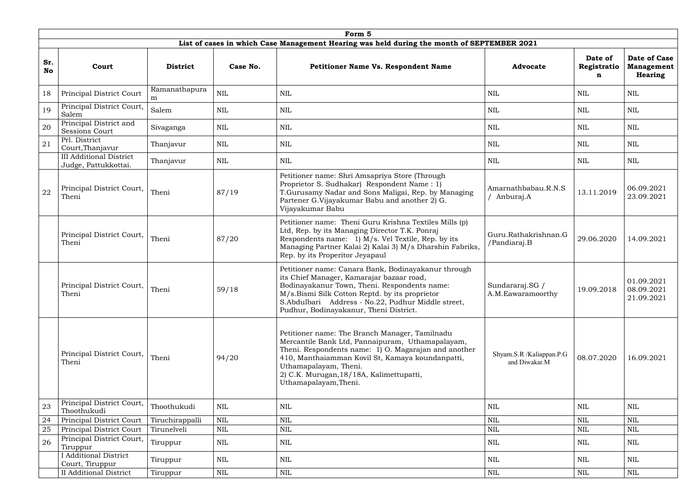|                  | Form 5                                                 |                    |              |                                                                                                                                                                                                                                                                                                              |                                           |                             |                                              |  |  |  |  |
|------------------|--------------------------------------------------------|--------------------|--------------|--------------------------------------------------------------------------------------------------------------------------------------------------------------------------------------------------------------------------------------------------------------------------------------------------------------|-------------------------------------------|-----------------------------|----------------------------------------------|--|--|--|--|
|                  |                                                        |                    |              | List of cases in which Case Management Hearing was held during the month of SEPTEMBER 2021                                                                                                                                                                                                                   |                                           |                             |                                              |  |  |  |  |
| Sr.<br><b>No</b> | Court                                                  | <b>District</b>    | Case No.     | <b>Petitioner Name Vs. Respondent Name</b>                                                                                                                                                                                                                                                                   | <b>Advocate</b>                           | Date of<br>Registratio<br>n | Date of Case<br><b>Management</b><br>Hearing |  |  |  |  |
| 18               | Principal District Court                               | Ramanathapura<br>m | $\mbox{NIL}$ | <b>NIL</b>                                                                                                                                                                                                                                                                                                   | <b>NIL</b>                                | <b>NIL</b>                  | <b>NIL</b>                                   |  |  |  |  |
| 19               | Principal District Court,<br>Salem                     | Salem              | <b>NIL</b>   | <b>NIL</b>                                                                                                                                                                                                                                                                                                   | <b>NIL</b>                                | <b>NIL</b>                  | NIL                                          |  |  |  |  |
| 20               | Principal District and<br><b>Sessions Court</b>        | Sivaganga          | <b>NIL</b>   | <b>NIL</b>                                                                                                                                                                                                                                                                                                   | NIL                                       | <b>NIL</b>                  | NIL                                          |  |  |  |  |
| 21               | Prl. District<br>Court, Thanjavur                      | Thanjavur          | $\mbox{NIL}$ | NIL                                                                                                                                                                                                                                                                                                          | $\mbox{NIL}$                              | $\mbox{NIL}$                | <b>NIL</b>                                   |  |  |  |  |
|                  | <b>III Additional District</b><br>Judge, Pattukkottai. | Thanjavur          | $\mbox{NIL}$ | NIL                                                                                                                                                                                                                                                                                                          | NIL                                       | NIL                         | NIL                                          |  |  |  |  |
| 22               | Principal District Court,<br>Theni                     | Theni              | 87/19        | Petitioner name: Shri Amsapriya Store (Through<br>Proprietor S. Sudhakar) Respondent Name: 1)<br>T.Gurusamy Nadar and Sons Maligai, Rep. by Managing<br>Partener G.Vijayakumar Babu and another 2) G.<br>Vijayakumar Babu                                                                                    | Amarnathbabau.R.N.S<br>Anburaj.A          | 13.11.2019                  | 06.09.2021<br>23.09.2021                     |  |  |  |  |
|                  | Principal District Court,<br>Theni                     | Theni              | 87/20        | Petitioner name: Theni Guru Krishna Textiles Mills (p)<br>Ltd, Rep. by its Managing Director T.K. Ponraj<br>Respondents name: 1) M/s. Vel Textile, Rep. by its<br>Managing Partner Kalai 2) Kalai 3) M/s Dharshin Fabriks,<br>Rep. by its Properitor Jeyapaul                                                | Guru.Rathakrishnan.G<br>/Pandiaraj.B      | 29.06.2020                  | 14.09.2021                                   |  |  |  |  |
|                  | Principal District Court, Theni<br>Theni               |                    | 59/18        | Petitioner name: Canara Bank, Bodinayakanur through<br>its Chief Manager, Kamarajar bazaar road,<br>Bodinayakanur Town, Theni. Respondents name:<br>M/s.Bismi Silk Cotton Reptd. by its proprietor<br>S.Abdulbari Address - No.22, Pudhur Middle street,<br>Pudhur, Bodinayakanur, Theni District.           | Sundararaj.SG /<br>A.M.Eawaramoorthy      | 19.09.2018                  | 01.09.2021<br>08.09.2021<br>21.09.2021       |  |  |  |  |
|                  | Principal District Court,<br>Theni                     | Theni              | 94/20        | Petitioner name: The Branch Manager, Tamilnadu<br>Mercantile Bank Ltd, Pannaipuram, Uthamapalayam,<br>Theni. Respondents name: 1) O. Magarajan and another<br>410, Manthaiamman Kovil St, Kamaya koundanpatti,<br>Uthamapalayam, Theni.<br>2) C.K. Murugan, 18/18A, Kalimettupatti,<br>Uthamapalayam, Theni. | Shyam.S.R /Kaliappan.P.G<br>and Diwakar.M | 08.07.2020                  | 16.09.2021                                   |  |  |  |  |
| 23               | Principal District Court,<br>Thoothukudi               | Thoothukudi        | $\mbox{NIL}$ | NIL                                                                                                                                                                                                                                                                                                          | <b>NIL</b>                                | NIL                         | NIL                                          |  |  |  |  |
| 24               | Principal District Court                               | Tiruchirappalli    | <b>NIL</b>   | <b>NIL</b>                                                                                                                                                                                                                                                                                                   | <b>NIL</b>                                | $\mbox{NIL}$                | <b>NIL</b>                                   |  |  |  |  |
| 25               | Principal District Court                               | Tirunelveli        | $\mbox{NIL}$ | NIL                                                                                                                                                                                                                                                                                                          | <b>NIL</b>                                | <b>NIL</b>                  | <b>NIL</b>                                   |  |  |  |  |
| 26               | Principal District Court,<br>Tiruppur                  | Tiruppur           | $\mbox{NIL}$ | NIL                                                                                                                                                                                                                                                                                                          | <b>NIL</b>                                | <b>NIL</b>                  | NIL                                          |  |  |  |  |
|                  | <b>I</b> Additional District<br>Court, Tiruppur        | Tiruppur           | <b>NIL</b>   | NIL                                                                                                                                                                                                                                                                                                          | <b>NIL</b>                                | NIL                         | <b>NIL</b>                                   |  |  |  |  |
|                  | <b>II</b> Additional District                          | Tiruppur           | NIL          | <b>NIL</b>                                                                                                                                                                                                                                                                                                   | <b>NIL</b>                                | <b>NIL</b>                  | <b>NIL</b>                                   |  |  |  |  |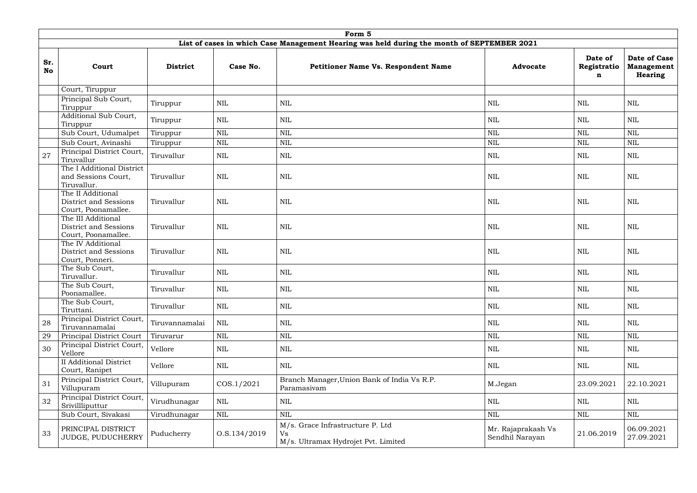|                  | Form 5                                                             |                 |              |                                                                                            |                                       |                             |                                              |  |  |  |
|------------------|--------------------------------------------------------------------|-----------------|--------------|--------------------------------------------------------------------------------------------|---------------------------------------|-----------------------------|----------------------------------------------|--|--|--|
|                  |                                                                    |                 |              | List of cases in which Case Management Hearing was held during the month of SEPTEMBER 2021 |                                       |                             |                                              |  |  |  |
| Sr.<br><b>No</b> | Court                                                              | <b>District</b> | Case No.     | <b>Petitioner Name Vs. Respondent Name</b>                                                 | <b>Advocate</b>                       | Date of<br>Registratio<br>n | Date of Case<br><b>Management</b><br>Hearing |  |  |  |
|                  | Court, Tiruppur                                                    |                 |              |                                                                                            |                                       |                             |                                              |  |  |  |
|                  | Principal Sub Court,<br>Tiruppur                                   | Tiruppur        | <b>NIL</b>   | <b>NIL</b>                                                                                 | NIL                                   | NIL                         | <b>NIL</b>                                   |  |  |  |
|                  | Additional Sub Court,<br>Tiruppur                                  | Tiruppur        | <b>NIL</b>   | <b>NIL</b>                                                                                 | <b>NIL</b>                            | <b>NIL</b>                  | <b>NIL</b>                                   |  |  |  |
|                  | Sub Court, Udumalpet                                               | Tiruppur        | $\mbox{NIL}$ | $\mbox{NIL}$                                                                               | $\mbox{NIL}$                          | $\mbox{NIL}$                | $\mbox{NIL}$                                 |  |  |  |
|                  | Sub Court, Avinashi                                                | Tiruppur        | $\mbox{NIL}$ | $\mbox{NIL}$                                                                               | $\mbox{NIL}$                          | $\text{NIL}$                | $\mbox{NIL}$                                 |  |  |  |
| 27               | Principal District Court,<br>Tiruvallur                            | Tiruvallur      | NIL          | NIL                                                                                        | NIL                                   | NIL                         | NIL                                          |  |  |  |
|                  | The I Additional District<br>and Sessions Court,<br>Tiruvallur.    | Tiruvallur      | <b>NIL</b>   | $\mbox{NIL}$                                                                               | NIL                                   | NIL                         | NIL                                          |  |  |  |
|                  | The II Additional<br>District and Sessions<br>Court, Poonamallee.  | Tiruvallur      | NIL          | <b>NIL</b>                                                                                 | NIL                                   | <b>NIL</b>                  | NIL                                          |  |  |  |
|                  | The III Additional<br>District and Sessions<br>Court, Poonamallee. | Tiruvallur      | <b>NIL</b>   | <b>NIL</b>                                                                                 | NIL                                   | <b>NIL</b>                  | <b>NIL</b>                                   |  |  |  |
|                  | The IV Additional<br>District and Sessions<br>Court, Ponneri.      | Tiruvallur      | <b>NIL</b>   | <b>NIL</b>                                                                                 | <b>NIL</b>                            | <b>NIL</b>                  | <b>NIL</b>                                   |  |  |  |
|                  | The Sub Court,<br>Tiruvallur.                                      | Tiruvallur      | <b>NIL</b>   | <b>NIL</b>                                                                                 | <b>NIL</b>                            | NIL                         | <b>NIL</b>                                   |  |  |  |
|                  | The Sub Court,<br>Poonamallee.                                     | Tiruvallur      | $\mbox{NIL}$ | <b>NIL</b>                                                                                 | <b>NIL</b>                            | NIL                         | $\mbox{NIL}$                                 |  |  |  |
|                  | The Sub Court,<br>Tiruttani.                                       | Tiruvallur      | <b>NIL</b>   | <b>NIL</b>                                                                                 | NIL                                   | <b>NIL</b>                  | NIL                                          |  |  |  |
| 28               | Principal District Court,<br>Tiruvannamalai                        | Tiruvannamalai  | $\mbox{NIL}$ | <b>NIL</b>                                                                                 | <b>NIL</b>                            | <b>NIL</b>                  | <b>NIL</b>                                   |  |  |  |
| 29               | Principal District Court                                           | Tiruvarur       | $\mbox{NIL}$ | <b>NIL</b>                                                                                 | $\mbox{NIL}$                          | $\mbox{NIL}$                | $\mbox{NIL}$                                 |  |  |  |
| 30               | Principal District Court,<br>Vellore                               | Vellore         | $\mbox{NIL}$ | <b>NIL</b>                                                                                 | NIL                                   | NIL                         | NIL                                          |  |  |  |
|                  | <b>II</b> Additional District<br>Court, Ranipet                    | Vellore         | $\mbox{NIL}$ | <b>NIL</b>                                                                                 | <b>NIL</b>                            | <b>NIL</b>                  | NIL                                          |  |  |  |
| 31               | Principal District Court,<br>Villupuram                            | Villupuram      | COS.1/2021   | Branch Manager, Union Bank of India Vs R.P.<br>Paramasivam                                 | M.Jegan                               | 23.09.2021                  | 22.10.2021                                   |  |  |  |
| 32               | Principal District Court,<br>Srivillliputtur                       | Virudhunagar    | $\mbox{NIL}$ | <b>NIL</b>                                                                                 | $\mbox{NIL}$                          | NIL                         | NIL                                          |  |  |  |
|                  | Sub Court, Sivakasi                                                | Virudhunagar    | <b>NIL</b>   | <b>NIL</b>                                                                                 | $\mbox{NIL}$                          | <b>NIL</b>                  | <b>NIL</b>                                   |  |  |  |
| 33               | PRINCIPAL DISTRICT<br>JUDGE, PUDUCHERRY                            | Puducherry      | O.S.134/2019 | M/s. Grace Infrastructure P. Ltd<br><b>Vs</b><br>M/s. Ultramax Hydrojet Pvt. Limited       | Mr. Rajaprakash Vs<br>Sendhil Narayan | 21.06.2019                  | 06.09.2021<br>27.09.2021                     |  |  |  |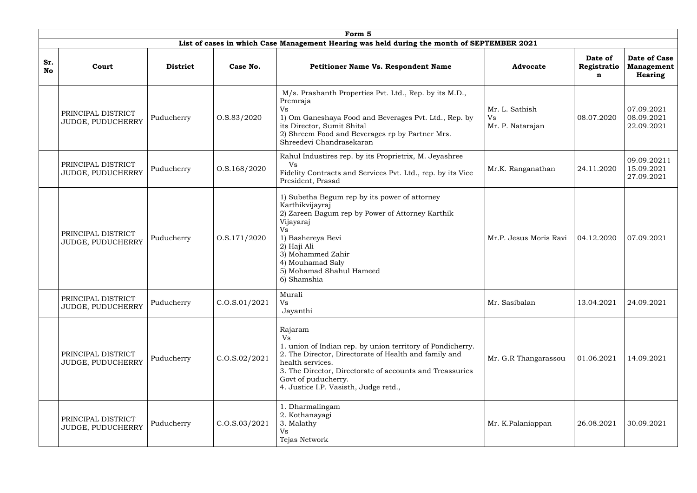|                  | Form 5                                  |                 |                   |                                                                                                                                                                                                                                                                                      |                                                 |                             |                                              |  |  |  |
|------------------|-----------------------------------------|-----------------|-------------------|--------------------------------------------------------------------------------------------------------------------------------------------------------------------------------------------------------------------------------------------------------------------------------------|-------------------------------------------------|-----------------------------|----------------------------------------------|--|--|--|
|                  |                                         |                 |                   | List of cases in which Case Management Hearing was held during the month of SEPTEMBER 2021                                                                                                                                                                                           |                                                 |                             |                                              |  |  |  |
| Sr.<br><b>No</b> | Court                                   | <b>District</b> | Case No.          | Petitioner Name Vs. Respondent Name                                                                                                                                                                                                                                                  | <b>Advocate</b>                                 | Date of<br>Registratio<br>n | Date of Case<br><b>Management</b><br>Hearing |  |  |  |
|                  | PRINCIPAL DISTRICT<br>JUDGE, PUDUCHERRY | Puducherry      | 0. S. 83 / 2020   | M/s. Prashanth Properties Pvt. Ltd., Rep. by its M.D.,<br>Premraja<br>Vs<br>1) Om Ganeshaya Food and Beverages Pvt. Ltd., Rep. by<br>its Director, Sumit Shital<br>2) Shreem Food and Beverages rp by Partner Mrs.<br>Shreedevi Chandrasekaran                                       | Mr. L. Sathish<br><b>Vs</b><br>Mr. P. Natarajan | 08.07.2020                  | 07.09.2021<br>08.09.2021<br>22.09.2021       |  |  |  |
|                  | PRINCIPAL DISTRICT<br>JUDGE, PUDUCHERRY | Puducherry      | 0. S. 168 / 2020  | Rahul Industires rep. by its Proprietrix, M. Jeyashree<br>Vs<br>Fidelity Contracts and Services Pvt. Ltd., rep. by its Vice<br>President, Prasad                                                                                                                                     | Mr.K. Ranganathan                               | 24.11.2020                  | 09.09.20211<br>15.09.2021<br>27.09.2021      |  |  |  |
|                  | PRINCIPAL DISTRICT<br>JUDGE, PUDUCHERRY | Puducherry      | 0. S. 171/2020    | 1) Subetha Begum rep by its power of attorney<br>Karthikvijayraj<br>2) Zareen Bagum rep by Power of Attorney Karthik<br>Vijayaraj<br>Vs<br>1) Bashereya Bevi<br>2) Haji Ali<br>3) Mohammed Zahir<br>4) Mouhamad Saly<br>5) Mohamad Shahul Hameed<br>6) Shamshia                      | Mr.P. Jesus Moris Ravi                          | 04.12.2020                  | 07.09.2021                                   |  |  |  |
|                  | PRINCIPAL DISTRICT<br>JUDGE, PUDUCHERRY | Puducherry      | C. O.S. 01/2021   | Murali<br>Vs<br>Jayanthi                                                                                                                                                                                                                                                             | Mr. Sasibalan                                   | 13.04.2021                  | 24.09.2021                                   |  |  |  |
|                  | PRINCIPAL DISTRICT<br>JUDGE, PUDUCHERRY | Puducherry      | C. O.S. 02 / 2021 | Rajaram<br>Vs<br>1. union of Indian rep. by union territory of Pondicherry.<br>2. The Director, Directorate of Health and family and<br>health services.<br>3. The Director, Directorate of accounts and Treassuries<br>Govt of puducherry.<br>4. Justice I.P. Vasisth, Judge retd., | Mr. G.R Thangarassou                            | 01.06.2021                  | 14.09.2021                                   |  |  |  |
|                  | PRINCIPAL DISTRICT<br>JUDGE, PUDUCHERRY | Puducherry      | C. O.S. 03/2021   | 1. Dharmalingam<br>2. Kothanayagi<br>3. Malathy<br>Vs<br>Tejas Network                                                                                                                                                                                                               | Mr. K.Palaniappan                               | 26.08.2021                  | 30.09.2021                                   |  |  |  |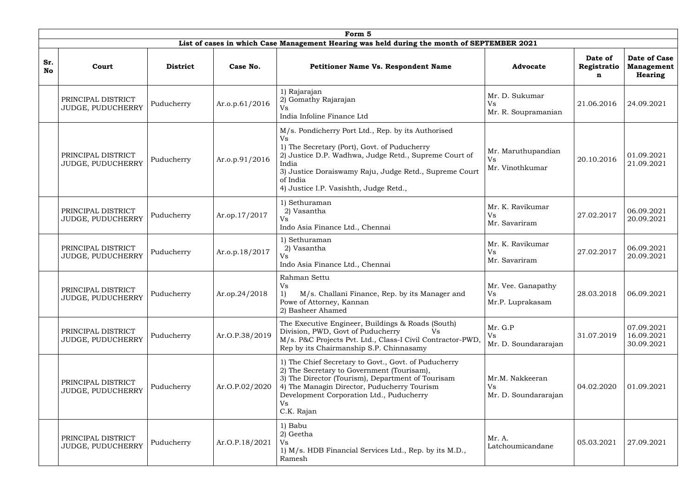|           | Form 5                                                |                 |                |                                                                                                                                                                                                                                                                                            |                                                     |                  |                                        |  |  |  |
|-----------|-------------------------------------------------------|-----------------|----------------|--------------------------------------------------------------------------------------------------------------------------------------------------------------------------------------------------------------------------------------------------------------------------------------------|-----------------------------------------------------|------------------|----------------------------------------|--|--|--|
| Sr.       |                                                       |                 |                | List of cases in which Case Management Hearing was held during the month of SEPTEMBER 2021                                                                                                                                                                                                 |                                                     | Date of          | Date of Case                           |  |  |  |
| <b>No</b> | Court                                                 | <b>District</b> | Case No.       | <b>Petitioner Name Vs. Respondent Name</b>                                                                                                                                                                                                                                                 | <b>Advocate</b>                                     | Registratio<br>n | <b>Management</b><br><b>Hearing</b>    |  |  |  |
|           | PRINCIPAL DISTRICT<br>JUDGE, PUDUCHERRY               | Puducherry      | Ar.o.p.61/2016 | 1) Rajarajan<br>2) Gomathy Rajarajan<br>Vs<br>India Infoline Finance Ltd                                                                                                                                                                                                                   | Mr. D. Sukumar<br>Vs<br>Mr. R. Soupramanian         | 21.06.2016       | 24.09.2021                             |  |  |  |
|           | PRINCIPAL DISTRICT<br>Puducherry<br>JUDGE, PUDUCHERRY |                 | Ar.o.p.91/2016 | M/s. Pondicherry Port Ltd., Rep. by its Authorised<br>Vs<br>1) The Secretary (Port), Govt. of Puducherry<br>2) Justice D.P. Wadhwa, Judge Retd., Supreme Court of<br>India<br>3) Justice Doraiswamy Raju, Judge Retd., Supreme Court<br>of India<br>4) Justice I.P. Vasishth, Judge Retd., | Mr. Maruthupandian<br><b>Vs</b><br>Mr. Vinothkumar  | 20.10.2016       | 01.09.2021<br>21.09.2021               |  |  |  |
|           | PRINCIPAL DISTRICT<br>JUDGE, PUDUCHERRY               | Puducherry      | Ar.op.17/2017  | 1) Sethuraman<br>2) Vasantha<br>Vs<br>Indo Asia Finance Ltd., Chennai                                                                                                                                                                                                                      | Mr. K. Ravikumar<br><b>Vs</b><br>Mr. Savariram      | 27.02.2017       | 06.09.2021<br>20.09.2021               |  |  |  |
|           | PRINCIPAL DISTRICT<br>JUDGE, PUDUCHERRY               | Puducherry      | Ar.o.p.18/2017 | 1) Sethuraman<br>2) Vasantha<br>Vs<br>Indo Asia Finance Ltd., Chennai                                                                                                                                                                                                                      | Mr. K. Ravikumar<br><b>Vs</b><br>Mr. Savariram      | 27.02.2017       | 06.09.2021<br>20.09.2021               |  |  |  |
|           | PRINCIPAL DISTRICT<br>JUDGE, PUDUCHERRY               | Puducherry      | Ar.op.24/2018  | Rahman Settu<br>Vs<br>M/s. Challani Finance, Rep. by its Manager and<br>Powe of Attorney, Kannan<br>2) Basheer Ahamed                                                                                                                                                                      | Mr. Vee. Ganapathy<br><b>Vs</b><br>Mr.P. Luprakasam | 28.03.2018       | 06.09.2021                             |  |  |  |
|           | PRINCIPAL DISTRICT<br>JUDGE, PUDUCHERRY               | Puducherry      | Ar.O.P.38/2019 | The Executive Engineer, Buildings & Roads (South)<br>Division, PWD, Govt of Puducherry<br>Vs<br>M/s. P&C Projects Pvt. Ltd., Class-I Civil Contractor-PWD,<br>Rep by its Chairmanship S.P. Chinnasamy                                                                                      | Mr. G.P<br><b>Vs</b><br>Mr. D. Soundararajan        | 31.07.2019       | 07.09.2021<br>16.09.2021<br>30.09.2021 |  |  |  |
|           | PRINCIPAL DISTRICT<br>JUDGE, PUDUCHERRY               | Puducherry      | Ar.O.P.02/2020 | 1) The Chief Secretary to Govt., Govt. of Puducherry<br>2) The Secretary to Government (Tourisam),<br>3) The Director (Tourism), Department of Tourisam<br>4) The Managin Director, Puducherry Tourism<br>Development Corporation Ltd., Puducherry<br>Vs<br>C.K. Rajan                     | Mr.M. Nakkeeran<br>Vs<br>Mr. D. Soundararajan       | 04.02.2020       | 01.09.2021                             |  |  |  |
|           | PRINCIPAL DISTRICT<br>JUDGE, PUDUCHERRY               | Puducherry      | Ar.O.P.18/2021 | 1) Babu<br>2) Geetha<br>Vs<br>1) M/s. HDB Financial Services Ltd., Rep. by its M.D.,<br>Ramesh                                                                                                                                                                                             | Mr. A.<br>Latchoumicandane                          | 05.03.2021       | 27.09.2021                             |  |  |  |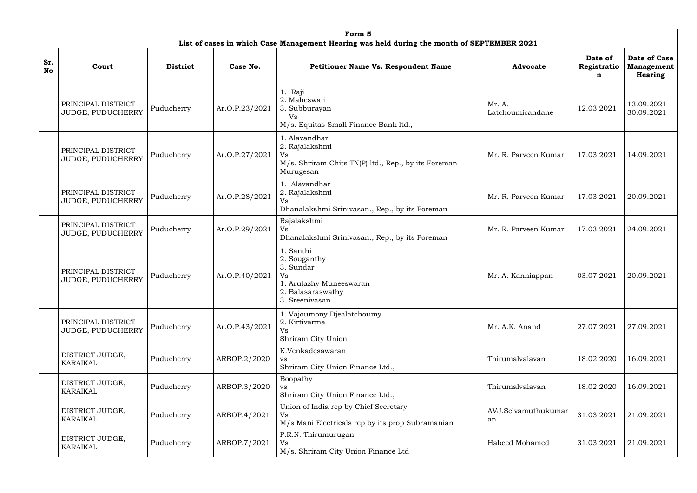|                  | Form 5                                                |                              |                |                                                                                                                |                            |                             |                                              |  |  |  |  |
|------------------|-------------------------------------------------------|------------------------------|----------------|----------------------------------------------------------------------------------------------------------------|----------------------------|-----------------------------|----------------------------------------------|--|--|--|--|
|                  |                                                       |                              |                | List of cases in which Case Management Hearing was held during the month of SEPTEMBER 2021                     |                            |                             |                                              |  |  |  |  |
| Sr.<br><b>No</b> | Court                                                 | <b>District</b>              | Case No.       | <b>Petitioner Name Vs. Respondent Name</b>                                                                     | <b>Advocate</b>            | Date of<br>Registratio<br>n | Date of Case<br>Management<br><b>Hearing</b> |  |  |  |  |
|                  | PRINCIPAL DISTRICT<br>JUDGE, PUDUCHERRY               | Puducherry<br>Ar.O.P.23/2021 |                | Raji<br>2. Maheswari<br>3. Subburayan<br>Vs<br>M/s. Equitas Small Finance Bank ltd.,                           | Mr. A.<br>Latchoumicandane | 12.03.2021                  | 13.09.2021<br>30.09.2021                     |  |  |  |  |
|                  | PRINCIPAL DISTRICT<br>Puducherry<br>JUDGE, PUDUCHERRY |                              | Ar.O.P.27/2021 | 1. Alavandhar<br>2. Rajalakshmi<br>Vs<br>M/s. Shriram Chits TN(P) ltd., Rep., by its Foreman<br>Murugesan      | Mr. R. Parveen Kumar       | 17.03.2021                  | 14.09.2021                                   |  |  |  |  |
|                  | PRINCIPAL DISTRICT<br>JUDGE, PUDUCHERRY               | Puducherry                   | Ar.O.P.28/2021 | 1. Alavandhar<br>2. Rajalakshmi<br>Vs<br>Dhanalakshmi Srinivasan., Rep., by its Foreman                        | Mr. R. Parveen Kumar       | 17.03.2021                  | 20.09.2021                                   |  |  |  |  |
|                  | PRINCIPAL DISTRICT<br>JUDGE, PUDUCHERRY               | Ar.O.P.29/2021<br>Puducherry |                | Rajalakshmi<br>Vs<br>Dhanalakshmi Srinivasan., Rep., by its Foreman                                            | Mr. R. Parveen Kumar       | 17.03.2021                  | 24.09.2021                                   |  |  |  |  |
|                  | PRINCIPAL DISTRICT<br>JUDGE, PUDUCHERRY               | Puducherry                   | Ar.O.P.40/2021 | 1. Santhi<br>2. Souganthy<br>3. Sundar<br>Vs<br>1. Arulazhy Muneeswaran<br>2. Balasaraswathy<br>3. Sreenivasan | Mr. A. Kanniappan          | 03.07.2021                  | 20.09.2021                                   |  |  |  |  |
|                  | PRINCIPAL DISTRICT<br>JUDGE, PUDUCHERRY               | Puducherry                   | Ar.O.P.43/2021 | 1. Vajoumony Djealatchoumy<br>2. Kirtivarma<br>Vs<br>Shriram City Union                                        | Mr. A.K. Anand             | 27.07.2021                  | 27.09.2021                                   |  |  |  |  |
|                  | DISTRICT JUDGE,<br><b>KARAIKAL</b>                    | Puducherry                   | ARBOP.2/2020   | K.Venkadesawaran<br>VS<br>Shriram City Union Finance Ltd.,                                                     | Thirumalvalavan            | 18.02.2020                  | 16.09.2021                                   |  |  |  |  |
|                  | DISTRICT JUDGE,<br><b>KARAIKAL</b>                    | Puducherry                   | ARBOP.3/2020   | Boopathy<br>VS<br>Shriram City Union Finance Ltd.,                                                             | Thirumalvalavan            | 18.02.2020                  | 16.09.2021                                   |  |  |  |  |
|                  | DISTRICT JUDGE,<br>KARAIKAL                           | Puducherry                   | ARBOP.4/2021   | Union of India rep by Chief Secretary<br>Vs<br>M/s Mani Electricals rep by its prop Subramanian                | AVJ.Selvamuthukumar<br>an  | 31.03.2021                  | 21.09.2021                                   |  |  |  |  |
|                  | DISTRICT JUDGE,<br>KARAIKAL                           | Puducherry                   | ARBOP.7/2021   | P.R.N. Thirumurugan<br>Vs<br>M/s. Shriram City Union Finance Ltd                                               | Habeed Mohamed             | 31.03.2021                  | 21.09.2021                                   |  |  |  |  |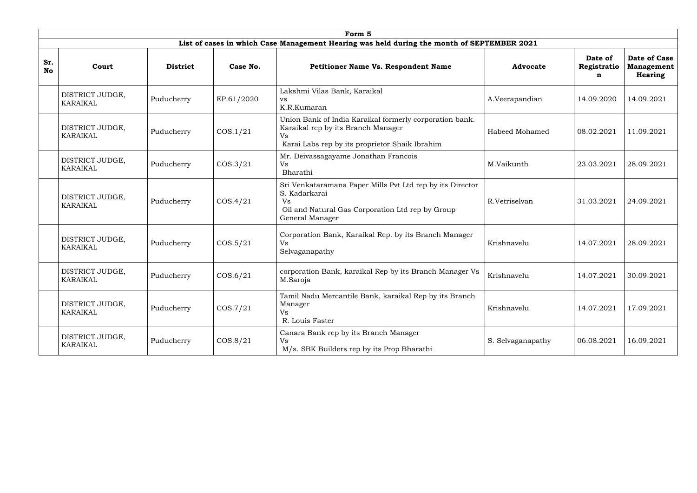|                  | Form 5                             |                 |            |                                                                                                                                                                |                   |                             |                                                     |  |  |  |
|------------------|------------------------------------|-----------------|------------|----------------------------------------------------------------------------------------------------------------------------------------------------------------|-------------------|-----------------------------|-----------------------------------------------------|--|--|--|
|                  |                                    |                 |            | List of cases in which Case Management Hearing was held during the month of SEPTEMBER 2021                                                                     |                   |                             |                                                     |  |  |  |
| Sr.<br><b>No</b> | Court                              | <b>District</b> | Case No.   | <b>Petitioner Name Vs. Respondent Name</b>                                                                                                                     | <b>Advocate</b>   | Date of<br>Registratio<br>n | <b>Date of Case</b><br><b>Management</b><br>Hearing |  |  |  |
|                  | DISTRICT JUDGE,<br>KARAIKAL        | Puducherry      | EP.61/2020 | Lakshmi Vilas Bank, Karaikal<br><b>VS</b><br>K.R.Kumaran                                                                                                       | A.Veerapandian    | 14.09.2020                  | 14.09.2021                                          |  |  |  |
|                  | DISTRICT JUDGE,<br>KARAIKAL        | Puducherry      | COS.1/21   | Union Bank of India Karaikal formerly corporation bank.<br>Karaikal rep by its Branch Manager<br><b>Vs</b><br>Karai Labs rep by its proprietor Shaik Ibrahim   | Habeed Mohamed    | 08.02.2021                  | 11.09.2021                                          |  |  |  |
|                  | DISTRICT JUDGE,<br>KARAIKAL        | Puducherry      | COS.3/21   | Mr. Deivassagayame Jonathan Francois<br>Vs<br>Bharathi                                                                                                         | M.Vaikunth        | 23.03.2021                  | 28.09.2021                                          |  |  |  |
|                  | DISTRICT JUDGE,<br>KARAIKAL        | Puducherry      | COS.4/21   | Sri Venkataramana Paper Mills Pvt Ltd rep by its Director<br>S. Kadarkarai<br><b>Vs</b><br>Oil and Natural Gas Corporation Ltd rep by Group<br>General Manager | R.Vetriselvan     | 31.03.2021                  | 24.09.2021                                          |  |  |  |
|                  | DISTRICT JUDGE,<br><b>KARAIKAL</b> | Puducherry      | COS.5/21   | Corporation Bank, Karaikal Rep. by its Branch Manager<br><b>Vs</b><br>Selvaganapathy                                                                           | Krishnavelu       | 14.07.2021                  | 28.09.2021                                          |  |  |  |
|                  | DISTRICT JUDGE,<br><b>KARAIKAL</b> | Puducherry      | COS.6/21   | corporation Bank, karaikal Rep by its Branch Manager Vs<br>M.Saroja                                                                                            | Krishnavelu       | 14.07.2021                  | 30.09.2021                                          |  |  |  |
|                  | DISTRICT JUDGE,<br>KARAIKAL        | Puducherry      | COS.7/21   | Tamil Nadu Mercantile Bank, karaikal Rep by its Branch<br>Manager<br>Vs<br>R. Louis Faster                                                                     | Krishnavelu       | 14.07.2021                  | 17.09.2021                                          |  |  |  |
|                  | DISTRICT JUDGE,<br>KARAIKAL        | Puducherry      | COS.8/21   | Canara Bank rep by its Branch Manager<br>Vs<br>M/s. SBK Builders rep by its Prop Bharathi                                                                      | S. Selvaganapathy | 06.08.2021                  | 16.09.2021                                          |  |  |  |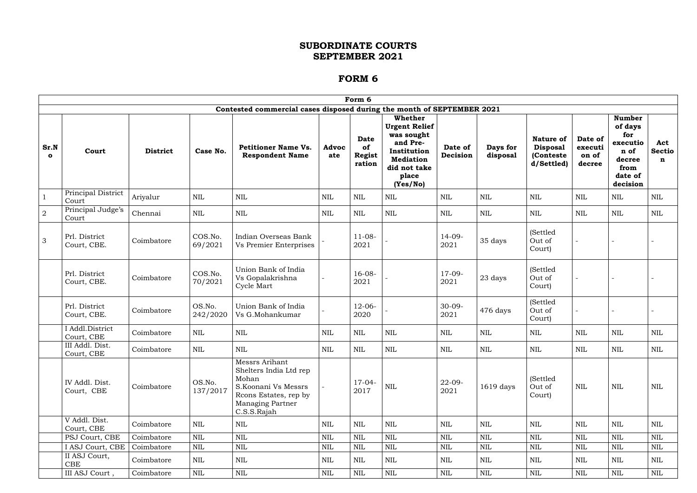|                      |                               |                 |                    |                                                                                                                                             |              | Form 6                                |                                                                                                                                   |                     |                      |                                                                 |                                       |                                                                                              |                           |
|----------------------|-------------------------------|-----------------|--------------------|---------------------------------------------------------------------------------------------------------------------------------------------|--------------|---------------------------------------|-----------------------------------------------------------------------------------------------------------------------------------|---------------------|----------------------|-----------------------------------------------------------------|---------------------------------------|----------------------------------------------------------------------------------------------|---------------------------|
|                      |                               |                 |                    | Contested commercial cases disposed during the month of SEPTEMBER 2021                                                                      |              |                                       |                                                                                                                                   |                     |                      |                                                                 |                                       |                                                                                              |                           |
| Sr.N<br>$\mathbf{o}$ | Court                         | <b>District</b> | Case No.           | <b>Petitioner Name Vs.</b><br><b>Respondent Name</b>                                                                                        | Advoc<br>ate | <b>Date</b><br>of<br>Regist<br>ration | Whether<br><b>Urgent Relief</b><br>was sought<br>and Pre-<br>Institution<br><b>Mediation</b><br>did not take<br>place<br>(Yes/No) | Date of<br>Decision | Days for<br>disposal | <b>Nature of</b><br><b>Disposal</b><br>(Conteste)<br>d/Settled) | Date of<br>executi<br>on of<br>decree | <b>Number</b><br>of days<br>for<br>executio<br>n of<br>decree<br>from<br>date of<br>decision | Act<br><b>Sectio</b><br>n |
| $\mathbf{1}$         | Principal District<br>Court   | Ariyalur        | <b>NIL</b>         | <b>NIL</b>                                                                                                                                  | <b>NIL</b>   | <b>NIL</b>                            | <b>NIL</b>                                                                                                                        | <b>NIL</b>          | <b>NIL</b>           | <b>NIL</b>                                                      | <b>NIL</b>                            | NIL                                                                                          | $\mbox{NIL}$              |
| $\overline{2}$       | Principal Judge's<br>Court    | Chennai         | <b>NIL</b>         | <b>NIL</b>                                                                                                                                  | $\mbox{NIL}$ | <b>NIL</b>                            | <b>NIL</b>                                                                                                                        | <b>NIL</b>          | <b>NIL</b>           | $\mbox{NIL}$                                                    | <b>NIL</b>                            | $\mbox{NIL}$                                                                                 | <b>NIL</b>                |
| 3                    | Prl. District<br>Court, CBE.  | Coimbatore      | COS.No.<br>69/2021 | Indian Overseas Bank<br>Vs Premier Enterprises                                                                                              |              | $11-08-$<br>2021                      |                                                                                                                                   | $14-09-$<br>2021    | 35 days              | (Settled<br>Out of<br>Court)                                    |                                       |                                                                                              |                           |
|                      | Prl. District<br>Court, CBE.  | Coimbatore      | COS.No.<br>70/2021 | Union Bank of India<br>Vs Gopalakrishna<br>Cycle Mart                                                                                       |              | $16-08-$<br>2021                      |                                                                                                                                   | $17-09-$<br>2021    | 23 days              | (Settled<br>Out of<br>Court)                                    |                                       |                                                                                              |                           |
|                      | Prl. District<br>Court, CBE.  | Coimbatore      | OS.No.<br>242/2020 | Union Bank of India<br>Vs G.Mohankumar                                                                                                      |              | $12 - 06 -$<br>2020                   |                                                                                                                                   | $30 - 09 -$<br>2021 | 476 days             | (Settled<br>Out of<br>Court)                                    |                                       |                                                                                              |                           |
|                      | I Addl.District<br>Court, CBE | Coimbatore      | $\mbox{NIL}$       | <b>NIL</b>                                                                                                                                  | $\mbox{NIL}$ | <b>NIL</b>                            | <b>NIL</b>                                                                                                                        | $\mbox{NIL}$        | $\text{NIL}$         | $\mbox{NIL}$                                                    | $\mbox{NIL}$                          | $\mbox{NIL}$                                                                                 | <b>NIL</b>                |
|                      | III Addl. Dist.<br>Court, CBE | Coimbatore      | <b>NIL</b>         | <b>NIL</b>                                                                                                                                  | <b>NIL</b>   | <b>NIL</b>                            | $\mbox{NIL}$                                                                                                                      | <b>NIL</b>          | NIL                  | <b>NIL</b>                                                      | <b>NIL</b>                            | <b>NIL</b>                                                                                   | <b>NIL</b>                |
|                      | IV Addl. Dist.<br>Court, CBE  | Coimbatore      | OS.No.<br>137/2017 | Messrs Arihant<br>Shelters India Ltd rep<br>Mohan<br>S.Koonani Vs Messrs<br>Roons Estates, rep by<br><b>Managing Partner</b><br>C.S.S.Rajah |              | $17-04-$<br>2017                      | $\mbox{NIL}$                                                                                                                      | $22 - 09 -$<br>2021 | 1619 days            | (Settled)<br>Out of<br>Court)                                   | NIL                                   | NIL                                                                                          | $\mbox{NIL}$              |
|                      | V Addl. Dist.<br>Court, CBE   | Coimbatore      | NIL                | NIL                                                                                                                                         | <b>NIL</b>   | NIL                                   | NIL                                                                                                                               | <b>NIL</b>          | $\mbox{NIL}$         | <b>NIL</b>                                                      | $\mbox{NIL}$                          | <b>NIL</b>                                                                                   | <b>NIL</b>                |
|                      | PSJ Court, CBE                | Coimbatore      | NIL                | <b>NIL</b>                                                                                                                                  | $\mbox{NIL}$ | <b>NIL</b>                            | <b>NIL</b>                                                                                                                        | <b>NIL</b>          | <b>NIL</b>           | <b>NIL</b>                                                      | <b>NIL</b>                            | <b>NIL</b>                                                                                   | $\mbox{NIL}$              |
|                      | I ASJ Court, CBE              | Coimbatore      | NIL                | NIL                                                                                                                                         | $\mbox{NIL}$ | $\mbox{NIL}$                          | NIL                                                                                                                               | NIL                 | <b>NIL</b>           | $\mbox{NIL}$                                                    | NIL                                   | NIL                                                                                          | $\mbox{NIL}$              |
|                      | II ASJ Court,<br>CBE          | Coimbatore      | NIL                | NIL                                                                                                                                         | $\mbox{NIL}$ | NIL                                   | NIL                                                                                                                               | NIL                 | $\mbox{NIL}$         | <b>NIL</b>                                                      | NIL                                   | NIL                                                                                          | <b>NIL</b>                |
|                      | III ASJ Court,                | Coimbatore      | $\mbox{NIL}$       | $\mbox{NIL}$                                                                                                                                | $\mbox{NIL}$ | $\mbox{NIL}$                          | NIL                                                                                                                               | $\mbox{NIL}$        | $\mbox{NIL}$         | $\mbox{NIL}$                                                    | $\mbox{NIL}$                          | $\mbox{NIL}$                                                                                 | $\mbox{NIL}$              |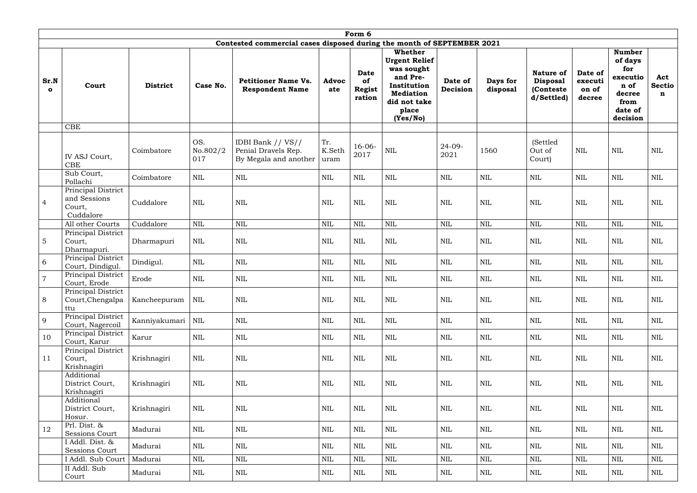|                      | Form 6                                                    |                 |                        |                                                                        |                       |                                       |                                                                                                                                          |                     |                      |                                                                |                                       |                                                                                              |                           |
|----------------------|-----------------------------------------------------------|-----------------|------------------------|------------------------------------------------------------------------|-----------------------|---------------------------------------|------------------------------------------------------------------------------------------------------------------------------------------|---------------------|----------------------|----------------------------------------------------------------|---------------------------------------|----------------------------------------------------------------------------------------------|---------------------------|
|                      |                                                           |                 |                        | Contested commercial cases disposed during the month of SEPTEMBER 2021 |                       |                                       |                                                                                                                                          |                     |                      |                                                                |                                       |                                                                                              |                           |
| Sr.N<br>$\mathbf{o}$ | Court                                                     | <b>District</b> | Case No.               | <b>Petitioner Name Vs.</b><br><b>Respondent Name</b>                   | <b>Advoc</b><br>ate   | Date<br>of<br><b>Regist</b><br>ration | <b>Whether</b><br><b>Urgent Relief</b><br>was sought<br>and Pre-<br>Institution<br><b>Mediation</b><br>did not take<br>place<br>(Yes/No) | Date of<br>Decision | Days for<br>disposal | <b>Nature of</b><br><b>Disposal</b><br>(Conteste<br>d/Settled) | Date of<br>executi<br>on of<br>decree | <b>Number</b><br>of days<br>for<br>executio<br>n of<br>decree<br>from<br>date of<br>decision | Act<br><b>Sectio</b><br>n |
|                      | <b>CBE</b>                                                |                 |                        |                                                                        |                       |                                       |                                                                                                                                          |                     |                      |                                                                |                                       |                                                                                              |                           |
|                      | IV ASJ Court,<br><b>CBE</b>                               | Coimbatore      | OS.<br>No.802/2<br>017 | IDBI Bank // VS//<br>Penial Dravels Rep.<br>By Megala and another      | Tr.<br>K.Seth<br>uram | $16-06-$<br>2017                      | $\mbox{NIL}$                                                                                                                             | $24 - 09 -$<br>2021 | 1560                 | (Settled<br>Out of<br>Court)                                   | <b>NIL</b>                            | <b>NIL</b>                                                                                   | <b>NIL</b>                |
|                      | Sub Court,<br>Pollachi                                    | Coimbatore      | NIL                    | <b>NIL</b>                                                             | <b>NIL</b>            | <b>NIL</b>                            | $\mbox{NIL}$                                                                                                                             | NIL                 | <b>NIL</b>           | $\mbox{NIL}$                                                   | <b>NIL</b>                            | <b>NIL</b>                                                                                   | <b>NIL</b>                |
| $\overline{4}$       | Principal District<br>and Sessions<br>Court,<br>Cuddalore | Cuddalore       | <b>NIL</b>             | $\mbox{NIL}$                                                           | $\mbox{NIL}$          | <b>NIL</b>                            | $\mbox{NIL}$                                                                                                                             | <b>NIL</b>          | <b>NIL</b>           | <b>NIL</b>                                                     | <b>NIL</b>                            | <b>NIL</b>                                                                                   | $\mbox{NIL}$              |
|                      | All other Courts                                          | Cuddalore       | <b>NIL</b>             | <b>NIL</b>                                                             | $\mbox{NIL}$          | <b>NIL</b>                            | <b>NIL</b>                                                                                                                               | <b>NIL</b>          | $\text{NIL}$         | <b>NIL</b>                                                     | $\mbox{NIL}$                          | $\mbox{NIL}$                                                                                 | <b>NIL</b>                |
| $\overline{5}$       | Principal District<br>Court,<br>Dharmapuri.               | Dharmapuri      | <b>NIL</b>             | <b>NIL</b>                                                             | $\mbox{NIL}$          | <b>NIL</b>                            | $\mbox{NIL}$                                                                                                                             | <b>NIL</b>          | $\text{NIL}$         | <b>NIL</b>                                                     | $\mbox{NIL}$                          | $\mbox{NIL}$                                                                                 | $\mbox{NIL}$              |
| 6                    | Principal District<br>Court, Dindigul.                    | Dindigul.       | NIL                    | $\mbox{NIL}$                                                           | $\mbox{NIL}$          | <b>NIL</b>                            | $\mbox{NIL}$                                                                                                                             | <b>NIL</b>          | $\text{NIL}$         | $\mbox{NIL}$                                                   | $\mbox{NIL}$                          | <b>NIL</b>                                                                                   | $\mbox{NIL}$              |
| $\overline{7}$       | Principal District<br>Court, Erode                        | Erode           | $\mbox{NIL}$           | <b>NIL</b>                                                             | <b>NIL</b>            | NIL                                   | $\mbox{NIL}$                                                                                                                             | <b>NIL</b>          | NIL                  | <b>NIL</b>                                                     | NIL                                   | <b>NIL</b>                                                                                   | <b>NIL</b>                |
| 8                    | Principal District<br>Court, Chengalpa<br>ttu             | Kancheepuram    | NIL                    | $\mbox{NIL}$                                                           | $\mbox{NIL}$          | $\mbox{NIL}$                          | $\mbox{NIL}$                                                                                                                             | $\mbox{NIL}$        | $\mbox{NIL}$         | <b>NIL</b>                                                     | $\mbox{NIL}$                          | NIL                                                                                          | $\mbox{NIL}$              |
| 9                    | Principal District<br>Court, Nagercoil                    | Kanniyakumari   | NIL                    | $\mbox{NIL}$                                                           | $\mbox{NIL}$          | $\rm NIL$                             | NIL                                                                                                                                      | $\mbox{NIL}$        | $\mbox{NIL}$         | $\mbox{NIL}$                                                   | <b>NIL</b>                            | NIL                                                                                          | NIL                       |
| 10                   | Principal District<br>Court, Karur                        | Karur           | NIL                    | $\mbox{NIL}$                                                           | $\mbox{NIL}$          | NIL                                   | $\mbox{NIL}$                                                                                                                             | $\mbox{NIL}$        | $\mbox{NIL}$         | $\mbox{NIL}$                                                   | $\mbox{NIL}$                          | NIL                                                                                          | NIL                       |
| 11                   | Principal District<br>Court,<br>Krishnagiri               | Krishnagiri     | NIL                    | NIL                                                                    | <b>NIL</b>            | <b>NIL</b>                            | <b>NIL</b>                                                                                                                               | NIL                 | <b>NIL</b>           | <b>NIL</b>                                                     | $\mbox{NIL}$                          | NIL                                                                                          | NIL                       |
|                      | Additional<br>District Court,<br>Krishnagiri              | Krishnagiri     | NIL                    | $\mbox{NIL}$                                                           | $\mbox{NIL}$          | $\mbox{NIL}$                          | $\mbox{NIL}$                                                                                                                             | $\mbox{NIL}$        | $\mbox{NIL}$         | $\mbox{NIL}$                                                   | $\mbox{NIL}$                          | NIL                                                                                          | NIL                       |
|                      | Additional<br>District Court,<br>Hosur.                   | Krishnagiri     | $\mbox{NIL}$           | $\mbox{NIL}$                                                           | $\mbox{NIL}$          | NIL                                   | $\mbox{NIL}$                                                                                                                             | $\mbox{NIL}$        | $\mbox{NIL}$         | $\mbox{NIL}$                                                   | $\mbox{NIL}$                          | NIL                                                                                          | NIL                       |
| 12                   | Prl. Dist. &<br>Sessions Court                            | Madurai         | $\mbox{NIL}$           | $\mbox{NIL}$                                                           | $\mbox{NIL}$          | NIL                                   | NIL                                                                                                                                      | $\mbox{NIL}$        | $\mbox{NIL}$         | $\mbox{NIL}$                                                   | $\mbox{NIL}$                          | $\mbox{NIL}$                                                                                 | NIL                       |
|                      | I Addl. Dist. &<br>Sessions Court                         | Madurai         | NIL                    | NIL                                                                    | NIL                   | <b>NIL</b>                            | NIL                                                                                                                                      | NIL                 | $\mbox{NIL}$         | NIL                                                            | <b>NIL</b>                            | NIL                                                                                          | <b>NIL</b>                |
|                      | I Addl. Sub Court                                         | Madurai         | $\mbox{NIL}$           | NIL                                                                    | $\mbox{NIL}$          | $\mbox{NIL}$                          | NIL                                                                                                                                      | $\mbox{NIL}$        | $\mbox{NIL}$         | $\mbox{NIL}$                                                   | $\mbox{NIL}$                          | $\mbox{NIL}$                                                                                 | $\mbox{NIL}$              |
|                      | II Addl. Sub<br>Court                                     | Madurai         | NIL                    | $\rm NIL$                                                              | NIL                   | NIL                                   | NIL                                                                                                                                      | $\mbox{NIL}$        | NIL                  | NIL                                                            | NIL                                   | NIL                                                                                          | <b>NIL</b>                |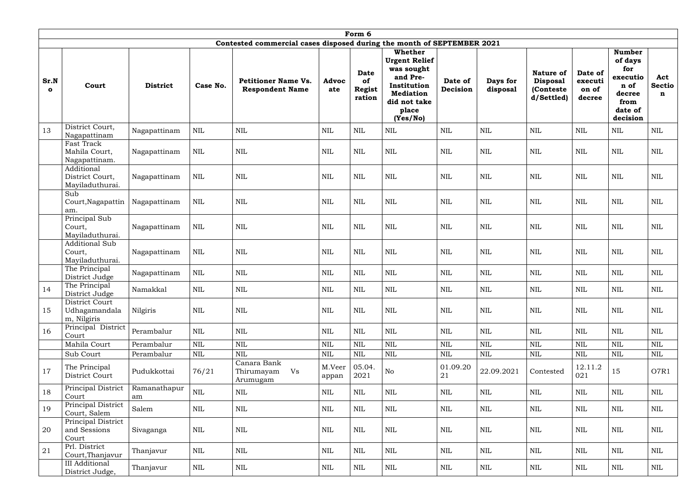|                      | Form 6                                             |                    |              |                                                                        |                     |                                       |                                                                                                                                          |                     |                      |                                                                |                                       |                                                                                              |                    |
|----------------------|----------------------------------------------------|--------------------|--------------|------------------------------------------------------------------------|---------------------|---------------------------------------|------------------------------------------------------------------------------------------------------------------------------------------|---------------------|----------------------|----------------------------------------------------------------|---------------------------------------|----------------------------------------------------------------------------------------------|--------------------|
|                      |                                                    |                    |              | Contested commercial cases disposed during the month of SEPTEMBER 2021 |                     |                                       |                                                                                                                                          |                     |                      |                                                                |                                       |                                                                                              |                    |
| Sr.N<br>$\mathbf{o}$ | Court                                              | <b>District</b>    | Case No.     | <b>Petitioner Name Vs.</b><br><b>Respondent Name</b>                   | <b>Advoc</b><br>ate | Date<br>of<br><b>Regist</b><br>ration | <b>Whether</b><br><b>Urgent Relief</b><br>was sought<br>and Pre-<br>Institution<br><b>Mediation</b><br>did not take<br>place<br>(Yes/No) | Date of<br>Decision | Days for<br>disposal | <b>Nature of</b><br><b>Disposal</b><br>(Conteste<br>d/Settled) | Date of<br>executi<br>on of<br>decree | <b>Number</b><br>of days<br>for<br>executio<br>n of<br>decree<br>from<br>date of<br>decision | Act<br>Sectio<br>n |
| 13                   | District Court,<br>Nagapattinam                    | Nagapattinam       | <b>NIL</b>   | <b>NIL</b>                                                             | <b>NIL</b>          | <b>NIL</b>                            | <b>NIL</b>                                                                                                                               | $\mbox{NIL}$        | <b>NIL</b>           | <b>NIL</b>                                                     | $\mbox{NIL}$                          | <b>NIL</b>                                                                                   | <b>NIL</b>         |
|                      | Fast Track<br>Mahila Court,<br>Nagapattinam.       | Nagapattinam       | $\text{NIL}$ | <b>NIL</b>                                                             | <b>NIL</b>          | <b>NIL</b>                            | $\mbox{NIL}$                                                                                                                             | <b>NIL</b>          | <b>NIL</b>           | <b>NIL</b>                                                     | $\text{NIL}$                          | <b>NIL</b>                                                                                   | $\mbox{NIL}$       |
|                      | Additional<br>District Court,<br>Mayiladuthurai.   | Nagapattinam       | $\mbox{NIL}$ | <b>NIL</b>                                                             | <b>NIL</b>          | <b>NIL</b>                            | $\mbox{NIL}$                                                                                                                             | <b>NIL</b>          | $\text{NIL}$         | <b>NIL</b>                                                     | <b>NIL</b>                            | <b>NIL</b>                                                                                   | $\mbox{NIL}$       |
|                      | Sub<br>Court, Nagapattin<br>am.                    | Nagapattinam       | <b>NIL</b>   | <b>NIL</b>                                                             | <b>NIL</b>          | NIL                                   | <b>NIL</b>                                                                                                                               | <b>NIL</b>          | NIL                  | <b>NIL</b>                                                     | <b>NIL</b>                            | NIL                                                                                          | <b>NIL</b>         |
|                      | Principal Sub<br>Court,<br>Mayiladuthurai.         | Nagapattinam       | <b>NIL</b>   | <b>NIL</b>                                                             | <b>NIL</b>          | <b>NIL</b>                            | $\mbox{NIL}$                                                                                                                             | <b>NIL</b>          | <b>NIL</b>           | <b>NIL</b>                                                     | <b>NIL</b>                            | <b>NIL</b>                                                                                   | <b>NIL</b>         |
|                      | <b>Additional Sub</b><br>Court,<br>Mayiladuthurai. | Nagapattinam       | <b>NIL</b>   | <b>NIL</b>                                                             | <b>NIL</b>          | <b>NIL</b>                            | NIL                                                                                                                                      | <b>NIL</b>          | $\text{NIL}$         | <b>NIL</b>                                                     | $\mbox{NIL}$                          | <b>NIL</b>                                                                                   | <b>NIL</b>         |
|                      | The Principal<br>District Judge                    | Nagapattinam       | <b>NIL</b>   | $\text{NIL}$                                                           | $\mbox{NIL}$        | <b>NIL</b>                            | <b>NIL</b>                                                                                                                               | <b>NIL</b>          | <b>NIL</b>           | $\mbox{NIL}$                                                   | $\mbox{NIL}$                          | <b>NIL</b>                                                                                   | $\mbox{NIL}$       |
| 14                   | The Principal<br>District Judge                    | Namakkal           | NIL          | <b>NIL</b>                                                             | <b>NIL</b>          | <b>NIL</b>                            | <b>NIL</b>                                                                                                                               | NIL                 | NIL                  | NIL                                                            | NIL                                   | NIL                                                                                          | <b>NIL</b>         |
| 15                   | District Court<br>Udhagamandala<br>m, Nilgiris     | Nilgiris           | NIL          | NIL                                                                    | NIL                 | <b>NIL</b>                            | NIL                                                                                                                                      | NIL                 | NIL                  | <b>NIL</b>                                                     | <b>NIL</b>                            | NIL                                                                                          | <b>NIL</b>         |
| 16                   | Principal District<br>Court                        | Perambalur         | $\mbox{NIL}$ | $\mbox{NIL}$                                                           | $\mbox{NIL}$        | $\mbox{NIL}$                          | NIL                                                                                                                                      | $\mbox{NIL}$        | $\mbox{NIL}$         | $\mbox{NIL}$                                                   | <b>NIL</b>                            | NIL                                                                                          | <b>NIL</b>         |
|                      | Mahila Court                                       | Perambalur         | $\mbox{NIL}$ | <b>NIL</b>                                                             | $\mbox{NIL}$        | $\mbox{NIL}$                          | $\mbox{NIL}$                                                                                                                             | $\mbox{NIL}$        | $\mbox{NIL}$         | $\text{NIL}$                                                   | $\mbox{NIL}$                          | $\mbox{NIL}$                                                                                 | $\mbox{NIL}$       |
|                      | Sub Court                                          | Perambalur         | $\mbox{NIL}$ | $\mbox{NIL}$                                                           | $\mbox{NIL}$        | $\mbox{NIL}$                          | NIL                                                                                                                                      | $\mbox{NIL}$        | $\mbox{NIL}$         | $\mbox{NIL}$                                                   | $\mbox{NIL}$                          | $\mbox{NIL}$                                                                                 | $\mbox{NIL}$       |
| 17                   | The Principal<br>District Court                    | Pudukkottai        | 76/21        | Canara Bank<br>Thirumayam<br>Vs<br>Arumugam                            | M.Veer<br>appan     | 05.04.<br>2021                        | No                                                                                                                                       | 01.09.20<br>21      | 22.09.2021           | Contested                                                      | 12.11.2<br>021                        | 15                                                                                           | O7R1               |
| 18                   | Principal District<br>Court                        | Ramanathapur<br>am | $\mbox{NIL}$ | NIL                                                                    | $\mbox{NIL}$        | $\mbox{NIL}$                          | NIL                                                                                                                                      | NIL                 | <b>NIL</b>           | <b>NIL</b>                                                     | $\mbox{NIL}$                          | NIL                                                                                          | <b>NIL</b>         |
| 19                   | Principal District<br>Court, Salem                 | Salem              | NIL          | NIL                                                                    | $\mbox{NIL}$        | <b>NIL</b>                            | NIL                                                                                                                                      | NIL                 | <b>NIL</b>           | NIL                                                            | NIL                                   | NIL                                                                                          | <b>NIL</b>         |
| 20                   | Principal District<br>and Sessions<br>Court        | Sivaganga          | NIL          | NIL                                                                    | <b>NIL</b>          | NIL                                   | NIL                                                                                                                                      | NIL                 | NIL                  | NIL                                                            | NIL                                   | NIL                                                                                          | NIL                |
| 21                   | Prl. District<br>Court, Thanjavur                  | Thanjavur          | NIL          | NIL                                                                    | $\mbox{NIL}$        | <b>NIL</b>                            | NIL                                                                                                                                      | NIL                 | <b>NIL</b>           | <b>NIL</b>                                                     | NIL                                   | NIL                                                                                          | NIL                |
|                      | <b>III</b> Additional<br>District Judge,           | Thanjavur          | $\mbox{NIL}$ | $\mbox{NIL}$                                                           | $\mbox{NIL}$        | NIL                                   | $\rm NIL$                                                                                                                                | $\mbox{NIL}$        | NIL                  | NIL                                                            | NIL                                   | NIL                                                                                          | <b>NIL</b>         |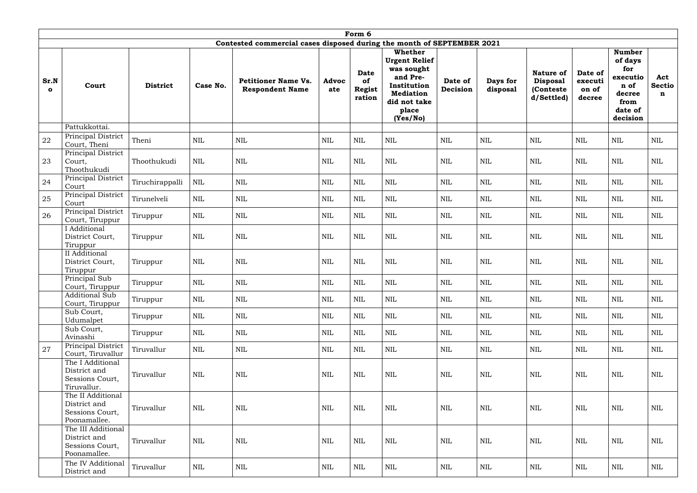|                      | Form 6                                                                |                 |              |                                                                        |                     |                                              |                                                                                                                                          |                     |                      |                                                                |                                       |                                                                                              |                                     |
|----------------------|-----------------------------------------------------------------------|-----------------|--------------|------------------------------------------------------------------------|---------------------|----------------------------------------------|------------------------------------------------------------------------------------------------------------------------------------------|---------------------|----------------------|----------------------------------------------------------------|---------------------------------------|----------------------------------------------------------------------------------------------|-------------------------------------|
|                      |                                                                       |                 |              | Contested commercial cases disposed during the month of SEPTEMBER 2021 |                     |                                              |                                                                                                                                          |                     |                      |                                                                |                                       |                                                                                              |                                     |
| Sr.N<br>$\mathbf{o}$ | Court                                                                 | <b>District</b> | Case No.     | <b>Petitioner Name Vs.</b><br><b>Respondent Name</b>                   | <b>Advoc</b><br>ate | <b>Date</b><br>of<br><b>Regist</b><br>ration | <b>Whether</b><br><b>Urgent Relief</b><br>was sought<br>and Pre-<br>Institution<br><b>Mediation</b><br>did not take<br>place<br>(Yes/No) | Date of<br>Decision | Days for<br>disposal | <b>Nature of</b><br><b>Disposal</b><br>(Conteste<br>d/Settled) | Date of<br>executi<br>on of<br>decree | <b>Number</b><br>of days<br>for<br>executio<br>n of<br>decree<br>from<br>date of<br>decision | Act<br><b>Sectio</b><br>$\mathbf n$ |
|                      | Pattukkottai.                                                         |                 |              |                                                                        |                     |                                              |                                                                                                                                          |                     |                      |                                                                |                                       |                                                                                              |                                     |
| 22                   | Principal District<br>Court, Theni                                    | Theni           | $\mbox{NIL}$ | <b>NIL</b>                                                             | <b>NIL</b>          | $\mbox{NIL}$                                 | $\mbox{NIL}$                                                                                                                             | <b>NIL</b>          | <b>NIL</b>           | $\mbox{NIL}$                                                   | <b>NIL</b>                            | <b>NIL</b>                                                                                   | $\mbox{NIL}$                        |
| 23                   | Principal District<br>Court,<br>Thoothukudi                           | Thoothukudi     | NIL          | NIL                                                                    | NIL                 | $\mbox{NIL}$                                 | <b>NIL</b>                                                                                                                               | <b>NIL</b>          | <b>NIL</b>           | <b>NIL</b>                                                     | <b>NIL</b>                            | <b>NIL</b>                                                                                   | <b>NIL</b>                          |
| 24                   | Principal District<br>Court                                           | Tiruchirappalli | NIL          | <b>NIL</b>                                                             | NIL                 | $\mbox{NIL}$                                 | $\mbox{NIL}$                                                                                                                             | NIL                 | <b>NIL</b>           | $\mbox{NIL}$                                                   | <b>NIL</b>                            | <b>NIL</b>                                                                                   | $\mbox{NIL}$                        |
| 25                   | Principal District<br>Court                                           | Tirunelveli     | $\mbox{NIL}$ | $\mbox{NIL}$                                                           | $\text{NIL}$        | $\mbox{NIL}$                                 | $\mbox{NIL}$                                                                                                                             | NIL                 | <b>NIL</b>           | $\mbox{NIL}$                                                   | <b>NIL</b>                            | $\mbox{NIL}$                                                                                 | $\mbox{NIL}$                        |
| 26                   | Principal District<br>Court, Tiruppur                                 | Tiruppur        | <b>NIL</b>   | NIL                                                                    | NIL                 | <b>NIL</b>                                   | <b>NIL</b>                                                                                                                               | NIL                 | NIL                  | <b>NIL</b>                                                     | NIL                                   | NIL                                                                                          | <b>NIL</b>                          |
|                      | I Additional<br>District Court,<br>Tiruppur                           | Tiruppur        | <b>NIL</b>   | NIL                                                                    | <b>NIL</b>          | $\mbox{NIL}$                                 | $\mbox{NIL}$                                                                                                                             | $\mbox{NIL}$        | <b>NIL</b>           | <b>NIL</b>                                                     | <b>NIL</b>                            | NIL                                                                                          | <b>NIL</b>                          |
|                      | II Additional<br>District Court,<br>Tiruppur                          | Tiruppur        | $\mbox{NIL}$ | <b>NIL</b>                                                             | <b>NIL</b>          | $\mbox{NIL}$                                 | <b>NIL</b>                                                                                                                               | <b>NIL</b>          | <b>NIL</b>           | <b>NIL</b>                                                     | <b>NIL</b>                            | <b>NIL</b>                                                                                   | <b>NIL</b>                          |
|                      | Principal Sub<br>Court, Tiruppur                                      | Tiruppur        | $\mbox{NIL}$ | <b>NIL</b>                                                             | NIL                 | $\mbox{NIL}$                                 | <b>NIL</b>                                                                                                                               | <b>NIL</b>          | <b>NIL</b>           | <b>NIL</b>                                                     | <b>NIL</b>                            | <b>NIL</b>                                                                                   | $\mbox{NIL}$                        |
|                      | <b>Additional Sub</b><br>Court, Tiruppur                              | Tiruppur        | $\mbox{NIL}$ | $\mbox{NIL}$                                                           | $\mbox{NIL}$        | NIL                                          | NIL                                                                                                                                      | $\mbox{NIL}$        | $\mbox{NIL}$         | $\mbox{NIL}$                                                   | $\mbox{NIL}$                          | NIL                                                                                          | <b>NIL</b>                          |
|                      | Sub Court,<br>Udumalpet                                               | Tiruppur        | NIL          | NIL                                                                    | <b>NIL</b>          | $\mbox{NIL}$                                 | $\mbox{NIL}$                                                                                                                             | $\mbox{NIL}$        | <b>NIL</b>           | <b>NIL</b>                                                     | $\mbox{NIL}$                          | NIL                                                                                          | <b>NIL</b>                          |
|                      | Sub Court,<br>Avinashi                                                | Tiruppur        | $\mbox{NIL}$ | $\mbox{NIL}$                                                           | $\mbox{NIL}$        | NIL                                          | NIL                                                                                                                                      | NIL                 | $\mbox{NIL}$         | $\mbox{NIL}$                                                   | $\mbox{NIL}$                          | NIL                                                                                          | <b>NIL</b>                          |
| 27                   | Principal District<br>Court, Tiruvallur                               | Tiruvallur      | NIL          | NIL                                                                    | NIL                 | NIL                                          | NIL                                                                                                                                      | NIL                 | NIL                  | NIL                                                            | NIL                                   | NIL                                                                                          | NIL                                 |
|                      | The I Additional<br>District and<br>Sessions Court,<br>Tiruvallur.    | Tiruvallur      | $\mbox{NIL}$ | NIL                                                                    | <b>NIL</b>          | NIL                                          | NIL                                                                                                                                      | NIL                 | $\mbox{NIL}$         | $\mbox{NIL}$                                                   | $\mbox{NIL}$                          | NIL                                                                                          | <b>NIL</b>                          |
|                      | The II Additional<br>District and<br>Sessions Court,<br>Poonamallee.  | Tiruvallur      | $\mbox{NIL}$ | $\mbox{NIL}$                                                           | <b>NIL</b>          | $\mbox{NIL}$                                 | <b>NIL</b>                                                                                                                               | $\mbox{NIL}$        | <b>NIL</b>           | $\mbox{NIL}$                                                   | NIL                                   | NIL                                                                                          | $\mbox{NIL}$                        |
|                      | The III Additional<br>District and<br>Sessions Court,<br>Poonamallee. | Tiruvallur      | $\mbox{NIL}$ | $\mbox{NIL}$                                                           | $\mbox{NIL}$        | NIL                                          | NIL                                                                                                                                      | NIL                 | <b>NIL</b>           | $\mbox{NIL}$                                                   | $\mbox{NIL}$                          | $\mbox{NIL}$                                                                                 | <b>NIL</b>                          |
|                      | The IV Additional<br>District and                                     | Tiruvallur      | NIL          | NIL                                                                    | $\mbox{NIL}$        | $\mbox{NIL}$                                 | NIL                                                                                                                                      | $\mbox{NIL}$        | $\mbox{NIL}$         | NIL                                                            | $\mbox{NIL}$                          | NIL                                                                                          | NIL                                 |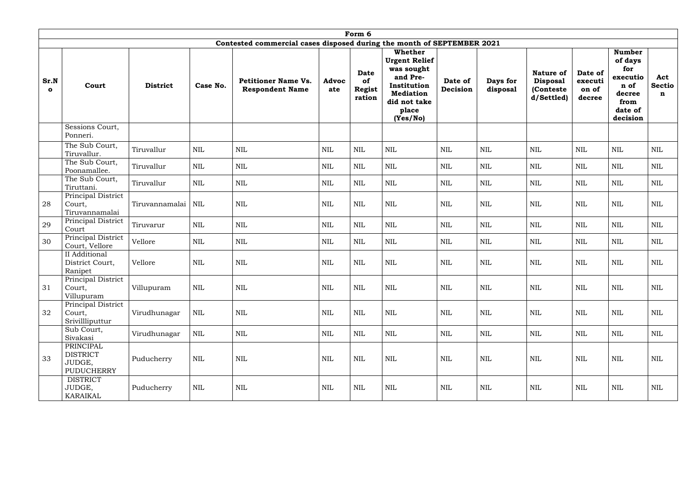|                     | Form 6                                                      |                 |              |                                                                        |              |                                              |                                                                                                                                          |                     |                      |                                                                |                                       |                                                                                              |                           |
|---------------------|-------------------------------------------------------------|-----------------|--------------|------------------------------------------------------------------------|--------------|----------------------------------------------|------------------------------------------------------------------------------------------------------------------------------------------|---------------------|----------------------|----------------------------------------------------------------|---------------------------------------|----------------------------------------------------------------------------------------------|---------------------------|
|                     |                                                             |                 |              | Contested commercial cases disposed during the month of SEPTEMBER 2021 |              |                                              |                                                                                                                                          |                     |                      |                                                                |                                       |                                                                                              |                           |
| Sr.N<br>$\mathbf o$ | Court                                                       | <b>District</b> | Case No.     | <b>Petitioner Name Vs.</b><br><b>Respondent Name</b>                   | Advoc<br>ate | <b>Date</b><br>of<br><b>Regist</b><br>ration | <b>Whether</b><br><b>Urgent Relief</b><br>was sought<br>and Pre-<br>Institution<br><b>Mediation</b><br>did not take<br>place<br>(Yes/No) | Date of<br>Decision | Days for<br>disposal | <b>Nature of</b><br><b>Disposal</b><br>(Conteste<br>d/Settled) | Date of<br>executi<br>on of<br>decree | <b>Number</b><br>of days<br>for<br>executio<br>n of<br>decree<br>from<br>date of<br>decision | Act<br><b>Sectio</b><br>n |
|                     | Sessions Court,<br>Ponneri.                                 |                 |              |                                                                        |              |                                              |                                                                                                                                          |                     |                      |                                                                |                                       |                                                                                              |                           |
|                     | The Sub Court,<br>Tiruvallur.                               | Tiruvallur      | <b>NIL</b>   | <b>NIL</b>                                                             | NIL          | $\mbox{NIL}$                                 | $\mbox{NIL}$                                                                                                                             | NIL                 | <b>NIL</b>           | $\mbox{NIL}$                                                   | <b>NIL</b>                            | <b>NIL</b>                                                                                   | $\mbox{NIL}$              |
|                     | The Sub Court,<br>Poonamallee.                              | Tiruvallur      | <b>NIL</b>   | <b>NIL</b>                                                             | <b>NIL</b>   | <b>NIL</b>                                   | <b>NIL</b>                                                                                                                               | NIL                 | <b>NIL</b>           | <b>NIL</b>                                                     | NIL                                   | <b>NIL</b>                                                                                   | $\mbox{NIL}$              |
|                     | The Sub Court,<br>Tiruttani.                                | Tiruvallur      | <b>NIL</b>   | <b>NIL</b>                                                             | <b>NIL</b>   | NIL                                          | <b>NIL</b>                                                                                                                               | NIL                 | NIL                  | <b>NIL</b>                                                     | NIL                                   | <b>NIL</b>                                                                                   | <b>NIL</b>                |
| 28                  | Principal District<br>Court,<br>Tiruvannamalai              | Tiruvannamalai  | NIL          | $\mbox{NIL}$                                                           | $\mbox{NIL}$ | $\mbox{NIL}$                                 | $\mbox{NIL}$                                                                                                                             | $\mbox{NIL}$        | <b>NIL</b>           | <b>NIL</b>                                                     | $\mbox{NIL}$                          | $\mbox{NIL}$                                                                                 | $\mbox{NIL}$              |
| 29                  | Principal District<br>Court                                 | Tiruvarur       | $\mbox{NIL}$ | <b>NIL</b>                                                             | <b>NIL</b>   | $\mbox{NIL}$                                 | $\mbox{NIL}$                                                                                                                             | $\mbox{NIL}$        | <b>NIL</b>           | <b>NIL</b>                                                     | <b>NIL</b>                            | <b>NIL</b>                                                                                   | $\mbox{NIL}$              |
| 30                  | Principal District<br>Court, Vellore                        | Vellore         | $\mbox{NIL}$ | <b>NIL</b>                                                             | $\mbox{NIL}$ | $\mbox{NIL}$                                 | $\mbox{NIL}$                                                                                                                             | $\mbox{NIL}$        | $\mbox{NIL}$         | $\mbox{NIL}$                                                   | $\mbox{NIL}$                          | $\mbox{NIL}$                                                                                 | $\mbox{NIL}$              |
|                     | II Additional<br>District Court,<br>Ranipet                 | Vellore         | $\mbox{NIL}$ | <b>NIL</b>                                                             | <b>NIL</b>   | $\mbox{NIL}$                                 | $\mbox{NIL}$                                                                                                                             | $\mbox{NIL}$        | <b>NIL</b>           | <b>NIL</b>                                                     | $\mbox{NIL}$                          | <b>NIL</b>                                                                                   | $\mbox{NIL}$              |
| 31                  | Principal District<br>Court,<br>Villupuram                  | Villupuram      | <b>NIL</b>   | NIL                                                                    | NIL          | NIL                                          | NIL                                                                                                                                      | <b>NIL</b>          | <b>NIL</b>           | <b>NIL</b>                                                     | <b>NIL</b>                            | NIL                                                                                          | NIL                       |
| 32                  | Principal District<br>Court,<br>Srivillliputtur             | Virudhunagar    | $\mbox{NIL}$ | NIL                                                                    | $\mbox{NIL}$ | NIL                                          | $\mbox{NIL}$                                                                                                                             | NIL                 | $\mbox{NIL}$         | $\mbox{NIL}$                                                   | NIL                                   | NIL                                                                                          | NIL                       |
|                     | Sub Court,<br>Sivakasi                                      | Virudhunagar    | NIL          | NIL                                                                    | $\mbox{NIL}$ | NIL                                          | <b>NIL</b>                                                                                                                               | NIL                 | $\mbox{NIL}$         | NIL                                                            | NIL                                   | NIL                                                                                          | NIL                       |
| 33                  | PRINCIPAL<br><b>DISTRICT</b><br>JUDGE,<br><b>PUDUCHERRY</b> | Puducherry      | NIL          | NIL                                                                    | $\mbox{NIL}$ | $\mbox{NIL}$                                 | $\mbox{NIL}$                                                                                                                             | $\mbox{NIL}$        | $\mbox{NIL}$         | $\mbox{NIL}$                                                   | NIL                                   | NIL                                                                                          | NIL                       |
|                     | <b>DISTRICT</b><br>JUDGE,<br>KARAIKAL                       | Puducherry      | NIL          | NIL                                                                    | $\mbox{NIL}$ | NIL                                          | $\mbox{NIL}$                                                                                                                             | NIL                 | $\mbox{NIL}$         | NIL                                                            | $\mbox{NIL}$                          | NIL                                                                                          | NIL                       |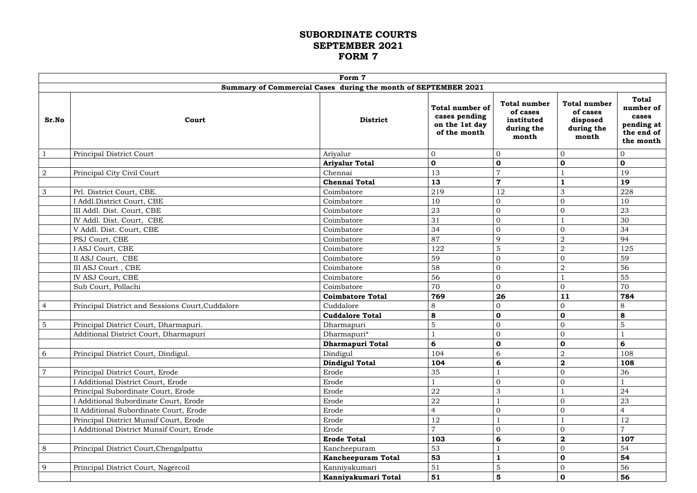#### **SUBORDINATE COURTS SEPTEMBER 2021 FORM 7**

|                |                                                  | Form 7                                                         |                                                                           |                                                                      |                                                                    |                                                                             |
|----------------|--------------------------------------------------|----------------------------------------------------------------|---------------------------------------------------------------------------|----------------------------------------------------------------------|--------------------------------------------------------------------|-----------------------------------------------------------------------------|
|                |                                                  | Summary of Commercial Cases during the month of SEPTEMBER 2021 |                                                                           |                                                                      |                                                                    |                                                                             |
| Sr.No          | Court                                            | <b>District</b>                                                | <b>Total number of</b><br>cases pending<br>on the 1st day<br>of the month | <b>Total number</b><br>of cases<br>instituted<br>during the<br>month | <b>Total number</b><br>of cases<br>disposed<br>during the<br>month | <b>Total</b><br>number of<br>cases<br>pending at<br>the end of<br>the month |
| $\mathbf{1}$   | Principal District Court                         | Ariyalur                                                       | $\overline{0}$                                                            | $\overline{0}$                                                       | $\overline{0}$                                                     | $\mathbf{0}$                                                                |
|                |                                                  | <b>Ariyalur Total</b>                                          | $\mathbf 0$                                                               | $\mathbf 0$                                                          | $\mathbf 0$                                                        | $\mathbf 0$                                                                 |
| $\overline{2}$ | Principal City Civil Court                       | Chennai                                                        | 13                                                                        | $\overline{7}$                                                       |                                                                    | 19                                                                          |
|                |                                                  | <b>Chennai Total</b>                                           | 13                                                                        | $\overline{7}$                                                       |                                                                    | 19                                                                          |
| $\mathfrak{Z}$ | Prl. District Court, CBE.                        | Coimbatore                                                     | 219                                                                       | 12                                                                   | 3                                                                  | 228                                                                         |
|                | I Addl. District Court, CBE                      | Coimbatore                                                     | 10                                                                        | $\Omega$                                                             | $\overline{0}$                                                     | 10                                                                          |
|                | III Addl. Dist. Court, CBE                       | Coimbatore                                                     | 23                                                                        | $\overline{0}$                                                       | $\overline{0}$                                                     | 23                                                                          |
|                | IV Addl. Dist. Court, CBE                        | Coimbatore                                                     | 31                                                                        | $\overline{0}$                                                       |                                                                    | 30                                                                          |
|                | V Addl. Dist. Court, CBE                         | Coimbatore                                                     | 34                                                                        | $\Omega$                                                             | $\overline{0}$                                                     | 34                                                                          |
|                | PSJ Court, CBE                                   | Coimbatore                                                     | 87                                                                        | 9                                                                    | $\overline{2}$                                                     | 94                                                                          |
|                | I ASJ Court, CBE                                 | Coimbatore                                                     | 122                                                                       | $\overline{5}$                                                       | $\overline{2}$                                                     | 125                                                                         |
|                | II ASJ Court, CBE                                | Coimbatore                                                     | 59                                                                        | 0                                                                    | $\overline{0}$                                                     | 59                                                                          |
|                | III ASJ Court, CBE                               | Coimbatore                                                     | 58                                                                        | $\Omega$                                                             | $\overline{2}$                                                     | 56                                                                          |
|                | IV ASJ Court, CBE                                | Coimbatore                                                     | 56                                                                        | $\Omega$                                                             |                                                                    | 55                                                                          |
|                | Sub Court, Pollachi                              | Coimbatore                                                     | 70                                                                        | $\overline{0}$                                                       | $\overline{0}$                                                     | 70                                                                          |
|                |                                                  | <b>Coimbatore Total</b>                                        | 769                                                                       | 26                                                                   | 11                                                                 | 784                                                                         |
| $\overline{4}$ | Principal District and Sessions Court, Cuddalore | Cuddalore                                                      | 8                                                                         | $\overline{O}$                                                       | $\mathbf{0}$                                                       | 8                                                                           |
|                |                                                  | <b>Cuddalore Total</b>                                         | 8                                                                         | $\mathbf 0$                                                          | $\mathbf 0$                                                        | 8                                                                           |
| $\overline{5}$ | Principal District Court, Dharmapuri.            | Dharmapuri                                                     | 5                                                                         | $\overline{0}$                                                       | $\overline{0}$                                                     | 5                                                                           |
|                | Additional District Court, Dharmapuri            | Dharmapuri*                                                    |                                                                           | $\overline{0}$                                                       | $\mathbf{0}$                                                       |                                                                             |
|                |                                                  | Dharmapuri Total                                               | 6                                                                         | $\mathbf 0$                                                          | $\mathbf 0$                                                        | 6                                                                           |
| 6              | Principal District Court, Dindigul.              | Dindigul                                                       | 104                                                                       | 6                                                                    | $\overline{2}$                                                     | 108                                                                         |
|                |                                                  | <b>Dindigul Total</b>                                          | 104                                                                       | 6                                                                    | $\overline{\mathbf{2}}$                                            | 108                                                                         |
| $\overline{7}$ | Principal District Court, Erode                  | Erode                                                          | 35                                                                        |                                                                      | $\theta$                                                           | 36                                                                          |
|                | I Additional District Court, Erode               | Erode                                                          |                                                                           | $\overline{0}$                                                       | $\overline{0}$                                                     |                                                                             |
|                | Principal Subordinate Court, Erode               | Erode                                                          | 22                                                                        | $\mathfrak{Z}$                                                       |                                                                    | 24                                                                          |
|                | I Additional Subordinate Court, Erode            | Erode                                                          | 22                                                                        |                                                                      | $\mathbf{0}$                                                       | 23                                                                          |
|                | II Additional Subordinate Court, Erode           | Erode                                                          | $\overline{4}$                                                            | $\overline{0}$                                                       | $\overline{0}$                                                     | $\overline{4}$                                                              |
|                | Principal District Munsif Court, Erode           | Erode                                                          | 12                                                                        |                                                                      |                                                                    | 12                                                                          |
|                | I Additional District Munsif Court, Erode        | Erode                                                          | $\overline{7}$                                                            | $\Omega$                                                             | $\overline{0}$                                                     |                                                                             |
|                |                                                  | <b>Erode Total</b>                                             | 103                                                                       | 6                                                                    | $\mathbf{2}$                                                       | 107                                                                         |
| 8              | Principal District Court, Chengalpattu           | Kancheepuram                                                   | 53                                                                        |                                                                      | $\mathbf{0}$                                                       | 54                                                                          |
|                |                                                  | <b>Kancheepuram Total</b>                                      | 53                                                                        |                                                                      | $\mathbf 0$                                                        | 54                                                                          |
| 9              | Principal District Court, Nagercoil              | Kanniyakumari                                                  | 51                                                                        | $\overline{5}$                                                       | $\mathbf{0}$                                                       | 56                                                                          |
|                |                                                  | Kanniyakumari Total                                            | 51                                                                        | 5                                                                    | $\mathbf 0$                                                        | 56                                                                          |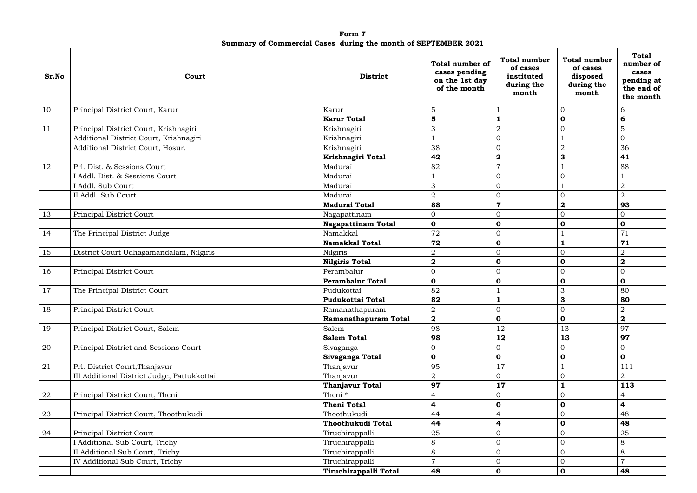|               |                                              | Form 7                                                         |                                                                           |                                                                      |                                                                    |                                                                             |
|---------------|----------------------------------------------|----------------------------------------------------------------|---------------------------------------------------------------------------|----------------------------------------------------------------------|--------------------------------------------------------------------|-----------------------------------------------------------------------------|
|               |                                              | Summary of Commercial Cases during the month of SEPTEMBER 2021 |                                                                           |                                                                      |                                                                    |                                                                             |
| Sr.No         | Court                                        | <b>District</b>                                                | <b>Total number of</b><br>cases pending<br>on the 1st day<br>of the month | <b>Total number</b><br>of cases<br>instituted<br>during the<br>month | <b>Total number</b><br>of cases<br>disposed<br>during the<br>month | <b>Total</b><br>number of<br>cases<br>pending at<br>the end of<br>the month |
| 10            | Principal District Court, Karur              | Karur                                                          | 5                                                                         |                                                                      | $\overline{0}$                                                     | 6                                                                           |
|               |                                              | <b>Karur Total</b>                                             | 5                                                                         | 1                                                                    | $\mathbf 0$                                                        | 6                                                                           |
| 11            | Principal District Court, Krishnagiri        | Krishnagiri                                                    | 3                                                                         | $\overline{2}$                                                       | $\mathbf{0}$                                                       | 5                                                                           |
|               | Additional District Court, Krishnagiri       | Krishnagiri                                                    |                                                                           | $\overline{0}$                                                       |                                                                    | $\overline{0}$                                                              |
|               | Additional District Court, Hosur.            | Krishnagiri                                                    | 38                                                                        | $\overline{0}$                                                       | $\overline{2}$                                                     | 36                                                                          |
|               |                                              | Krishnagiri Total                                              | 42                                                                        | $\boldsymbol{2}$                                                     | $\mathbf{3}$                                                       | 41                                                                          |
| 12            | Prl. Dist. & Sessions Court                  | Madurai                                                        | 82                                                                        | 7                                                                    |                                                                    | 88                                                                          |
|               | I Addl. Dist. & Sessions Court               | Madurai                                                        |                                                                           | $\overline{0}$                                                       | $\mathbf{0}$                                                       |                                                                             |
|               | I Addl. Sub Court                            | Madurai                                                        | 3                                                                         | $\Omega$                                                             |                                                                    | $\boldsymbol{2}$                                                            |
|               | II Addl. Sub Court                           | Madurai                                                        | $\overline{2}$                                                            | $\overline{0}$                                                       | $\mathbf{0}$                                                       | $\overline{2}$                                                              |
|               |                                              | <b>Madurai Total</b>                                           | 88                                                                        | $\overline{7}$                                                       | $\mathbf{2}$                                                       | 93                                                                          |
| 13            | Principal District Court                     | Nagapattinam                                                   | 0                                                                         | $\overline{0}$                                                       | $\mathbf{0}$                                                       | $\mathbf{0}$                                                                |
|               |                                              | <b>Nagapattinam Total</b>                                      | 0                                                                         | $\mathbf 0$                                                          | $\mathbf 0$                                                        | $\mathbf 0$                                                                 |
| 14            | The Principal District Judge                 | Namakkal                                                       | 72                                                                        | $\overline{0}$                                                       |                                                                    | 71                                                                          |
|               |                                              | <b>Namakkal Total</b>                                          | 72                                                                        | $\mathbf 0$                                                          |                                                                    | 71                                                                          |
| 15            | District Court Udhagamandalam, Nilgiris      | Nilgiris                                                       | $\overline{2}$                                                            | $\mathbf{0}$                                                         | $\mathbf{0}$                                                       | $\boldsymbol{2}$                                                            |
|               |                                              | <b>Nilgiris Total</b>                                          | $\overline{\mathbf{2}}$                                                   | $\mathbf 0$                                                          | $\mathbf 0$                                                        | $\mathbf{2}$                                                                |
| 16            | Principal District Court                     | Perambalur                                                     | 0                                                                         | $\mathbf{0}$                                                         | $\mathbf{0}$                                                       | $\overline{0}$                                                              |
|               |                                              | <b>Perambalur Total</b>                                        | 0                                                                         | $\mathbf 0$                                                          | $\mathbf 0$                                                        | $\mathbf 0$                                                                 |
| <sup>17</sup> | The Principal District Court                 | Pudukottai                                                     | 82                                                                        |                                                                      | $\mathfrak{Z}$                                                     | 80                                                                          |
|               |                                              | <b>Pudukottai Total</b>                                        | 82                                                                        | $\mathbf{1}$                                                         | $\mathbf{3}$                                                       | 80                                                                          |
| 18            | Principal District Court                     | Ramanathapuram                                                 | 2                                                                         | $\overline{0}$                                                       | $\overline{0}$                                                     | $\overline{2}$                                                              |
|               |                                              | <b>Ramanathapuram Total</b>                                    | $\mathbf{2}$                                                              | $\mathbf 0$                                                          | $\mathbf 0$                                                        | $\mathbf{2}$                                                                |
| 19            | Principal District Court, Salem              | Salem                                                          | 98                                                                        | 12                                                                   | 13                                                                 | 97                                                                          |
|               | Principal District and Sessions Court        | <b>Salem Total</b>                                             | 98                                                                        | 12<br>$\overline{0}$                                                 | 13<br>$\overline{0}$                                               | 97<br>$\mathbf{0}$                                                          |
| 20            |                                              | Sivaganga<br>Sivaganga Total                                   | 0<br>0                                                                    | $\mathbf 0$                                                          | $\mathbf 0$                                                        | $\mathbf 0$                                                                 |
| 21            | Prl. District Court, Thanjavur               | Thanjavur                                                      | 95                                                                        | 17                                                                   |                                                                    | 111                                                                         |
|               | III Additional District Judge, Pattukkottai. | Thanjavur                                                      | 2                                                                         | $\overline{0}$                                                       | $\overline{0}$                                                     | $\overline{2}$                                                              |
|               |                                              | <b>Thanjavur Total</b>                                         | 97                                                                        | 17                                                                   |                                                                    | 113                                                                         |
| 22            | Principal District Court, Theni              | Theni <sup>*</sup>                                             | 4                                                                         | $\overline{0}$                                                       | $\mathbf{0}$                                                       |                                                                             |
|               |                                              | <b>Theni Total</b>                                             | 4                                                                         | $\mathbf 0$                                                          | $\mathbf 0$                                                        | $\overline{\mathbf{4}}$                                                     |
| 23            | Principal District Court, Thoothukudi        | Thoothukudi                                                    | 44                                                                        | 4                                                                    | $\overline{0}$                                                     | 48                                                                          |
|               |                                              | Thoothukudi Total                                              | 44                                                                        | 4                                                                    | $\mathbf 0$                                                        | 48                                                                          |
| 24            | Principal District Court                     | Tiruchirappalli                                                | 25                                                                        | $\overline{0}$                                                       | $\mathbf{0}$                                                       | 25                                                                          |
|               | I Additional Sub Court, Trichy               | Tiruchirappalli                                                | 8                                                                         | $\overline{0}$                                                       | $\mathbf{0}$                                                       | $8\,$                                                                       |
|               | II Additional Sub Court, Trichy              | Tiruchirappalli                                                | 8                                                                         | $\mathbf{0}$                                                         | $\mathbf 0$                                                        | $8\,$                                                                       |
|               | IV Additional Sub Court, Trichy              | Tiruchirappalli                                                | $\overline{7}$                                                            | $\overline{0}$                                                       | $\overline{0}$                                                     | $\overline{7}$                                                              |
|               |                                              | Tiruchirappalli Total                                          | 48                                                                        | $\mathbf 0$                                                          | $\mathbf 0$                                                        | 48                                                                          |
|               |                                              |                                                                |                                                                           |                                                                      |                                                                    |                                                                             |